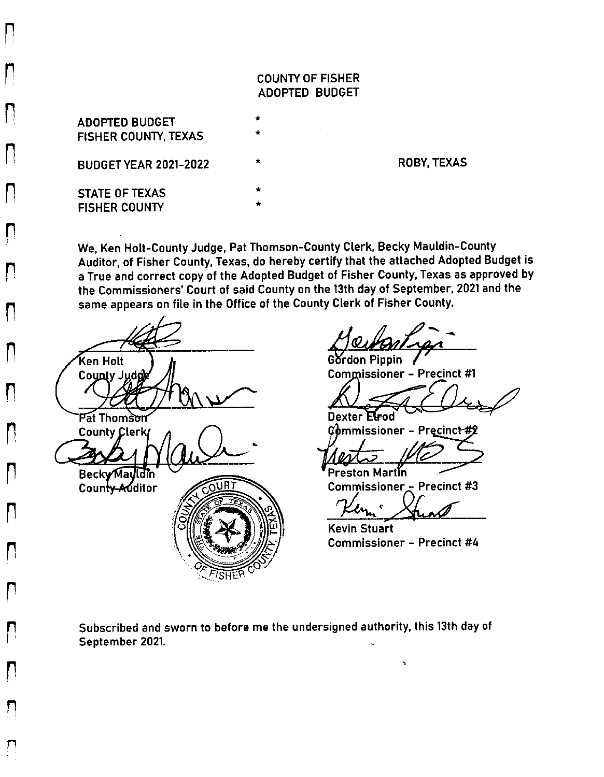## **COUNTY OF FISHER** ADOPTED BUDGET

**ADOPTED BUDGET FISHER COUNTY, TEXAS BUDGET YEAR 2021-2022 STATE OF TEXAS FISHER COUNTY** 

 $\vert \ \vert$ 

 $\mathbf{I}$ 

 $\mathsf{I}$ 

 $\mathsf{I}$ 

 $\lceil \rceil$ 

 $\mathbf{I}$ 

 $\mathbf{I}$ 

П

 $\blacksquare$ 

**ROBY, TEXAS** 

We, Ken Holt-County Judge, Pat Thomson-County Clerk, Becky Mauldin-County Auditor, of Fisher County, Texas, do hereby certify that the attached Adopted Budget is a True and correct copy of the Adopted Budget of Fisher County, Texas as approved by the Commissioners' Court of said County on the 13th day of September, 2021 and the same appears on file in the Office of the County Clerk of Fisher County.

Ken Holt County Judg Pat Thomson **County Clerk Becky Mauldin** County Additor URT

Gordon Pippin **Commissioner - Precinct #1** 

Dexter Elfod

 ${\mathcal{C}}$ ommissioner – Precinct #

Preston Martín **Commissioner - Precinct #3** 

ln,  $\mathbf{c}$ 

**Kevin Stuart Commissioner - Precinct #4** 

Subscribed and sworn to before me the undersigned authority, this 13th day of September 2021.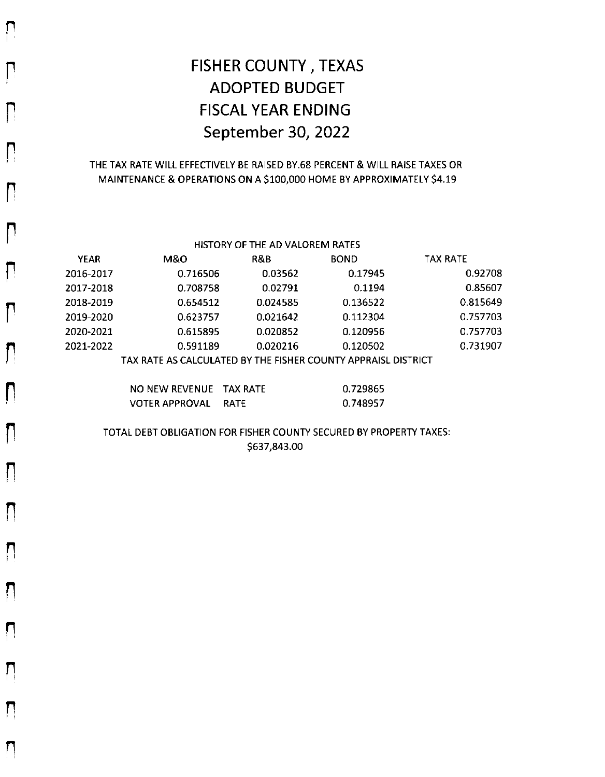# FISHER COUNTY, TEXAS **ADOPTED BUDGET FISCAL YEAR ENDING** September 30, 2022

 $\bigcap$ 

 $\mathsf{\Pi}% _{T}$ 

 $\prod_{i=1}^n$ 

 $\mathsf{D}% _{T}$ 

 $\prod_{i=1}^n$ 

Л

П

П

Л

 $\mathsf{\Pi}$ 

 $\prod_{i=1}^n$ 

П

П

П

 $\mathbf{I}$ 

П

F

П

### THE TAX RATE WILL EFFECTIVELY BE RAISED BY.68 PERCENT & WILL RAISE TAXES OR MAINTENANCE & OPERATIONS ON A \$100,000 HOME BY APPROXIMATELY \$4.19

| HISTORY OF THE AD VALOREM RATES |                                                                |          |             |                 |
|---------------------------------|----------------------------------------------------------------|----------|-------------|-----------------|
| <b>YEAR</b>                     | M&O                                                            | R&B      | <b>BOND</b> | <b>TAX RATE</b> |
| 2016-2017                       | 0.716506                                                       | 0.03562  | 0.17945     | 0.92708         |
| 2017-2018                       | 0.708758                                                       | 0.02791  | 0.1194      | 0.85607         |
| 2018-2019                       | 0.654512                                                       | 0.024585 | 0.136522    | 0.815649        |
| 2019-2020                       | 0.623757                                                       | 0.021642 | 0.112304    | 0.757703        |
| 2020-2021                       | 0.615895                                                       | 0.020852 | 0.120956    | 0.757703        |
| 2021-2022                       | 0.591189                                                       | 0.020216 | 0.120502    | 0.731907        |
|                                 | TAV DATE AC CALCULATED BY THE FICHED COUNTY ADDIAICL DICTRICT. |          |             |                 |

TAX RATE AS CALCULATED BY THE FISHER COUNTY APPRAISL DISTRICT

| NO NEW REVENUE TAX RATE | 0.729865 |
|-------------------------|----------|
| VOTER APPROVAL RATE     | 0.748957 |

TOTAL DEBT OBLIGATION FOR FISHER COUNTY SECURED BY PROPERTY TAXES: \$637,843.00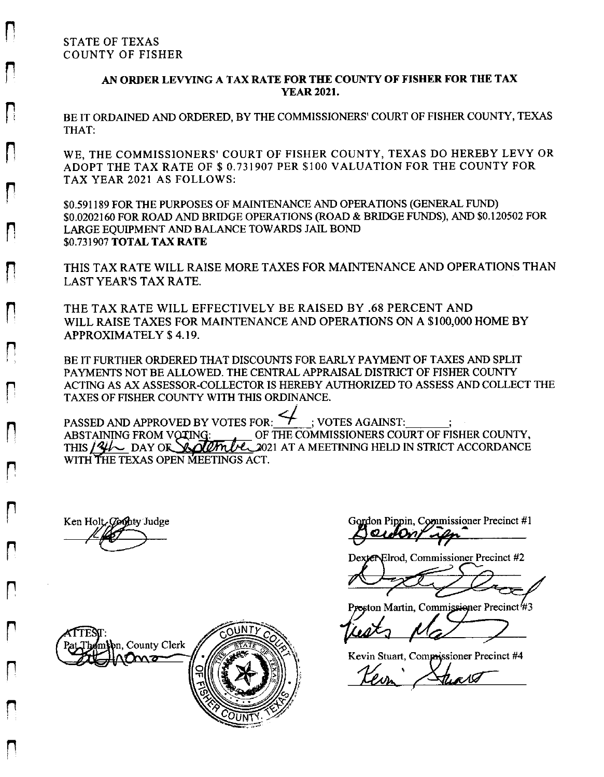### AN ORDER LEVYING A TAX RATE FOR THE COUNTY OF FISHER FOR THE TAX **YEAR 2021.**

BE IT ORDAINED AND ORDERED, BY THE COMMISSIONERS' COURT OF FISHER COUNTY, TEXAS THAT:

WE, THE COMMISSIONERS' COURT OF FISHER COUNTY, TEXAS DO HEREBY LEVY OR ADOPT THE TAX RATE OF \$ 0.731907 PER \$100 VALUATION FOR THE COUNTY FOR TAX YEAR 2021 AS FOLLOWS:

\$0.591189 FOR THE PURPOSES OF MAINTENANCE AND OPERATIONS (GENERAL FUND) \$0.0202160 FOR ROAD AND BRIDGE OPERATIONS (ROAD & BRIDGE FUNDS), AND \$0.120502 FOR LARGE EQUIPMENT AND BALANCE TOWARDS JAIL BOND \$0.731907 TOTAL TAX RATE

THIS TAX RATE WILL RAISE MORE TAXES FOR MAINTENANCE AND OPERATIONS THAN LAST YEAR'S TAX RATE.

THE TAX RATE WILL EFFECTIVELY BE RAISED BY .68 PERCENT AND WILL RAISE TAXES FOR MAINTENANCE AND OPERATIONS ON A \$100,000 HOME BY **APPROXIMATELY \$4.19.** 

BE IT FURTHER ORDERED THAT DISCOUNTS FOR EARLY PAYMENT OF TAXES AND SPLIT PAYMENTS NOT BE ALLOWED. THE CENTRAL APPRAISAL DISTRICT OF FISHER COUNTY ACTING AS AX ASSESSOR-COLLECTOR IS HEREBY AUTHORIZED TO ASSESS AND COLLECT THE TAXES OF FISHER COUNTY WITH THIS ORDINANCE.

PASSED AND APPROVED BY VOTES FOR: : VOTES AGAINST: ABSTAINING FROM VOTING: OF THE COMMISSIONERS COURT OF FISHER COUNTY, THIS 141 DAY OR SOUTH LE 2021 AT A MEETINING HELD IN STRICT ACCORDANCE WITH THE TEXAS OPEN MEETINGS ACT.

Ken Holt, County Judge

Gordon Pippin, Commissioner Precinct #1 awony ifn

Dexten-Elrod, Commissioner Precinct #2

Proston Martin, Commissioner Precinct<sup>4</sup>#3

Kevin Stuart, Commissioner Precinct #4

r 1 (7

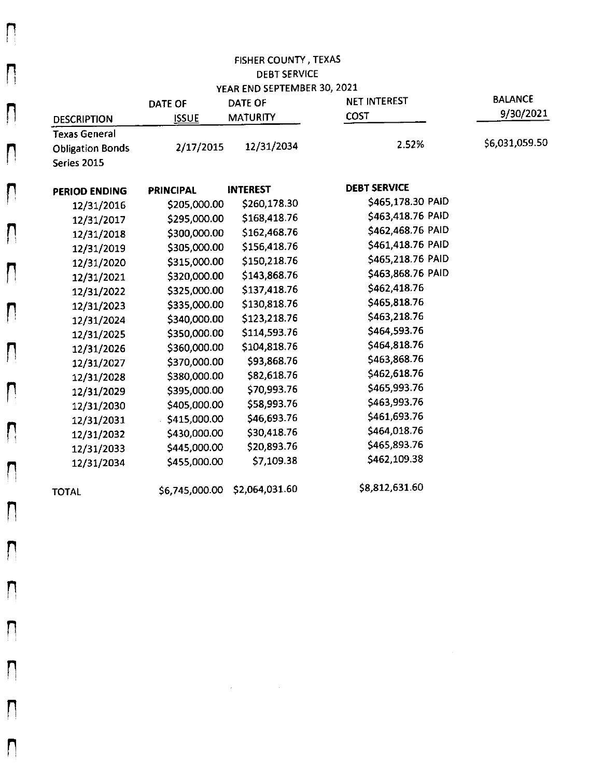|                         |                  | YEAR END SEPTEMBER 30, 2021 |                     |                |
|-------------------------|------------------|-----------------------------|---------------------|----------------|
|                         | <b>DATE OF</b>   | <b>DATE OF</b>              | NET INTEREST        | <b>BALANCE</b> |
| <b>DESCRIPTION</b>      | <b>ISSUE</b>     | <b>MATURITY</b>             | COST                | 9/30/2021      |
| <b>Texas General</b>    |                  |                             |                     |                |
| <b>Obligation Bonds</b> | 2/17/2015        | 12/31/2034                  | 2.52%               | \$6,031,059.50 |
| Series 2015             |                  |                             |                     |                |
| PERIOD ENDING           | <b>PRINCIPAL</b> | <b>INTEREST</b>             | <b>DEBT SERVICE</b> |                |
| 12/31/2016              | \$205,000.00     | \$260,178.30                | \$465,178.30 PAID   |                |
| 12/31/2017              | \$295,000.00     | \$168,418.76                | \$463,418.76 PAID   |                |
| 12/31/2018              | \$300,000.00     | \$162,468.76                | \$462,468.76 PAID   |                |
| 12/31/2019              | \$305,000.00     | \$156,418.76                | \$461,418.76 PAID   |                |
| 12/31/2020              | \$315,000.00     | \$150,218.76                | \$465,218.76 PAID   |                |
| 12/31/2021              | \$320,000.00     | \$143,868.76                | \$463,868.76 PAID   |                |
| 12/31/2022              | \$325,000.00     | \$137,418.76                | \$462,418.76        |                |
| 12/31/2023              | \$335,000.00     | \$130,818.76                | \$465,818.76        |                |
| 12/31/2024              | \$340,000.00     | \$123,218.76                | \$463,218.76        |                |
| 12/31/2025              | \$350,000.00     | \$114,593.76                | \$464,593.76        |                |
| 12/31/2026              | \$360,000.00     | \$104,818.76                | \$464,818.76        |                |
| 12/31/2027              | \$370,000.00     | \$93,868.76                 | \$463,868.76        |                |
| 12/31/2028              | \$380,000.00     | \$82,618.76                 | \$462,618.76        |                |
| 12/31/2029              | \$395,000.00     | \$70,993.76                 | \$465,993.76        |                |
| 12/31/2030              | \$405,000.00     | \$58,993.76                 | \$463,993.76        |                |
| 12/31/2031              | \$415,000.00     | \$46,693.76                 | \$461,693.76        |                |
| 12/31/2032              | \$430,000.00     | \$30,418.76                 | \$464,018.76        |                |
| 12/31/2033              | \$445,000.00     | \$20,893.76                 | \$465,893.76        |                |
| 12/31/2034              | \$455,000.00     | \$7,109.38                  | \$462,109.38        |                |
| <b>TOTAL</b>            | \$6,745,000.00   | \$2,064,031.60              | \$8,812,631.60      |                |

 $\mathcal{L}(\mathcal{L}(\mathcal{L}))$  and  $\mathcal{L}(\mathcal{L}(\mathcal{L}))$  . The contribution of  $\mathcal{L}(\mathcal{L})$ 

 $\prod_{i=1}^{n}$ 

N

n

 $\overline{\Pi}$ 

 $\prod_{i=1}^{n}$ 

 $\prod_{i=1}^{n}$ 

 $\mathsf{L}$ 

 $\prod_{i=1}^{n}$ 

 $\mathsf{L}$ 

 $\mathbf{\mathsf{\Omega}}$ 

 $\mathsf{\Pi}$ 

 $\mathsf{L}$ 

 $\mathsf{L}$ 

 $\mathsf{D}$ 

 $\mathsf{L}$ 

 $\prod_{i=1}^{n}$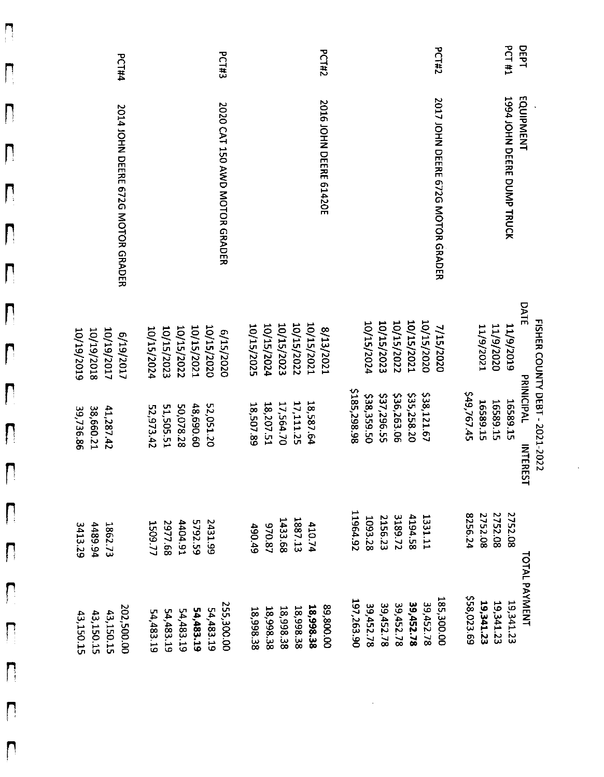| <b>PCT#4</b>                                        | <b>PCT#3</b>                                                                    | <b>PCT#2</b>                                                                     | <b>PCT#2</b>                                                                              | <b>PCT #1</b><br>DEPT                                                                                           |
|-----------------------------------------------------|---------------------------------------------------------------------------------|----------------------------------------------------------------------------------|-------------------------------------------------------------------------------------------|-----------------------------------------------------------------------------------------------------------------|
| 2014 JOHN DEERE 672G MOTOR GRADER                   | 2020 CAT 150 AWD MOTOR GRADER                                                   | 2016 JOHN DEERE 61420E                                                           | 2017 JOHN DEERE 672G MOTOR GRADER                                                         | 1994 JOHN DEERE DUMP TRUCK<br>EQUIPMENT                                                                         |
| 10/19/2017<br>10/19/2018<br>10/19/2019<br>e/19/2017 | 10/15/2020<br>10/15/2021<br>10/15/2023<br>10/15/2022<br>10/15/2024<br>6/15/2020 | 10/15/2022<br>10/15/2023<br>10/15/2021<br>10/15/2024<br>10/15/2025<br>E2/23/2021 | 10/15/2021<br>10/15/2020<br>10/15/2022<br>10/15/2023<br>10/15/2024<br>7/15/2020           | DATE<br>11/9/1020<br>11/9/2019<br>11/9/2021                                                                     |
| 38,660.21<br>41,287 42<br>39,736.86                 | 52,051.20<br>51,505.51<br>50,078.28<br>48,690.60<br>52,973.42                   | 17,564.70<br>17,111.25<br>18,587.64<br>18,207.51<br>18,507.89                    | \$185,298.98<br>\$35,258.20<br>\$38,121.67<br>\$36,263.06<br>\$37,296.55<br>\$38,359.50   | FISHER COUNTY DEBT - 2021-2022<br>PRINICIPAL<br>549,767.45<br>16589.15<br>16589.15<br>16589.15<br><b>NTERES</b> |
| 3413.29<br><b>4489.94</b><br>1862.73                | 5792.59<br>1404.91<br><b>2431.99</b><br>2977.68<br>1509.77                      | 1433.68<br>1887.13<br>970.87<br>410.74<br>490.49                                 | 11964.92<br>3189.72<br>4194.58<br>2156.23<br>1331.11<br>1093.28                           | 2752.08<br>2752.08<br>2752.08<br>8256.24                                                                        |
| 202,500.00<br>43,150.15<br>43,150.15<br>43,150.15   | 255,300.00<br>54,483.19<br>54,483.19<br>54,483.19<br>54,483.19<br>54,483.19     | 00'008'68<br>18,998.38<br>18,998.38<br>18,998.38<br>18,998.38<br>18,998.38       | 185,300.00<br>197,263.90<br>39,452.78<br>39,452.78<br>39,452.78<br>39,452.78<br>39,452.78 | <b>TOTAL PAYMENT</b><br>\$58,023.69<br>19,341.23<br>19,341.23<br>19,341.23                                      |

 $\hat{\mathbf{r}}$ 

 $\mathsf{L}$ 

 $\prod_{i=1}^{n}$ 

 $\mathsf{L}$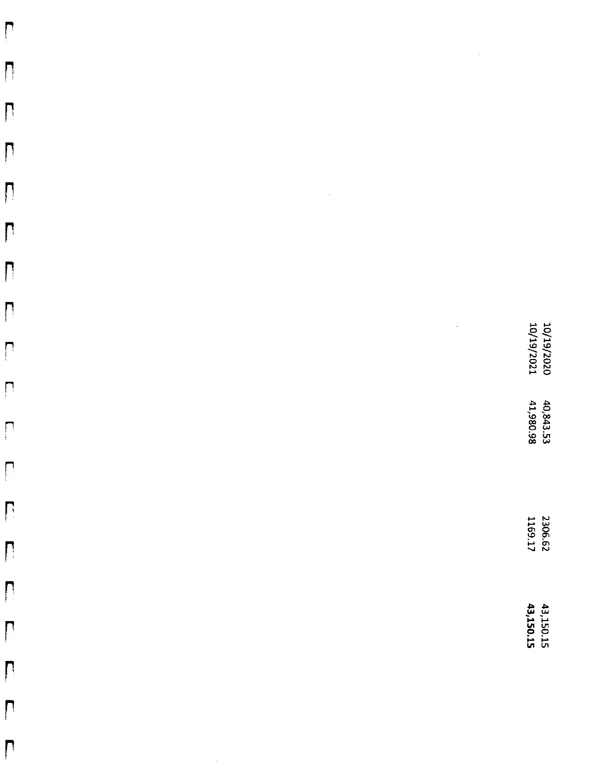| $\prod$                 |                     |                             |                      |                          |
|-------------------------|---------------------|-----------------------------|----------------------|--------------------------|
|                         |                     |                             |                      |                          |
| $\prod_{i=1}^{n}$       |                     |                             |                      |                          |
|                         |                     |                             |                      |                          |
|                         |                     | $\hat{\boldsymbol{\gamma}}$ |                      |                          |
| $\mathbf{r}$            |                     |                             |                      |                          |
|                         |                     |                             |                      |                          |
|                         |                     |                             | $\ddot{\phantom{0}}$ |                          |
| $\prod_{i=1}^{n}$       |                     |                             |                      | 10/19/2020<br>10/19/2021 |
|                         |                     |                             |                      | 40,843.53<br>41,980.98   |
|                         |                     |                             |                      |                          |
| $\prod_{i=1}^{n}$       |                     |                             |                      |                          |
| $\sqrt{2}$              |                     |                             |                      | 2306.62<br>1169.17       |
|                         |                     |                             |                      |                          |
|                         |                     |                             |                      | 43,150.15<br>43,150.15   |
| $\overline{\mathsf{L}}$ |                     |                             |                      |                          |
| $\mathsf{L}$            |                     |                             |                      |                          |
|                         | $\hat{\mathcal{L}}$ |                             |                      |                          |
|                         |                     |                             |                      |                          |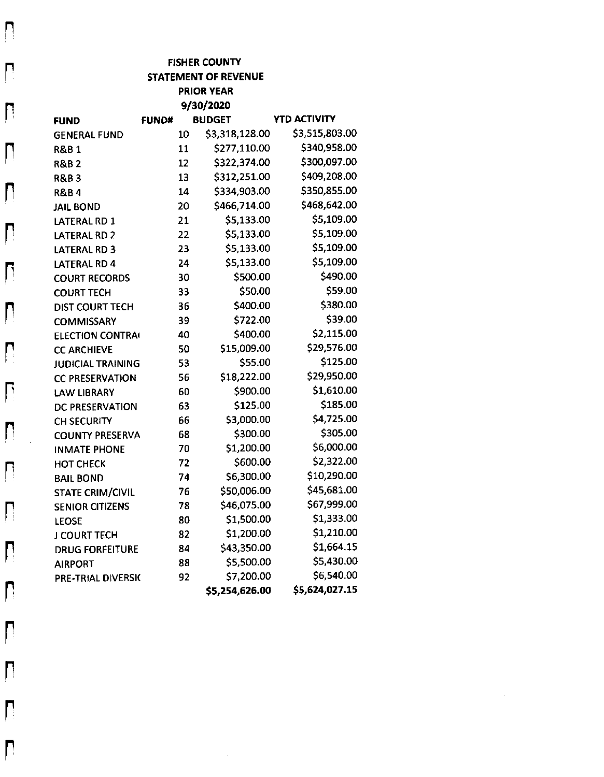|                          |              |    | <b>FISHER COUNTY</b>        |                     |
|--------------------------|--------------|----|-----------------------------|---------------------|
|                          |              |    | <b>STATEMENT OF REVENUE</b> |                     |
|                          |              |    | <b>PRIOR YEAR</b>           |                     |
|                          |              |    | 9/30/2020                   |                     |
| <b>FUND</b>              | <b>FUND#</b> |    | <b>BUDGET</b>               | <b>YTD ACTIVITY</b> |
| <b>GENERAL FUND</b>      |              | 10 | \$3,318,128.00              | \$3,515,803.00      |
| <b>R&amp;B1</b>          |              | 11 | \$277,110.00                | \$340,958.00        |
| <b>R&amp;B2</b>          |              | 12 | \$322,374.00                | \$300,097.00        |
| <b>R&amp;B3</b>          |              | 13 | \$312,251.00                | \$409,208.00        |
| <b>R&amp;B4</b>          |              | 14 | \$334,903.00                | \$350,855.00        |
| <b>JAIL BOND</b>         |              | 20 | \$466,714.00                | \$468,642.00        |
| LATERAL RD 1             |              | 21 | \$5,133.00                  | \$5,109.00          |
| LATERAL RD 2             |              | 22 | \$5,133.00                  | \$5,109.00          |
| LATERAL RD 3             |              | 23 | \$5,133.00                  | \$5,109.00          |
| LATERAL RD 4             |              | 24 | \$5,133.00                  | \$5,109.00          |
| <b>COURT RECORDS</b>     |              | 30 | \$500.00                    | \$490.00            |
| <b>COURT TECH</b>        |              | 33 | \$50.00                     | \$59.00             |
| <b>DIST COURT TECH</b>   |              | 36 | \$400.00                    | \$380.00            |
| <b>COMMISSARY</b>        |              | 39 | \$722.00                    | \$39.00             |
| <b>ELECTION CONTRA</b>   |              | 40 | \$400.00                    | \$2,115.00          |
| <b>CC ARCHIEVE</b>       |              | 50 | \$15,009.00                 | \$29,576.00         |
| <b>JUDICIAL TRAINING</b> |              | 53 | \$55.00                     | \$125.00            |
| <b>CC PRESERVATION</b>   |              | 56 | \$18,222.00                 | \$29,950.00         |
| <b>LAW LIBRARY</b>       |              | 60 | \$900.00                    | \$1,610.00          |
| DC PRESERVATION          |              | 63 | \$125.00                    | \$185.00            |
| CH SECURITY              |              | 66 | \$3,000.00                  | \$4,725.00          |
| <b>COUNTY PRESERVA</b>   |              | 68 | \$300.00                    | \$305.00            |
| <b>INMATE PHONE</b>      |              | 70 | \$1,200.00                  | \$6,000.00          |
| <b>HOT CHECK</b>         |              | 72 | \$600.00                    | \$2,322.00          |
| <b>BAIL BOND</b>         |              | 74 | \$6,300.00                  | \$10,290.00         |
| <b>STATE CRIM/CIVIL</b>  |              | 76 | \$50,006.00                 | \$45,681.00         |
| <b>SENIOR CITIZENS</b>   |              | 78 | \$46,075.00                 | \$67,999.00         |
| <b>LEOSE</b>             |              | 80 | \$1,500.00                  | \$1,333.00          |
| J COURT TECH             |              | 82 | \$1,200.00                  | \$1,210.00          |
| <b>DRUG FORFEITURE</b>   |              | 84 | \$43,350.00                 | \$1,664.15          |
| <b>AIRPORT</b>           |              | 88 | \$5,500.00                  | \$5,430.00          |
| PRE-TRIAL DIVERSIC       |              | 92 | \$7,200.00                  | \$6,540.00          |
|                          |              |    | \$5,254,626.00              | \$5,624,027.15      |

 $\overline{\mathsf{L}}$ 

 $\prod_{i=1}^{n}$ 

 $\mathsf{L}$ 

 $\prod_{i=1}^n$ 

 $\mathsf{L}$ 

 $\mathbf{L}$ 

 $\mathbf{r}$ 

 $\prod_{i=1}^{n}$ 

 $\mathsf{L}$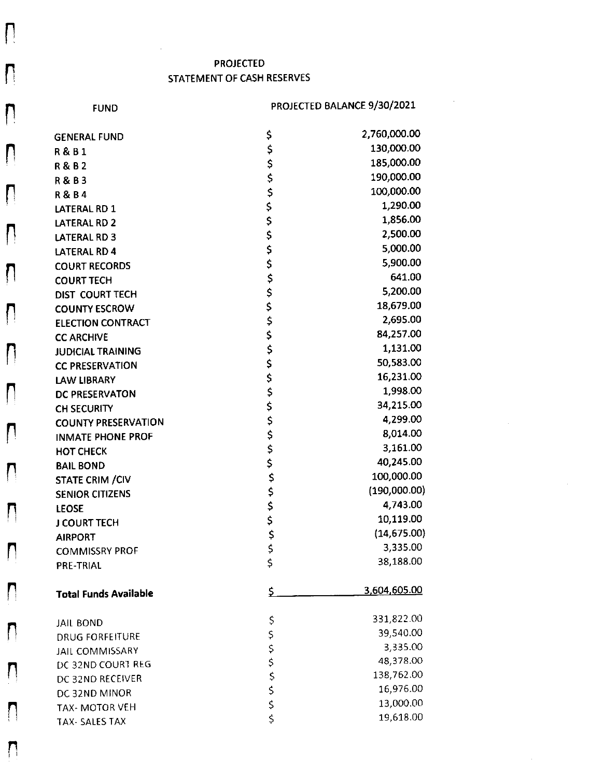## **PROJECTED** STATEMENT OF CASH RESERVES

**FUND** 

 $\prod_{i=1}^{n}$ 

 $\mathbf{\mathsf{L}}$ 

 $\mathsf{D}$ 

 $\bigcap$ 

 $\prod_{i=1}^{n}$ 

Π

 $\prod_{i=1}^n$ 

 $\prod_{i=1}^n$ 

 $\prod_{i=1}^{n}$ 

 $\overline{\mathsf{L}}$ 

 $\Box$ 

 $\prod_{i=1}^{n}$ 

 $\prod_{i=1}^{n}$ 

Ŋ

 $\Box$ 

 $\mathsf{L}$ 

### PROJECTED BALANCE 9/30/2021

 $\sim$ 

| <b>GENERAL FUND</b>          | \$            | 2,760,000.00 |
|------------------------------|---------------|--------------|
| <b>R&amp;B1</b>              | \$            | 130,000.00   |
| <b>R&amp;B2</b>              |               | 185,000.00   |
| R & B 3                      | \$<br>\$      | 190,000.00   |
| <b>R&amp;B4</b>              | \$            | 100,000.00   |
| LATERAL RD 1                 |               | 1,290.00     |
| <b>LATERAL RD 2</b>          | $\frac{5}{5}$ | 1,856.00     |
| LATERAL RD 3                 | \$            | 2,500.00     |
| LATERAL RD 4                 | \$            | 5,000.00     |
| <b>COURT RECORDS</b>         |               | 5,900.00     |
| <b>COURT TECH</b>            |               | 641.00       |
| DIST COURT TECH              | ちちららら         | 5,200.00     |
| <b>COUNTY ESCROW</b>         |               | 18,679.00    |
| <b>ELECTION CONTRACT</b>     |               | 2,695.00     |
| <b>CC ARCHIVE</b>            |               | 84,257.00    |
| <b>JUDICIAL TRAINING</b>     | \$            | 1,131.00     |
| <b>CC PRESERVATION</b>       | \$            | 50,583.00    |
| <b>LAW LIBRARY</b>           | \$<br>\$      | 16,231.00    |
| DC PRESERVATON               |               | 1,998.00     |
| CH SECURITY                  | \$            | 34,215.00    |
| <b>COUNTY PRESERVATION</b>   | \$            | 4,299.00     |
| <b>INMATE PHONE PROF</b>     | \$            | 8,014.00     |
| <b>HOT CHECK</b>             |               | 3,161.00     |
| <b>BAIL BOND</b>             | \$<br>\$      | 40,245.00    |
| <b>STATE CRIM / CIV</b>      |               | 100,000.00   |
| <b>SENIOR CITIZENS</b>       | やぐそみそ         | (190,000.00) |
| <b>LEOSE</b>                 |               | 4,743.00     |
| <b>J COURT TECH</b>          |               | 10,119.00    |
| <b>AIRPORT</b>               |               | (14, 675.00) |
| <b>COMMISSRY PROF</b>        |               | 3,335.00     |
| <b>PRE-TRIAL</b>             |               | 38,188.00    |
| <b>Total Funds Available</b> | \$            | 3,604,605.00 |
| <b>JAIL BOND</b>             |               | 331,822.00   |
| <b>DRUG FORFEITURE</b>       |               | 39,540.00    |
| JAIL COMMISSARY              |               | 3,335.00     |
| DC 32ND COURT REG            |               | 48,378.00    |
| DC 32ND RECEIVER             | さくひょうこう       | 138,762.00   |
| DC 32ND MINOR                |               | 16,976.00    |
| TAX- MOTOR VEH               |               | 13,000.00    |
| <b>TAX-SALES TAX</b>         |               | 19,618.00    |
|                              |               |              |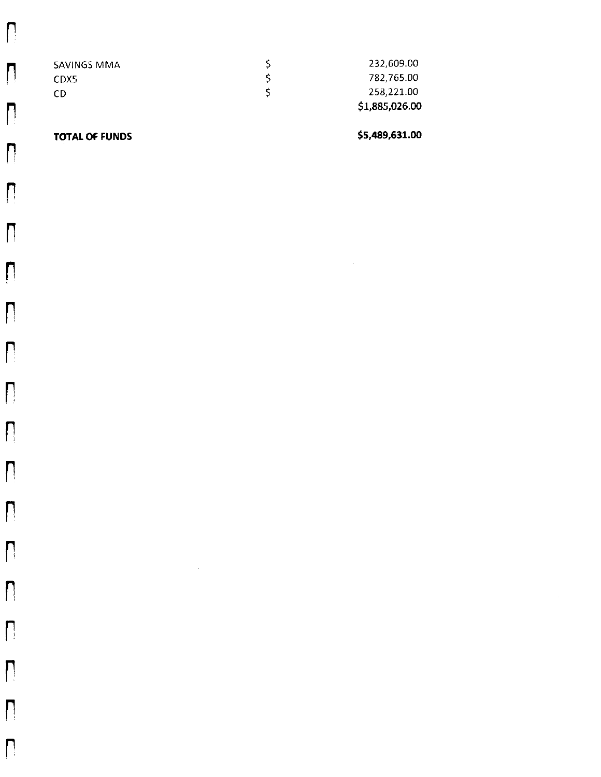| SAVINGS MMA | 232,609.00     |
|-------------|----------------|
| CDX5        | 782.765.00     |
| CD          | 258,221.00     |
|             | \$1,885,026.00 |

### **TOTAL OF FUNDS**

 $\prod_{i=1}^{n}$ 

 $\sqrt{2}$ 

 $\prod_{i=1}^{n}$ 

 $\prod_{i=1}^n$ 

 $\prod$ 

 $\mathsf{D}$ 

 $\prod_{i=1}^{n}$ 

 $\prod_{i=1}^{n}$ 

 $\prod_{i=1}^{n}$ 

 $\bigcap$ 

 $\overline{\Pi}$ 

 $\prod_{i=1}^{n}$ 

 $\prod_{i=1}^{n}$ 

 $\prod_{i=1}^{n}$ 

\$5,489,631.00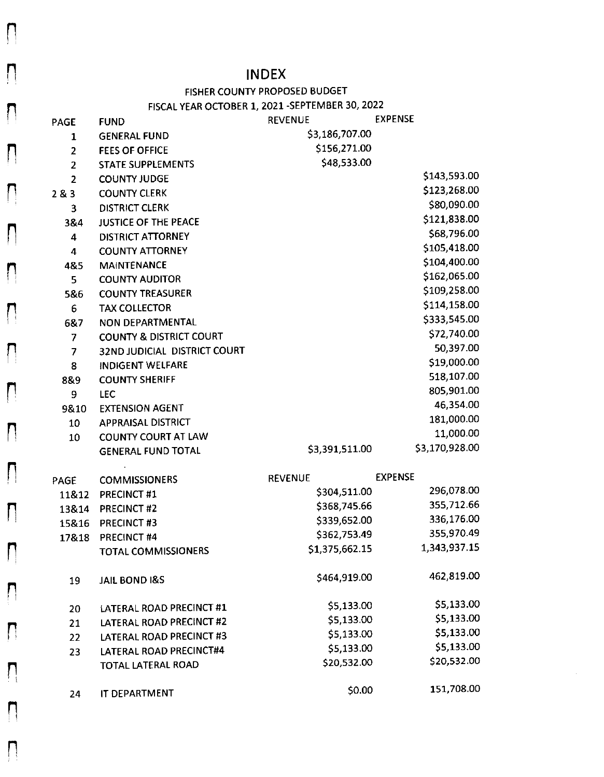## **INDEX**

## FISHER COUNTY PROPOSED BUDGET

## FISCAL YEAR OCTOBER 1, 2021 - SEPTEMBER 30, 2022

| PAGE           | <b>FUND</b>                        | <b>REVENUE</b> | <b>EXPENSE</b> |
|----------------|------------------------------------|----------------|----------------|
| $\mathbf{1}$   | <b>GENERAL FUND</b>                | \$3,186,707.00 |                |
| $\overline{2}$ | <b>FEES OF OFFICE</b>              | \$156,271.00   |                |
| $\overline{2}$ | <b>STATE SUPPLEMENTS</b>           | \$48,533.00    |                |
| $\overline{2}$ | <b>COUNTY JUDGE</b>                |                | \$143,593.00   |
| 283            | <b>COUNTY CLERK</b>                |                | \$123,268.00   |
| 3              | <b>DISTRICT CLERK</b>              |                | \$80,090.00    |
| 3&4            | <b>JUSTICE OF THE PEACE</b>        |                | \$121,838.00   |
| 4              | <b>DISTRICT ATTORNEY</b>           |                | \$68,796.00    |
| $\overline{4}$ | <b>COUNTY ATTORNEY</b>             |                | \$105,418.00   |
| 4&5            | <b>MAINTENANCE</b>                 |                | \$104,400.00   |
| 5              | <b>COUNTY AUDITOR</b>              |                | \$162,065.00   |
| 5&6            | <b>COUNTY TREASURER</b>            |                | \$109,258.00   |
| 6              | <b>TAX COLLECTOR</b>               |                | \$114,158.00   |
| 6&7            | NON DEPARTMENTAL                   |                | \$333,545.00   |
| $\overline{7}$ | <b>COUNTY &amp; DISTRICT COURT</b> |                | \$72,740.00    |
| 7              | 32ND JUDICIAL DISTRICT COURT       |                | 50,397.00      |
| 8              | <b>INDIGENT WELFARE</b>            |                | \$19,000.00    |
| 8&9            | <b>COUNTY SHERIFF</b>              |                | 518,107.00     |
| 9              | <b>LEC</b>                         |                | 805,901.00     |
| 9810           | <b>EXTENSION AGENT</b>             |                | 46,354.00      |
| 10             | <b>APPRAISAL DISTRICT</b>          |                | 181,000.00     |
| 10             | <b>COUNTY COURT AT LAW</b>         |                | 11,000.00      |
|                | <b>GENERAL FUND TOTAL</b>          | \$3,391,511.00 | \$3,170,928.00 |
|                |                                    |                |                |
| PAGE           | <b>COMMISSIONERS</b>               | <b>REVENUE</b> | <b>EXPENSE</b> |
| 11&12          | PRECINCT#1                         | \$304,511.00   | 296,078.00     |
| 13&14          | <b>PRECINCT#2</b>                  | \$368,745.66   | 355,712.66     |
| 15&16          | PRECINCT#3                         | \$339,652.00   | 336,176.00     |
| 17&18          | PRECINCT #4                        | \$362,753.49   | 355,970.49     |
|                | <b>TOTAL COMMISSIONERS</b>         | \$1,375,662.15 | 1,343,937.15   |
|                |                                    | \$464,919.00   | 462,819.00     |
| 19             | <b>JAIL BOND I&amp;S</b>           |                |                |
| 20             | LATERAL ROAD PRECINCT #1           | \$5,133.00     | \$5,133.00     |
| 21             | LATERAL ROAD PRECINCT #2           | \$5,133.00     | \$5,133.00     |
| 22             | LATERAL ROAD PRECINCT #3           | \$5,133.00     | \$5,133.00     |
| 23             | LATERAL ROAD PRECINCT#4            | \$5,133.00     | \$5,133.00     |
|                | <b>TOTAL LATERAL ROAD</b>          | \$20,532.00    | \$20,532.00    |
|                |                                    | \$0.00         | 151,708.00     |
| 24             | IT DEPARTMENT                      |                |                |

 $\Box$  $\prod_{i=1}^{n}$ 

 $\bigcap$ 

 $\Box$ 

 $\prod_{i=1}^{n}$ 

 $\prod_{i=1}^{n}$ 

 $\mathsf{L}$ 

 $\bigcap$ 

 $\Box$ 

 $\mathbf{L}$ 

 $\mathsf{L}$ 

 $\prod_{i=1}^{n}$ 

 $\Box$ 

 $\bigcap$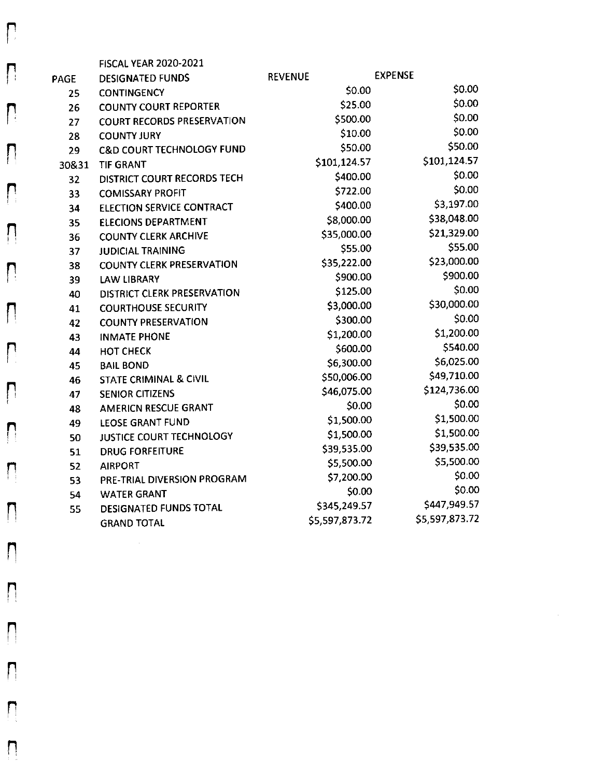|             | <b>FISCAL YEAR 2020-2021</b>         |                |                |
|-------------|--------------------------------------|----------------|----------------|
| <b>PAGE</b> | <b>DESIGNATED FUNDS</b>              | <b>REVENUE</b> | <b>EXPENSE</b> |
| 25          | <b>CONTINGENCY</b>                   | \$0.00         | \$0.00         |
| 26          | <b>COUNTY COURT REPORTER</b>         | \$25.00        | \$0.00         |
| 27          | <b>COURT RECORDS PRESERVATION</b>    | \$500.00       | \$0.00         |
| 28          | <b>COUNTY JURY</b>                   | \$10.00        | \$0.00         |
| 29          | <b>C&amp;D COURT TECHNOLOGY FUND</b> | \$50.00        | \$50.00        |
| 30&31       | <b>TIF GRANT</b>                     | \$101,124.57   | \$101,124.57   |
| 32          | DISTRICT COURT RECORDS TECH          | \$400.00       | \$0.00         |
| 33          | <b>COMISSARY PROFIT</b>              | \$722.00       | \$0.00         |
| 34          | <b>ELECTION SERVICE CONTRACT</b>     | \$400.00       | \$3,197.00     |
| 35          | <b>ELECIONS DEPARTMENT</b>           | \$8,000.00     | \$38,048.00    |
| 36          | <b>COUNTY CLERK ARCHIVE</b>          | \$35,000.00    | \$21,329.00    |
| 37          | <b>JUDICIAL TRAINING</b>             | \$55.00        | \$55.00        |
| 38          | <b>COUNTY CLERK PRESERVATION</b>     | \$35,222.00    | \$23,000.00    |
| 39          | <b>LAW LIBRARY</b>                   | \$900.00       | \$900.00       |
| 40          | <b>DISTRICT CLERK PRESERVATION</b>   | \$125.00       | \$0.00         |
| 41          | <b>COURTHOUSE SECURITY</b>           | \$3,000.00     | \$30,000.00    |
| 42          | <b>COUNTY PRESERVATION</b>           | \$300.00       | \$0.00         |
| 43          | <b>INMATE PHONE</b>                  | \$1,200.00     | \$1,200.00     |
| 44          | <b>HOT CHECK</b>                     | \$600.00       | \$540.00       |
| 45          | <b>BAIL BOND</b>                     | \$6,300.00     | \$6,025.00     |
| 46          | <b>STATE CRIMINAL &amp; CIVIL</b>    | \$50,006.00    | \$49,710.00    |
| 47          | <b>SENIOR CITIZENS</b>               | \$46,075.00    | \$124,736.00   |
| 48          | <b>AMERICN RESCUE GRANT</b>          | \$0.00         | \$0.00         |
| 49          | <b>LEOSE GRANT FUND</b>              | \$1,500.00     | \$1,500.00     |
| 50          | JUSTICE COURT TECHNOLOGY             | \$1,500.00     | \$1,500.00     |
| 51          | <b>DRUG FORFEITURE</b>               | \$39,535.00    | \$39,535.00    |
| 52          | <b>AIRPORT</b>                       | \$5,500.00     | \$5,500.00     |
| 53          | PRE-TRIAL DIVERSION PROGRAM          | \$7,200.00     | \$0.00         |
| 54          | <b>WATER GRANT</b>                   | \$0.00         | \$0.00         |
| 55          | DESIGNATED FUNDS TOTAL               | \$345,249.57   | \$447,949.57   |
|             | <b>GRAND TOTAL</b>                   | \$5,597,873.72 | \$5,597,873.72 |

 $\mathsf{L}$ 

 $\mathbf{L}$ 

 $\begin{array}{c} \hline \end{array}$ 

 $\mathbf{L}$ 

 $\prod_{i=1}^{n}$ 

 $\prod_{i=1}^{n}$ 

 $\mathsf{L}$ 

 $\mathbf{L}$ 

 $\prod_{i=1}^{n}$ 

 $\prod_{i=1}^{n}$ 

 $\prod_{i=1}^{n}$ 

 $\mathsf{\Pi}$ 

 $\label{eq:2.1} \frac{1}{\sqrt{2}}\left(\frac{1}{\sqrt{2}}\right)^{2} \left(\frac{1}{\sqrt{2}}\right)^{2} \left(\frac{1}{\sqrt{2}}\right)^{2} \left(\frac{1}{\sqrt{2}}\right)^{2} \left(\frac{1}{\sqrt{2}}\right)^{2} \left(\frac{1}{\sqrt{2}}\right)^{2} \left(\frac{1}{\sqrt{2}}\right)^{2} \left(\frac{1}{\sqrt{2}}\right)^{2} \left(\frac{1}{\sqrt{2}}\right)^{2} \left(\frac{1}{\sqrt{2}}\right)^{2} \left(\frac{1}{\sqrt{2}}\right)^{2} \left(\$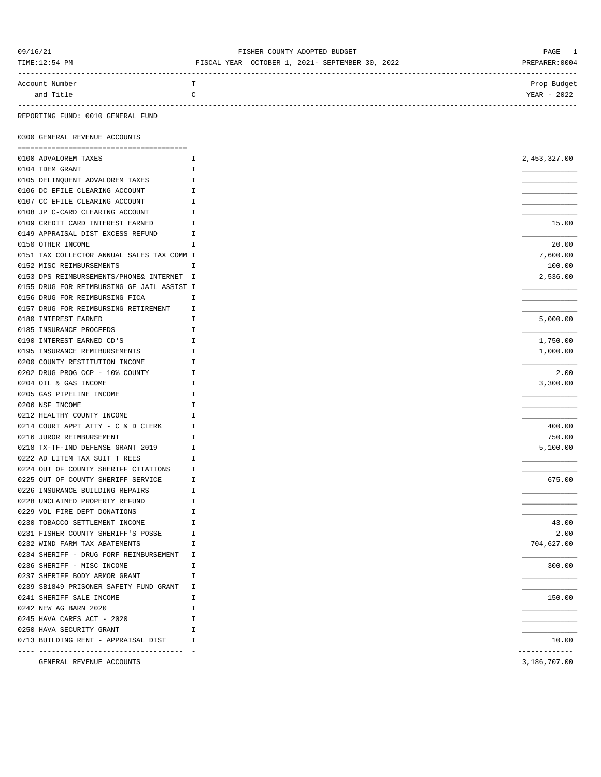| 09/16/21       | FISHER COUNTY ADOPTED BUDGET                    | PAGE 1        |
|----------------|-------------------------------------------------|---------------|
| TIME:12:54 PM  | FISCAL YEAR OCTOBER 1, 2021- SEPTEMBER 30, 2022 | PREPARER:0004 |
|                |                                                 |               |
| Account Number | <b>TP</b>                                       | Prop Budget   |
| and Title      | $\sim$                                          | YEAR - 2022   |
|                |                                                 |               |

REPORTING FUND: 0010 GENERAL FUND

0300 GENERAL REVENUE ACCOUNTS

| 0100 ADVALOREM TAXES                       | I             | 2,453,327.00  |
|--------------------------------------------|---------------|---------------|
| 0104 TDEM GRANT                            | I             |               |
| 0105 DELINQUENT ADVALOREM TAXES            | I             |               |
| 0106 DC EFILE CLEARING ACCOUNT             | I             |               |
| 0107 CC EFILE CLEARING ACCOUNT             | I             |               |
| 0108 JP C-CARD CLEARING ACCOUNT            | I             |               |
| 0109 CREDIT CARD INTEREST EARNED           | I             | 15.00         |
| 0149 APPRAISAL DIST EXCESS REFUND          | Ι             |               |
| 0150 OTHER INCOME                          | I             | 20.00         |
| 0151 TAX COLLECTOR ANNUAL SALES TAX COMM I |               | 7,600.00      |
| 0152 MISC REIMBURSEMENTS                   | I             | 100.00        |
| 0153 DPS REIMBURSEMENTS/PHONE& INTERNET I  |               | 2,536.00      |
| 0155 DRUG FOR REIMBURSING GF JAIL ASSIST I |               |               |
| 0156 DRUG FOR REIMBURSING FICA             | I             |               |
| 0157 DRUG FOR REIMBURSING RETIREMENT       | I             |               |
| 0180 INTEREST EARNED                       | I             | 5,000.00      |
| 0185 INSURANCE PROCEEDS                    | I             |               |
| 0190 INTEREST EARNED CD'S                  | I             | 1,750.00      |
| 0195 INSURANCE REMIBURSEMENTS              | Ι             | 1,000.00      |
| 0200 COUNTY RESTITUTION INCOME             | I             |               |
| 0202 DRUG PROG CCP - 10% COUNTY            | I             | 2.00          |
| 0204 OIL & GAS INCOME                      | I             | 3,300.00      |
| 0205 GAS PIPELINE INCOME                   | I             |               |
| 0206 NSF INCOME                            | I             |               |
| 0212 HEALTHY COUNTY INCOME                 | I             |               |
| 0214 COURT APPT ATTY - C & D CLERK         | I             | 400.00        |
| 0216 JUROR REIMBURSEMENT                   | Ι             | 750.00        |
| 0218 TX-TF-IND DEFENSE GRANT 2019          | I             | 5,100.00      |
| 0222 AD LITEM TAX SUIT T REES              | I             |               |
| 0224 OUT OF COUNTY SHERIFF CITATIONS       | I             |               |
| 0225 OUT OF COUNTY SHERIFF SERVICE         | I             | 675.00        |
| 0226 INSURANCE BUILDING REPAIRS            | I             |               |
| 0228 UNCLAIMED PROPERTY REFUND             | I             |               |
| 0229 VOL FIRE DEPT DONATIONS               | I             |               |
| 0230 TOBACCO SETTLEMENT INCOME             | I             | 43.00         |
| 0231 FISHER COUNTY SHERIFF'S POSSE         | I             | 2.00          |
| 0232 WIND FARM TAX ABATEMENTS              | I             | 704,627.00    |
| 0234 SHERIFF - DRUG FORF REIMBURSEMENT     | I             |               |
| 0236 SHERIFF - MISC INCOME                 | I             | 300.00        |
| 0237 SHERIFF BODY ARMOR GRANT              | $\mathbbm{I}$ |               |
| 0239 SB1849 PRISONER SAFETY FUND GRANT     | I             |               |
| 0241 SHERIFF SALE INCOME                   | I             | 150.00        |
| 0242 NEW AG BARN 2020                      | I             |               |
| 0245 HAVA CARES ACT - 2020                 | I             |               |
| 0250 HAVA SECURITY GRANT                   | I             |               |
| 0713 BUILDING RENT - APPRAISAL DIST        | I             | 10.00         |
| -- -----------------------------------     |               | ------------- |
| GENERAL REVENUE ACCOUNTS                   |               | 3,186,707.00  |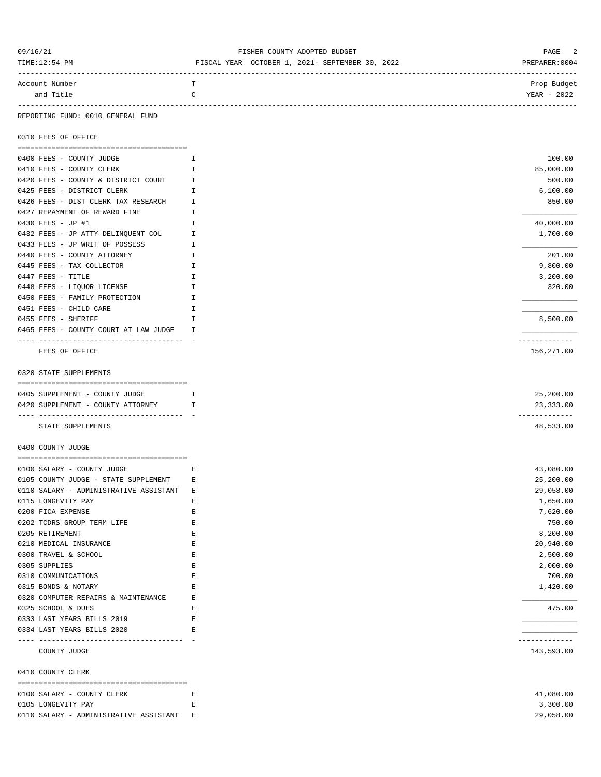| TIME:12:54 PM                                                      | FISCAL YEAR OCTOBER 1, 2021- SEPTEMBER 30, 2022 | PREPARER: 0004             |
|--------------------------------------------------------------------|-------------------------------------------------|----------------------------|
| Account Number                                                     | T                                               | Prop Budget                |
| and Title                                                          | C                                               | YEAR - 2022                |
| REPORTING FUND: 0010 GENERAL FUND                                  |                                                 |                            |
| 0310 FEES OF OFFICE                                                |                                                 |                            |
|                                                                    |                                                 |                            |
| 0400 FEES - COUNTY JUDGE                                           | Ι.                                              | 100.00                     |
| 0410 FEES - COUNTY CLERK                                           | I.                                              | 85,000.00                  |
| 0420 FEES - COUNTY & DISTRICT COURT<br>0425 FEES - DISTRICT CLERK  | I.<br>I                                         | 500.00<br>6,100.00         |
| 0426 FEES - DIST CLERK TAX RESEARCH                                | $\mathbf{I}$                                    | 850.00                     |
| 0427 REPAYMENT OF REWARD FINE                                      | Ι.                                              |                            |
| 0430 FEES - JP #1                                                  | Ι.                                              | 40,000.00                  |
| 0432 FEES - JP ATTY DELINQUENT COL                                 | I.                                              | 1,700.00                   |
| 0433 FEES - JP WRIT OF POSSESS                                     | I.                                              |                            |
| 0440 FEES - COUNTY ATTORNEY                                        | Ι.                                              | 201.00                     |
| 0445 FEES - TAX COLLECTOR                                          | I.                                              | 9,800.00                   |
| 0447 FEES - TITLE                                                  | Ι.                                              | 3,200.00                   |
| 0448 FEES - LIQUOR LICENSE                                         | I                                               | 320.00                     |
| 0450 FEES - FAMILY PROTECTION                                      | Ι.                                              |                            |
| 0451 FEES - CHILD CARE                                             | I                                               |                            |
| 0455 FEES - SHERIFF                                                | Ι.                                              | 8,500.00                   |
| 0465 FEES - COUNTY COURT AT LAW JUDGE                              | <b>I</b>                                        |                            |
| -- ----------------------------------<br>FEES OF OFFICE            |                                                 | ------------<br>156,271.00 |
| 0320 STATE SUPPLEMENTS                                             |                                                 |                            |
|                                                                    |                                                 |                            |
| 0405 SUPPLEMENT - COUNTY JUDGE                                     | $\mathbf{I}$                                    | 25,200.00                  |
| 0420 SUPPLEMENT - COUNTY ATTORNEY<br>$\mathbf{I}$ and $\mathbf{I}$ |                                                 | 23,333.00<br>------------- |
| STATE SUPPLEMENTS                                                  |                                                 | 48,533.00                  |
| 0400 COUNTY JUDGE                                                  |                                                 |                            |
|                                                                    |                                                 |                            |
| 0100 SALARY - COUNTY JUDGE                                         | Е                                               | 43,080.00                  |
| 0105 COUNTY JUDGE - STATE SUPPLEMENT                               | Е                                               | 25,200.00                  |
| 0110 SALARY - ADMINISTRATIVE ASSISTANT<br>0115 LONGEVITY PAY       | Ε<br>E                                          | 29,058.00<br>1,650.00      |
| 0200 FICA EXPENSE                                                  | E                                               | 7,620.00                   |
| 0202 TCDRS GROUP TERM LIFE                                         | E                                               | 750.00                     |
| 0205 RETIREMENT                                                    | E                                               | 8,200.00                   |
| 0210 MEDICAL INSURANCE                                             | E                                               | 20,940.00                  |
| 0300 TRAVEL & SCHOOL                                               | Ε                                               | 2,500.00                   |
| 0305 SUPPLIES                                                      | Ε                                               | 2,000.00                   |
| 0310 COMMUNICATIONS                                                | Ε                                               | 700.00                     |
| 0315 BONDS & NOTARY                                                | Ε                                               | 1,420.00                   |
| 0320 COMPUTER REPAIRS & MAINTENANCE                                | Ε                                               |                            |
| 0325 SCHOOL & DUES                                                 | E                                               | 475.00                     |
| 0333 LAST YEARS BILLS 2019                                         | Е                                               |                            |
| 0334 LAST YEARS BILLS 2020<br>-----------------------------------  | Е                                               | . <u>.</u> .               |
| COUNTY JUDGE                                                       |                                                 | 143,593.00                 |
| 0410 COUNTY CLERK                                                  |                                                 |                            |
| 0100 SALARY - COUNTY CLERK                                         | Е                                               | 41,080.00                  |
| 0105 LONGEVITY PAY                                                 | Е                                               | 3,300.00                   |
| 0110 SALARY - ADMINISTRATIVE ASSISTANT                             | Е                                               | 29,058.00                  |
|                                                                    |                                                 |                            |

09/16/21 PAGE 2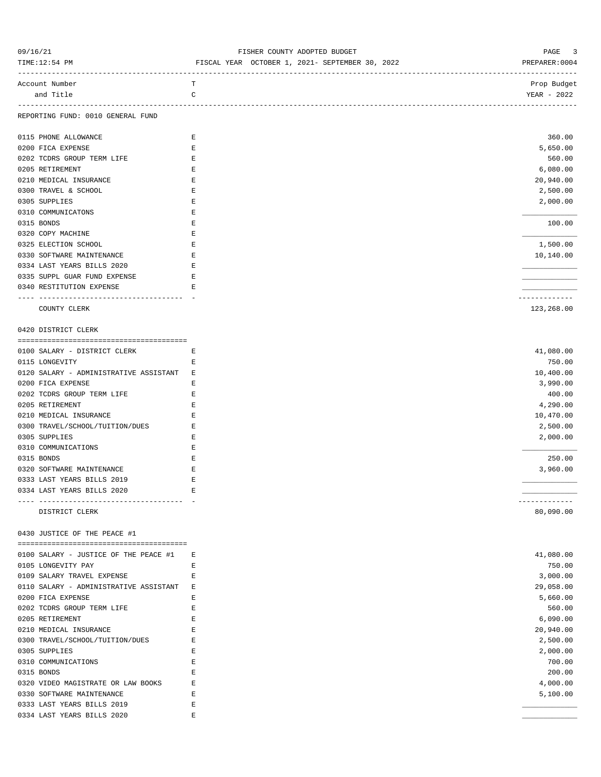| 09/16/21<br>TIME:12:54 PM                                   | FISHER COUNTY ADOPTED BUDGET<br>FISCAL YEAR OCTOBER 1, 2021- SEPTEMBER 30, 2022 | PAGE<br>3<br>PREPARER: 0004 |  |
|-------------------------------------------------------------|---------------------------------------------------------------------------------|-----------------------------|--|
| Account Number<br>and Title                                 | т<br>C                                                                          | Prop Budget<br>YEAR - 2022  |  |
| REPORTING FUND: 0010 GENERAL FUND                           |                                                                                 |                             |  |
| 0115 PHONE ALLOWANCE                                        | E                                                                               | 360.00                      |  |
| 0200 FICA EXPENSE                                           | Е                                                                               | 5,650.00                    |  |
| 0202 TCDRS GROUP TERM LIFE                                  | E                                                                               | 560.00                      |  |
| 0205 RETIREMENT                                             | E                                                                               | 6,080.00                    |  |
| 0210 MEDICAL INSURANCE                                      | $\mathbf E$                                                                     | 20,940.00                   |  |
| 0300 TRAVEL & SCHOOL                                        | $\mathbf E$                                                                     | 2,500.00                    |  |
| 0305 SUPPLIES                                               | Е                                                                               | 2,000.00                    |  |
| 0310 COMMUNICATONS                                          | E                                                                               |                             |  |
| 0315 BONDS                                                  | $\mathbf E$                                                                     | 100.00                      |  |
| 0320 COPY MACHINE                                           | Е                                                                               |                             |  |
| 0325 ELECTION SCHOOL                                        | $\mathbf E$                                                                     | 1,500.00                    |  |
| 0330 SOFTWARE MAINTENANCE                                   | $\mathbf E$                                                                     | 10,140.00                   |  |
| 0334 LAST YEARS BILLS 2020                                  | Е                                                                               |                             |  |
| 0335 SUPPL GUAR FUND EXPENSE                                | E                                                                               |                             |  |
| 0340 RESTITUTION EXPENSE                                    | E.                                                                              |                             |  |
| COUNTY CLERK                                                |                                                                                 | -------------<br>123,268.00 |  |
| 0420 DISTRICT CLERK                                         |                                                                                 |                             |  |
|                                                             |                                                                                 |                             |  |
| 0100 SALARY - DISTRICT CLERK                                | $-E$                                                                            | 41,080.00                   |  |
| 0115 LONGEVITY                                              | Е                                                                               | 750.00                      |  |
| 0120 SALARY - ADMINISTRATIVE ASSISTANT E                    |                                                                                 | 10,400.00                   |  |
| 0200 FICA EXPENSE                                           | Е                                                                               | 3,990.00                    |  |
| 0202 TCDRS GROUP TERM LIFE                                  | E                                                                               | 400.00                      |  |
| 0205 RETIREMENT                                             | E                                                                               | 4,290.00                    |  |
| 0210 MEDICAL INSURANCE                                      | Е                                                                               | 10,470.00                   |  |
| 0300 TRAVEL/SCHOOL/TUITION/DUES                             | $\mathbf E$                                                                     | 2,500.00                    |  |
| 0305 SUPPLIES                                               | Е                                                                               | 2,000.00                    |  |
| 0310 COMMUNICATIONS                                         | E                                                                               |                             |  |
| 0315 BONDS                                                  | Е                                                                               | 250.00                      |  |
| 0320 SOFTWARE MAINTENANCE                                   | Ε                                                                               | 3,960.00                    |  |
| 0333 LAST YEARS BILLS 2019                                  | $\mathbf E$                                                                     |                             |  |
| 0334 LAST YEARS BILLS 2020                                  | Е                                                                               |                             |  |
| DISTRICT CLERK                                              |                                                                                 | 80,090.00                   |  |
| 0430 JUSTICE OF THE PEACE #1                                |                                                                                 |                             |  |
|                                                             |                                                                                 |                             |  |
| 0100 SALARY - JUSTICE OF THE PEACE #1<br>0105 LONGEVITY PAY | Е<br>Е                                                                          | 41,080.00<br>750.00         |  |
| 0109 SALARY TRAVEL EXPENSE                                  | Ε                                                                               | 3,000.00                    |  |
| 0110 SALARY - ADMINISTRATIVE ASSISTANT                      | Е                                                                               | 29,058.00                   |  |
| 0200 FICA EXPENSE                                           | Ε                                                                               | 5,660.00                    |  |
| 0202 TCDRS GROUP TERM LIFE                                  | E                                                                               | 560.00                      |  |
| 0205 RETIREMENT                                             | Ε                                                                               | 6,090.00                    |  |
| 0210 MEDICAL INSURANCE                                      | Е                                                                               | 20,940.00                   |  |
| 0300 TRAVEL/SCHOOL/TUITION/DUES                             | Ε                                                                               | 2,500.00                    |  |
| 0305 SUPPLIES                                               | Ε                                                                               | 2,000.00                    |  |
| 0310 COMMUNICATIONS                                         | E                                                                               | 700.00                      |  |
| 0315 BONDS                                                  | Е                                                                               | 200.00                      |  |
| 0320 VIDEO MAGISTRATE OR LAW BOOKS                          | Ε                                                                               | 4,000.00                    |  |
| 0330 SOFTWARE MAINTENANCE                                   | Ε                                                                               | 5,100.00                    |  |
| 0333 LAST YEARS BILLS 2019                                  | Ε                                                                               |                             |  |
| 0334 LAST YEARS BILLS 2020                                  | E                                                                               |                             |  |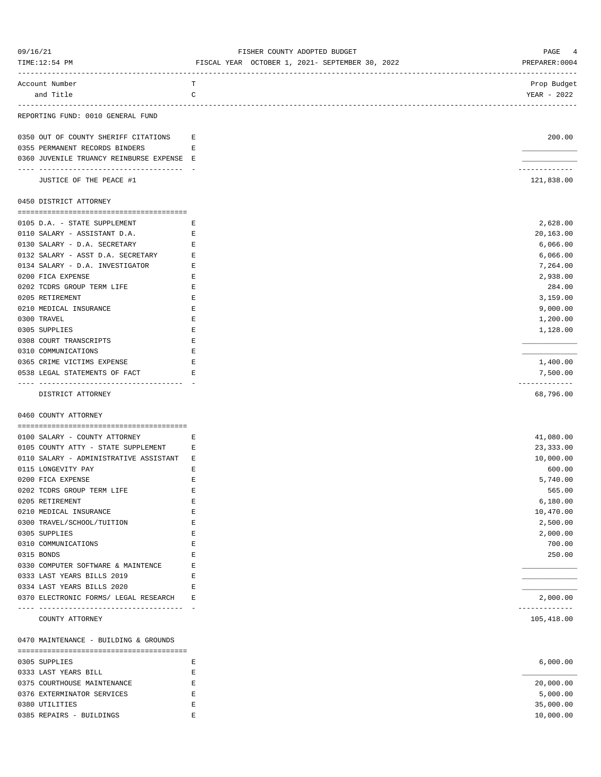| 09/16/21<br>TIME:12:54 PM                 | FISHER COUNTY ADOPTED BUDGET<br>FISCAL YEAR OCTOBER 1, 2021- SEPTEMBER 30, 2022 | PAGE<br>4<br>PREPARER: 0004 |
|-------------------------------------------|---------------------------------------------------------------------------------|-----------------------------|
| Account Number<br>and Title               | т<br>C                                                                          | Prop Budget<br>YEAR - 2022  |
| REPORTING FUND: 0010 GENERAL FUND         |                                                                                 |                             |
| 0350 OUT OF COUNTY SHERIFF CITATIONS      | Е                                                                               | 200.00                      |
| 0355 PERMANENT RECORDS BINDERS            | Е                                                                               |                             |
| 0360 JUVENILE TRUANCY REINBURSE EXPENSE E |                                                                                 |                             |
| JUSTICE OF THE PEACE #1                   |                                                                                 | .<br>121,838.00             |
| 0450 DISTRICT ATTORNEY                    |                                                                                 |                             |
| 0105 D.A. - STATE SUPPLEMENT              | Е                                                                               | 2,628.00                    |
| 0110 SALARY - ASSISTANT D.A.              | Е                                                                               | 20,163.00                   |
| 0130 SALARY - D.A. SECRETARY              | Е                                                                               | 6,066.00                    |
| 0132 SALARY - ASST D.A. SECRETARY         | Е                                                                               | 6,066.00                    |
| 0134 SALARY - D.A. INVESTIGATOR           | E                                                                               | 7,264.00                    |
| 0200 FICA EXPENSE                         | Е                                                                               | 2,938.00                    |
| 0202 TCDRS GROUP TERM LIFE                | Ε                                                                               | 284.00                      |
| 0205 RETIREMENT                           | Ε                                                                               | 3,159.00                    |
| 0210 MEDICAL INSURANCE                    | E                                                                               | 9,000.00                    |
| 0300 TRAVEL                               | Ε                                                                               | 1,200.00                    |
| 0305 SUPPLIES                             | Е                                                                               | 1,128.00                    |
| 0308 COURT TRANSCRIPTS                    | Ε                                                                               |                             |
| 0310 COMMUNICATIONS                       | Е                                                                               |                             |
| 0365 CRIME VICTIMS EXPENSE                | Е                                                                               | 1,400.00                    |
| 0538 LEGAL STATEMENTS OF FACT             | Е                                                                               | 7,500.00                    |
| DISTRICT ATTORNEY                         |                                                                                 | -------------<br>68,796.00  |
| 0460 COUNTY ATTORNEY                      |                                                                                 |                             |
| 0100 SALARY - COUNTY ATTORNEY             | Е                                                                               | 41,080.00                   |
| 0105 COUNTY ATTY - STATE SUPPLEMENT E     |                                                                                 | 23, 333.00                  |
| 0110 SALARY - ADMINISTRATIVE ASSISTANT E  |                                                                                 | 10,000.00                   |
| 0115 LONGEVITY PAY                        | Ε                                                                               | 600.00                      |
| 0200 FICA EXPENSE                         | $\mathbf E$                                                                     | 5,740.00                    |
| 0202 TCDRS GROUP TERM LIFE                | E                                                                               | 565.00                      |
| 0205 RETIREMENT                           | E                                                                               | 6,180.00                    |
| 0210 MEDICAL INSURANCE                    | Ε                                                                               | 10,470.00                   |
| 0300 TRAVEL/SCHOOL/TUITION                | Ε                                                                               | 2,500.00                    |
| 0305 SUPPLIES                             | E                                                                               | 2,000.00                    |
| 0310 COMMUNICATIONS                       | E                                                                               | 700.00                      |
| 0315 BONDS                                | Ε                                                                               | 250.00                      |
| 0330 COMPUTER SOFTWARE & MAINTENCE        | Ε                                                                               |                             |
| 0333 LAST YEARS BILLS 2019                | Ε                                                                               |                             |
| 0334 LAST YEARS BILLS 2020                | Ε                                                                               |                             |
| 0370 ELECTRONIC FORMS/ LEGAL RESEARCH     | Ε                                                                               | 2,000.00                    |
| COUNTY ATTORNEY                           |                                                                                 | ------------<br>105,418.00  |
|                                           |                                                                                 |                             |
| 0470 MAINTENANCE - BUILDING & GROUNDS     |                                                                                 |                             |
| 0305 SUPPLIES                             | Е                                                                               | 6,000.00                    |
| 0333 LAST YEARS BILL                      | Ε                                                                               |                             |
| 0375 COURTHOUSE MAINTENANCE               | Ε                                                                               | 20,000.00                   |
| 0376 EXTERMINATOR SERVICES                | Ε                                                                               | 5,000.00                    |
| 0380 UTILITIES                            | Ε                                                                               | 35,000.00                   |
| 0385 REPAIRS - BUILDINGS                  | Ε                                                                               | 10,000.00                   |
|                                           |                                                                                 |                             |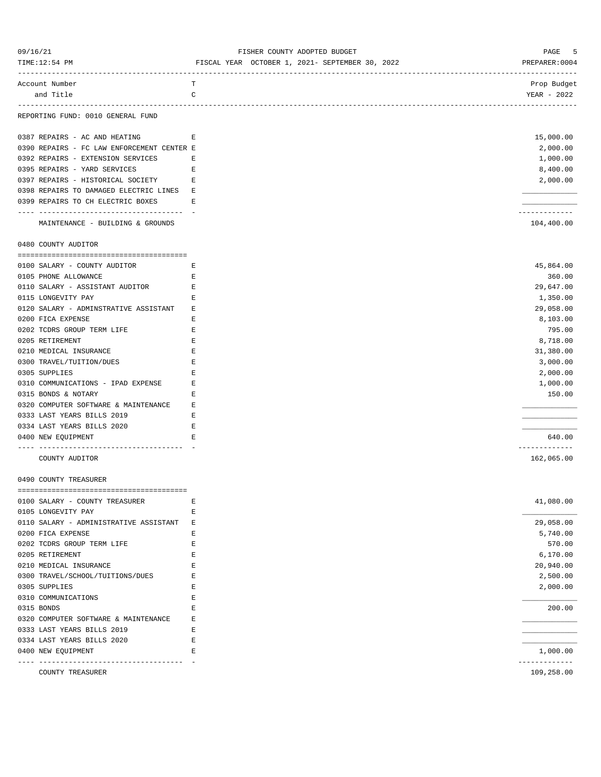| 09/16/21<br>TIME:12:54 PM                                             | FISHER COUNTY ADOPTED BUDGET<br>FISCAL YEAR OCTOBER 1, 2021- SEPTEMBER 30, 2022 | 5<br>PAGE<br>PREPARER:0004  |
|-----------------------------------------------------------------------|---------------------------------------------------------------------------------|-----------------------------|
| Account Number<br>and Title                                           | т<br>C                                                                          | Prop Budget<br>YEAR - 2022  |
| REPORTING FUND: 0010 GENERAL FUND                                     |                                                                                 |                             |
| 0387 REPAIRS - AC AND HEATING                                         | E                                                                               | 15,000.00                   |
| 0390 REPAIRS - FC LAW ENFORCEMENT CENTER E                            |                                                                                 | 2,000.00                    |
| 0392 REPAIRS - EXTENSION SERVICES                                     | Е                                                                               | 1,000.00                    |
| 0395 REPAIRS - YARD SERVICES                                          | E                                                                               | 8,400.00                    |
| 0397 REPAIRS - HISTORICAL SOCIETY E                                   |                                                                                 | 2,000.00                    |
| 0398 REPAIRS TO DAMAGED ELECTRIC LINES E                              |                                                                                 |                             |
| 0399 REPAIRS TO CH ELECTRIC BOXES                                     | Е                                                                               |                             |
| ---------------------------------<br>MAINTENANCE - BUILDING & GROUNDS |                                                                                 | -----------<br>104,400.00   |
| 0480 COUNTY AUDITOR                                                   |                                                                                 |                             |
|                                                                       |                                                                                 |                             |
| 0100 SALARY - COUNTY AUDITOR                                          | E                                                                               | 45,864.00                   |
| 0105 PHONE ALLOWANCE                                                  | Ε                                                                               | 360.00                      |
| 0110 SALARY - ASSISTANT AUDITOR                                       | Е                                                                               | 29,647.00                   |
| 0115 LONGEVITY PAY                                                    | Е                                                                               | 1,350.00                    |
| 0120 SALARY - ADMINSTRATIVE ASSISTANT                                 | Е                                                                               | 29,058.00                   |
| 0200 FICA EXPENSE                                                     | Е                                                                               | 8,103.00                    |
| 0202 TCDRS GROUP TERM LIFE                                            | E                                                                               | 795.00                      |
| 0205 RETIREMENT                                                       | Е                                                                               | 8,718.00                    |
| 0210 MEDICAL INSURANCE                                                | Е                                                                               | 31,380.00                   |
| 0300 TRAVEL/TUITION/DUES                                              | Е                                                                               | 3,000.00                    |
| 0305 SUPPLIES                                                         | Е                                                                               | 2,000.00                    |
| 0310 COMMUNICATIONS - IPAD EXPENSE                                    | Ε                                                                               | 1,000.00                    |
| 0315 BONDS & NOTARY                                                   | Ε                                                                               | 150.00                      |
| 0320 COMPUTER SOFTWARE & MAINTENANCE                                  | Е                                                                               |                             |
| 0333 LAST YEARS BILLS 2019                                            | Е                                                                               |                             |
| 0334 LAST YEARS BILLS 2020                                            | Е                                                                               |                             |
| 0400 NEW EQUIPMENT<br>--------------------                            | Е                                                                               | 640.00<br>------------      |
| COUNTY AUDITOR                                                        |                                                                                 | 162,065.00                  |
| 0490 COUNTY TREASURER                                                 |                                                                                 |                             |
| 0100 SALARY - COUNTY TREASURER                                        | Ε                                                                               | 41,080.00                   |
| 0105 LONGEVITY PAY                                                    | Е                                                                               |                             |
| 0110 SALARY - ADMINISTRATIVE ASSISTANT E                              |                                                                                 | 29,058.00                   |
| 0200 FICA EXPENSE                                                     | Е                                                                               | 5,740.00                    |
| 0202 TCDRS GROUP TERM LIFE                                            | Ε                                                                               | 570.00                      |
| 0205 RETIREMENT                                                       | Е                                                                               | 6,170.00                    |
| 0210 MEDICAL INSURANCE                                                | E                                                                               | 20,940.00                   |
| 0300 TRAVEL/SCHOOL/TUITIONS/DUES                                      | Е                                                                               | 2,500.00                    |
| 0305 SUPPLIES                                                         | Ε                                                                               | 2,000.00                    |
| 0310 COMMUNICATIONS                                                   | Ε                                                                               |                             |
| 0315 BONDS                                                            | Ε                                                                               | 200.00                      |
| 0320 COMPUTER SOFTWARE & MAINTENANCE                                  | Е                                                                               |                             |
| 0333 LAST YEARS BILLS 2019                                            | Ε                                                                               |                             |
| 0334 LAST YEARS BILLS 2020                                            | Е                                                                               |                             |
| 0400 NEW EQUIPMENT<br>-----------------------------------             | Е                                                                               | 1,000.00                    |
| COUNTY TREASURER                                                      |                                                                                 | -------------<br>109,258.00 |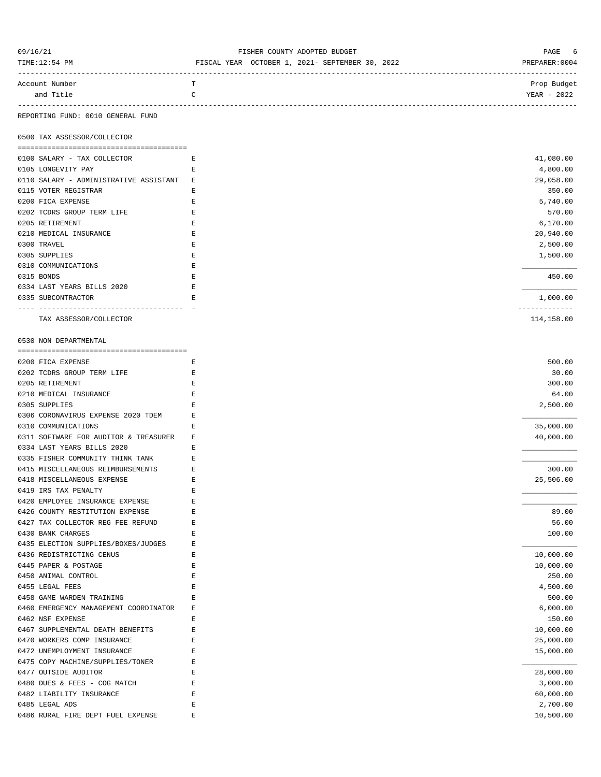| 09/16/21<br>TIME:12:54 PM   |   | FISHER COUNTY ADOPTED BUDGET<br>FISCAL YEAR OCTOBER 1, 2021- SEPTEMBER 30, 2022 | PAGE 6<br>PREPARER: 0004   |
|-----------------------------|---|---------------------------------------------------------------------------------|----------------------------|
| Account Number<br>and Title | T |                                                                                 | Prop Budget<br>YEAR - 2022 |
|                             |   |                                                                                 |                            |

REPORTING FUND: 0010 GENERAL FUND

0500 TAX ASSESSOR/COLLECTOR

| 0100 SALARY - TAX COLLECTOR            | E  | 41,080.00  |
|----------------------------------------|----|------------|
| 0105 LONGEVITY PAY                     | F. | 4,800.00   |
| 0110 SALARY - ADMINISTRATIVE ASSISTANT | Ε  | 29,058.00  |
| 0115 VOTER REGISTRAR                   | E  | 350.00     |
| 0200 FICA EXPENSE                      | E  | 5,740.00   |
| 0202 TCDRS GROUP TERM LIFE             | E  | 570.00     |
| 0205 RETIREMENT                        | F. | 6,170.00   |
| 0210 MEDICAL INSURANCE                 | E  | 20,940.00  |
| 0300 TRAVEL                            | E  | 2,500.00   |
| 0305 SUPPLIES                          | E  | 1,500.00   |
| 0310 COMMUNICATIONS                    | E  |            |
| 0315 BONDS                             | E  | 450.00     |
| 0334 LAST YEARS BILLS 2020             | E  |            |
| 0335 SUBCONTRACTOR                     | E  | 1,000.00   |
|                                        |    |            |
| TAX ASSESSOR/COLLECTOR                 |    | 114,158.00 |

0530 NON DEPARTMENTAL

| 0200 FICA EXPENSE<br>F.                    |  |
|--------------------------------------------|--|
| 0202 TCDRS GROUP TERM LIFE<br>Ε            |  |
| 0205 RETIREMENT<br>E                       |  |
| 0210 MEDICAL INSURANCE<br>E                |  |
| 0305 SUPPLIES<br>E                         |  |
| 0306 CORONAVIRUS EXPENSE 2020 TDEM<br>Ε    |  |
| 0310 COMMUNICATIONS<br>E                   |  |
| 0311 SOFTWARE FOR AUDITOR & TREASURER<br>Ε |  |
| 0334 LAST YEARS BILLS 2020<br>Ε            |  |
| 0335 FISHER COMMUNITY THINK TANK<br>E      |  |
| 0415 MISCELLANEOUS REIMBURSEMENTS<br>E     |  |
| 0418 MISCELLANEOUS EXPENSE<br>E            |  |
| 0419 IRS TAX PENALTY<br>F.                 |  |
| 0420 EMPLOYEE INSURANCE EXPENSE<br>Ε       |  |
| 0426 COUNTY RESTITUTION EXPENSE<br>Ε       |  |
| 0427 TAX COLLECTOR REG FEE REFUND<br>Ε     |  |
| 0430 BANK CHARGES<br>Ε                     |  |
| 0435 ELECTION SUPPLIES/BOXES/JUDGES<br>Ε   |  |
| 0436 REDISTRICTING CENUS<br>F.             |  |
| 0445 PAPER & POSTAGE<br>Ε                  |  |
| 0450 ANIMAL CONTROL<br>E                   |  |
| 0455 LEGAL FEES<br>E                       |  |
| 0458 GAME WARDEN TRAINING<br>E             |  |
| 0460 EMERGENCY MANAGEMENT COORDINATOR<br>Ε |  |
| 0462 NSF EXPENSE<br>F.                     |  |
| 0467 SUPPLEMENTAL DEATH BENEFITS<br>E      |  |
| 0470 WORKERS COMP INSURANCE<br>Ε           |  |
| 0472 UNEMPLOYMENT INSURANCE<br>F.          |  |
| 0475 COPY MACHINE/SUPPLIES/TONER<br>Ε      |  |
| 0477 OUTSIDE AUDITOR<br>E                  |  |
| 0480 DUES & FEES - COG MATCH<br>F.         |  |
| 0482 LIABILITY INSURANCE<br>Ε              |  |
|                                            |  |
| 0485 LEGAL ADS<br>Ε                        |  |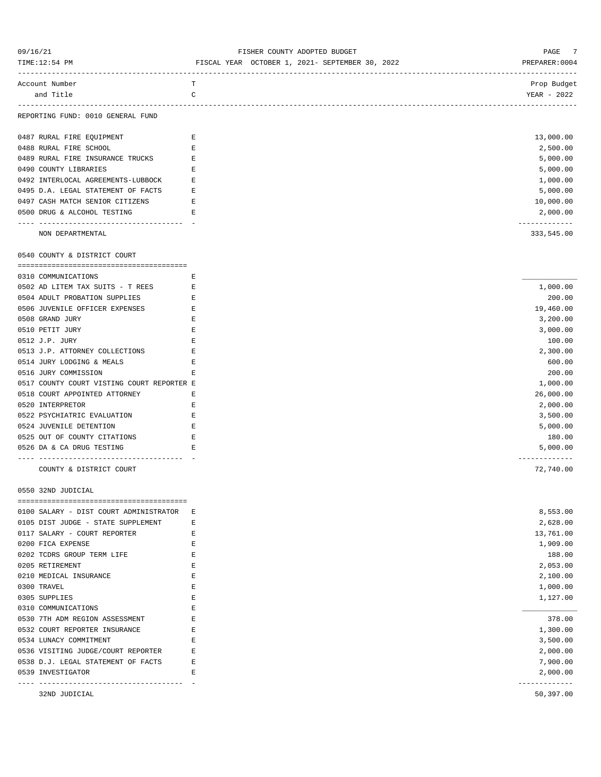| 09/16/21                                                       | FISHER COUNTY ADOPTED BUDGET                    | 7<br>PAGE                   |
|----------------------------------------------------------------|-------------------------------------------------|-----------------------------|
| TIME:12:54 PM                                                  | FISCAL YEAR OCTOBER 1, 2021- SEPTEMBER 30, 2022 | PREPARER: 0004              |
| Account Number                                                 | T                                               | Prop Budget                 |
| and Title                                                      | $\mathsf C$                                     | YEAR - 2022                 |
| REPORTING FUND: 0010 GENERAL FUND                              |                                                 |                             |
| 0487 RURAL FIRE EQUIPMENT                                      | Е                                               | 13,000.00                   |
| 0488 RURAL FIRE SCHOOL                                         | $\mathbf E$                                     | 2,500.00                    |
| 0489 RURAL FIRE INSURANCE TRUCKS                               | E                                               | 5,000.00                    |
| 0490 COUNTY LIBRARIES                                          | Е                                               | 5,000.00                    |
| 0492 INTERLOCAL AGREEMENTS-LUBBOCK                             | E                                               | 1,000.00                    |
| 0495 D.A. LEGAL STATEMENT OF FACTS                             | Е                                               | 5,000.00                    |
| 0497 CASH MATCH SENIOR CITIZENS                                | $\mathbf E$                                     | 10,000.00                   |
| 0500 DRUG & ALCOHOL TESTING                                    | E                                               | 2,000.00                    |
| NON DEPARTMENTAL                                               |                                                 | -------------<br>333,545.00 |
| 0540 COUNTY & DISTRICT COURT                                   |                                                 |                             |
| 0310 COMMUNICATIONS                                            | Е                                               |                             |
| 0502 AD LITEM TAX SUITS - T REES<br>E                          |                                                 | 1,000.00                    |
| 0504 ADULT PROBATION SUPPLIES                                  | E                                               | 200.00                      |
| 0506 JUVENILE OFFICER EXPENSES                                 | E                                               | 19,460.00                   |
| 0508 GRAND JURY                                                | Ε                                               | 3,200.00                    |
| 0510 PETIT JURY                                                | E                                               | 3,000.00                    |
| 0512 J.P. JURY                                                 | E                                               | 100.00                      |
| 0513 J.P. ATTORNEY COLLECTIONS                                 | Е                                               | 2,300.00                    |
| 0514 JURY LODGING & MEALS                                      | Е                                               | 600.00                      |
| 0516 JURY COMMISSION                                           | Е                                               | 200.00                      |
| 0517 COUNTY COURT VISTING COURT REPORTER E                     |                                                 | 1,000.00                    |
| 0518 COURT APPOINTED ATTORNEY                                  | Е                                               | 26,000.00                   |
| 0520 INTERPRETOR                                               | E                                               | 2,000.00                    |
| 0522 PSYCHIATRIC EVALUATION                                    | Е                                               | 3,500.00                    |
| 0524 JUVENILE DETENTION                                        | Е                                               | 5,000.00                    |
| 0525 OUT OF COUNTY CITATIONS                                   | $\mathbf E$                                     | 180.00                      |
| 0526 DA & CA DRUG TESTING                                      | E                                               | 5,000.00                    |
| -----------------------------------<br>COUNTY & DISTRICT COURT |                                                 | -------------<br>72,740.00  |
| 0550 32ND JUDICIAL                                             |                                                 |                             |
| 0100 SALARY - DIST COURT ADMINISTRATOR                         | Е                                               | 8,553.00                    |
| 0105 DIST JUDGE - STATE SUPPLEMENT                             | Е                                               | 2,628.00                    |
| 0117 SALARY - COURT REPORTER                                   | Ε                                               | 13,761.00                   |
| 0200 FICA EXPENSE                                              | E                                               | 1,909.00                    |
| 0202 TCDRS GROUP TERM LIFE                                     | E                                               | 188.00                      |
| 0205 RETIREMENT                                                | Е                                               | 2,053.00                    |
| 0210 MEDICAL INSURANCE                                         | Ε                                               | 2,100.00                    |
| 0300 TRAVEL                                                    | E                                               | 1,000.00                    |
| 0305 SUPPLIES                                                  | $\mathbf E$                                     | 1,127.00                    |
| 0310 COMMUNICATIONS                                            | E                                               |                             |
| 0530 7TH ADM REGION ASSESSMENT                                 | E                                               | 378.00                      |
| 0532 COURT REPORTER INSURANCE                                  | Ε                                               | 1,300.00                    |
| 0534 LUNACY COMMITMENT                                         | Е                                               | 3,500.00                    |
| 0536 VISITING JUDGE/COURT REPORTER                             | Ε                                               | 2,000.00                    |
| 0538 D.J. LEGAL STATEMENT OF FACTS                             | E                                               | 7,900.00                    |
| 0539 INVESTIGATOR                                              | E                                               | 2,000.00                    |
| 32ND JUDICIAL                                                  |                                                 | -------------<br>50,397.00  |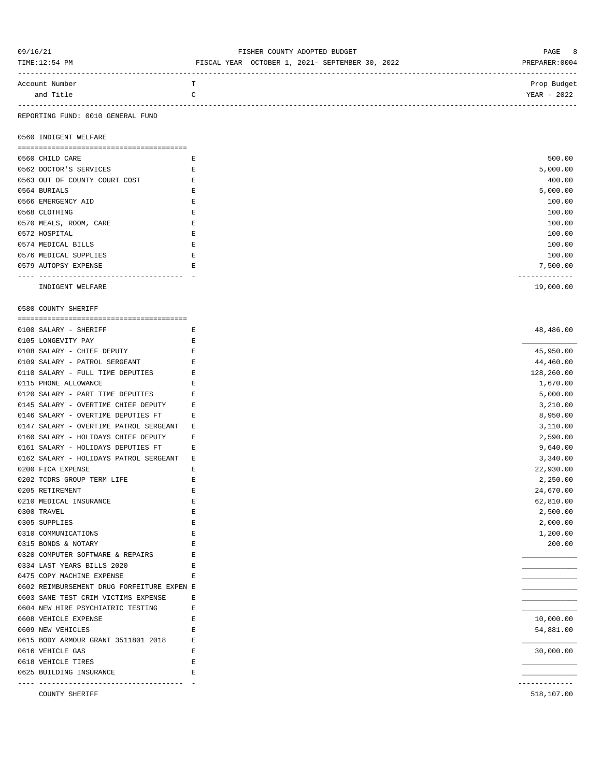| 09/16/21       | FISHER COUNTY ADOPTED BUDGET                    | PAGE 8        |
|----------------|-------------------------------------------------|---------------|
| TIME:12:54 PM  | FISCAL YEAR OCTOBER 1, 2021- SEPTEMBER 30, 2022 | PREPARER:0004 |
|                |                                                 |               |
| Account Number | m.                                              | Prop Budget   |
| and Title      |                                                 | YEAR - 2022   |
|                |                                                 |               |

#### REPORTING FUND: 0010 GENERAL FUND

0560 INDIGENT WELFARE

| 0560 CHILD CARE               | Ε | 500.00    |  |
|-------------------------------|---|-----------|--|
| 0562 DOCTOR'S SERVICES        |   | 5,000.00  |  |
| 0563 OUT OF COUNTY COURT COST |   | 400.00    |  |
| 0564 BURIALS                  |   | 5,000.00  |  |
| 0566 EMERGENCY AID            |   | 100.00    |  |
| 0568 CLOTHING                 | E | 100.00    |  |
| 0570 MEALS, ROOM, CARE        |   | 100.00    |  |
| 0572 HOSPITAL                 |   | 100.00    |  |
| 0574 MEDICAL BILLS            |   | 100.00    |  |
| 0576 MEDICAL SUPPLIES         |   | 100.00    |  |
| 0579 AUTOPSY EXPENSE          | E | 7,500.00  |  |
|                               |   |           |  |
| INDIGENT WELFARE              |   | 19,000.00 |  |

0580 COUNTY SHERIFF

| 0100 SALARY - SHERIFF                      | Ε           | 48,486.00                |
|--------------------------------------------|-------------|--------------------------|
| 0105 LONGEVITY PAY                         | E.          |                          |
| 0108 SALARY - CHIEF DEPUTY                 | E           | 45,950.00                |
| 0109 SALARY - PATROL SERGEANT              | E.          | 44,460.00                |
| 0110 SALARY - FULL TIME DEPUTIES           | Ε           | 128,260.00               |
| 0115 PHONE ALLOWANCE                       | Ε           | 1,670.00                 |
| 0120 SALARY - PART TIME DEPUTIES           | E.          | 5,000.00                 |
| 0145 SALARY - OVERTIME CHIEF DEPUTY        | Е           | 3,210.00                 |
| 0146 SALARY - OVERTIME DEPUTIES FT         | E.          | 8,950.00                 |
| 0147 SALARY - OVERTIME PATROL SERGEANT     | Ε           | 3,110.00                 |
| 0160 SALARY - HOLIDAYS CHIEF DEPUTY        | Ε           | 2,590.00                 |
| 0161 SALARY - HOLIDAYS DEPUTIES FT         | Ε           | 9,640.00                 |
| 0162 SALARY - HOLIDAYS PATROL SERGEANT     | $\mathbf E$ | 3,340.00                 |
| 0200 FICA EXPENSE                          | Ε           | 22,930.00                |
| 0202 TCDRS GROUP TERM LIFE                 | E           | 2,250.00                 |
| 0205 RETIREMENT                            | E           | 24,670.00                |
| 0210 MEDICAL INSURANCE                     | Ε           | 62,810.00                |
| 0300 TRAVEL                                | E           | 2,500.00                 |
| 0305 SUPPLIES                              | $\mathbf E$ | 2,000.00                 |
| 0310 COMMUNICATIONS                        | E.          | 1,200.00                 |
| 0315 BONDS & NOTARY                        | Ε           | 200.00                   |
| 0320 COMPUTER SOFTWARE & REPAIRS           | F.          |                          |
| 0334 LAST YEARS BILLS 2020                 | E           |                          |
| 0475 COPY MACHINE EXPENSE                  | E.          |                          |
| 0602 REIMBURSEMENT DRUG FORFEITURE EXPEN E |             |                          |
| 0603 SANE TEST CRIM VICTIMS EXPENSE        | E.          |                          |
| 0604 NEW HIRE PSYCHIATRIC TESTING          | Ε           |                          |
| 0608 VEHICLE EXPENSE                       | E.          | 10,000.00                |
| 0609 NEW VEHICLES                          | Ε           | 54,881.00                |
| 0615 BODY ARMOUR GRANT 3511801 2018        | Ε           |                          |
| 0616 VEHICLE GAS                           | $\mathbf E$ | 30,000.00                |
| 0618 VEHICLE TIRES                         | E           |                          |
| 0625 BUILDING INSURANCE                    | E.          |                          |
| <b>COUNTY SHERIFF</b>                      |             | ----------<br>518,107.00 |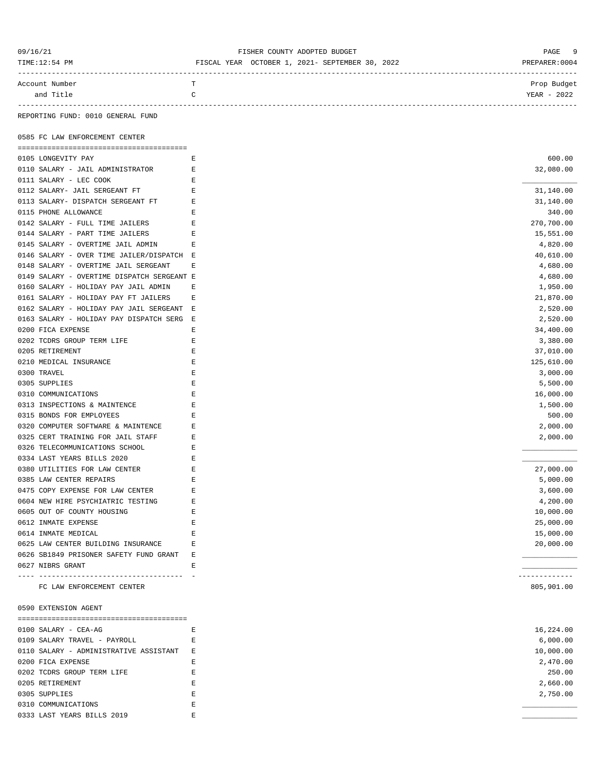### 09/16/21 FISHER COUNTY ADOPTED BUDGET PAGE 9

| TIME:12:54 PM  | FISCAL YEAR OCTOBER 1, 2021- SEPTEMBER 30, 2022 | PREPARER:0004 |
|----------------|-------------------------------------------------|---------------|
| Account Number |                                                 | Prop Budget   |
| .              |                                                 | -----         |

| and |  | <b>TERT</b><br>ה ר<br>Y EAR<br>404Z |
|-----|--|-------------------------------------|
|     |  |                                     |

REPORTING FUND: 0010 GENERAL FUND

0585 FC LAW ENFORCEMENT CENTER

| 0105 LONGEVITY PAY                         | Е              | 600.00                      |
|--------------------------------------------|----------------|-----------------------------|
| 0110 SALARY - JAIL ADMINISTRATOR           | E              | 32,080.00                   |
| 0111 SALARY - LEC COOK                     | E              |                             |
| 0112 SALARY- JAIL SERGEANT FT              | Е              | 31,140.00                   |
| 0113 SALARY- DISPATCH SERGEANT FT          | E              | 31,140.00                   |
| 0115 PHONE ALLOWANCE                       | Е              | 340.00                      |
| 0142 SALARY - FULL TIME JAILERS            | E              | 270,700.00                  |
| 0144 SALARY - PART TIME JAILERS            | Е              | 15,551.00                   |
| 0145 SALARY - OVERTIME JAIL ADMIN          | Е              | 4,820.00                    |
| 0146 SALARY - OVER TIME JAILER/DISPATCH E  |                | 40,610.00                   |
| 0148 SALARY - OVERTIME JAIL SERGEANT       | Е              | 4,680.00                    |
| 0149 SALARY - OVERTIME DISPATCH SERGEANT E |                | 4,680.00                    |
| 0160 SALARY - HOLIDAY PAY JAIL ADMIN       | Е              | 1,950.00                    |
| 0161 SALARY - HOLIDAY PAY FT JAILERS       | E              | 21,870.00                   |
| 0162 SALARY - HOLIDAY PAY JAIL SERGEANT E  |                | 2,520.00                    |
| 0163 SALARY - HOLIDAY PAY DISPATCH SERG E  |                | 2,520.00                    |
| 0200 FICA EXPENSE                          | E              | 34,400.00                   |
| 0202 TCDRS GROUP TERM LIFE                 | E              | 3,380.00                    |
| 0205 RETIREMENT                            | $\mathbf E$    | 37,010.00                   |
| 0210 MEDICAL INSURANCE                     | $\mathbf E$    | 125,610.00                  |
| 0300 TRAVEL                                | E              |                             |
|                                            | E              | 3,000.00                    |
| 0305 SUPPLIES                              |                | 5,500.00                    |
| 0310 COMMUNICATIONS                        | Е              | 16,000.00                   |
| 0313 INSPECTIONS & MAINTENCE               | $\mathbf E$    | 1,500.00                    |
| 0315 BONDS FOR EMPLOYEES                   | $\mathbf E$    | 500.00                      |
| 0320 COMPUTER SOFTWARE & MAINTENCE         | Е              | 2,000.00                    |
| 0325 CERT TRAINING FOR JAIL STAFF          | Е              | 2,000.00                    |
| 0326 TELECOMMUNICATIONS SCHOOL             | E              |                             |
| 0334 LAST YEARS BILLS 2020                 | E              |                             |
| 0380 UTILITIES FOR LAW CENTER              | $\mathbf E$    | 27,000.00                   |
| 0385 LAW CENTER REPAIRS                    | E              | 5,000.00                    |
| 0475 COPY EXPENSE FOR LAW CENTER           | Е              | 3,600.00                    |
| 0604 NEW HIRE PSYCHIATRIC TESTING          | Е              | 4,200.00                    |
| 0605 OUT OF COUNTY HOUSING                 | Е              | 10,000.00                   |
| 0612 INMATE EXPENSE                        | Е              | 25,000.00                   |
| 0614 INMATE MEDICAL                        | $\mathbf E$    | 15,000.00                   |
| 0625 LAW CENTER BUILDING INSURANCE         | Е              | 20,000.00                   |
| 0626 SB1849 PRISONER SAFETY FUND GRANT     | $\overline{E}$ |                             |
| 0627 NIBRS GRANT                           | $\mathbf E$    |                             |
| FC LAW ENFORCEMENT CENTER                  |                | -------------<br>805,901.00 |
| 0590 EXTENSION AGENT                       |                |                             |
| 0100 SALARY - CEA-AG                       | Ε              | 16,224.00                   |
| 0109 SALARY TRAVEL - PAYROLL               | Е              | 6,000.00                    |
| 0110 SALARY - ADMINISTRATIVE ASSISTANT     | Е              | 10,000.00                   |
| 0200 FICA EXPENSE                          | Е              | 2,470.00                    |
| 0202 TCDRS GROUP TERM LIFE                 |                | 250.00                      |
|                                            | Е              |                             |
| 0205 RETIREMENT                            | Ε              | 2,660.00                    |
| 0305 SUPPLIES                              | $\mathbf E$    | 2,750.00                    |
| 0310 COMMUNICATIONS                        | Ε              |                             |
| 0333 LAST YEARS BILLS 2019                 | E              |                             |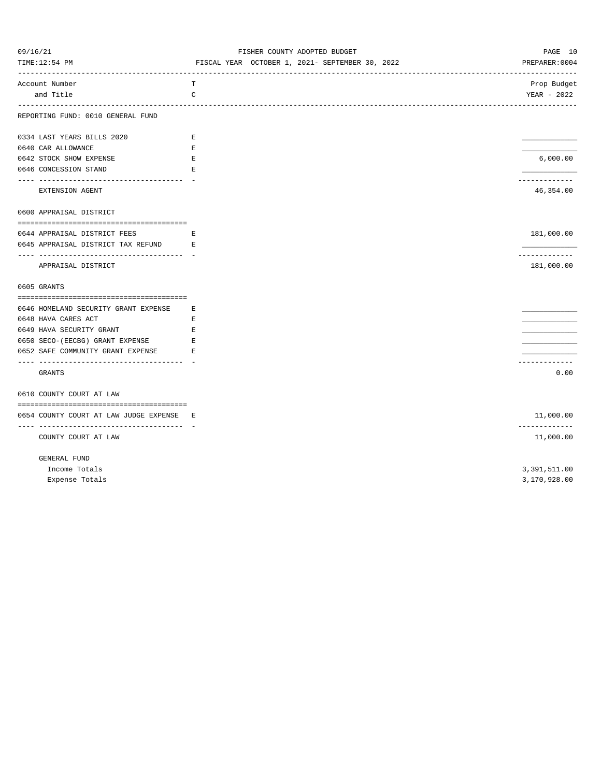| 09/16/21                                                                        | FISHER COUNTY ADOPTED BUDGET                    | PAGE 10                     |
|---------------------------------------------------------------------------------|-------------------------------------------------|-----------------------------|
| TIME:12:54 PM                                                                   | FISCAL YEAR OCTOBER 1, 2021- SEPTEMBER 30, 2022 | PREPARER: 0004              |
| Account Number                                                                  | т                                               |                             |
| and Title                                                                       | C                                               | Prop Budget<br>YEAR - 2022  |
| REPORTING FUND: 0010 GENERAL FUND                                               |                                                 |                             |
| 0334 LAST YEARS BILLS 2020                                                      | E                                               |                             |
| 0640 CAR ALLOWANCE                                                              | $\mathbf E$                                     |                             |
| 0642 STOCK SHOW EXPENSE                                                         | Е                                               | 6,000.00                    |
| 0646 CONCESSION STAND                                                           | $\mathbf E$                                     |                             |
| ---------------------------------                                               |                                                 | -----------                 |
| EXTENSION AGENT                                                                 |                                                 | 46,354.00                   |
| 0600 APPRAISAL DISTRICT                                                         |                                                 |                             |
|                                                                                 |                                                 |                             |
| 0644 APPRAISAL DISTRICT FEES                                                    | Е                                               | 181,000.00                  |
| 0645 APPRAISAL DISTRICT TAX REFUND                                              | Е                                               |                             |
| APPRAISAL DISTRICT                                                              |                                                 | -------------<br>181,000.00 |
| 0605 GRANTS                                                                     |                                                 |                             |
| 0646 HOMELAND SECURITY GRANT EXPENSE                                            | Е                                               |                             |
| 0648 HAVA CARES ACT                                                             | E                                               |                             |
| 0649 HAVA SECURITY GRANT                                                        | Е                                               |                             |
| 0650 SECO-(EECBG) GRANT EXPENSE                                                 | $\mathbf E$                                     |                             |
| 0652 SAFE COMMUNITY GRANT EXPENSE                                               | Е                                               |                             |
| ----------------------------                                                    |                                                 | ------------                |
| <b>GRANTS</b>                                                                   |                                                 | 0.00                        |
| 0610 COUNTY COURT AT LAW                                                        |                                                 |                             |
|                                                                                 |                                                 |                             |
| 0654 COUNTY COURT AT LAW JUDGE EXPENSE E<br>----------------------------------- |                                                 | 11,000.00                   |
| COUNTY COURT AT LAW                                                             |                                                 | -------------<br>11,000.00  |
| GENERAL FUND                                                                    |                                                 |                             |
| Income Totals                                                                   |                                                 | 3,391,511.00                |
| Expense Totals                                                                  |                                                 | 3,170,928.00                |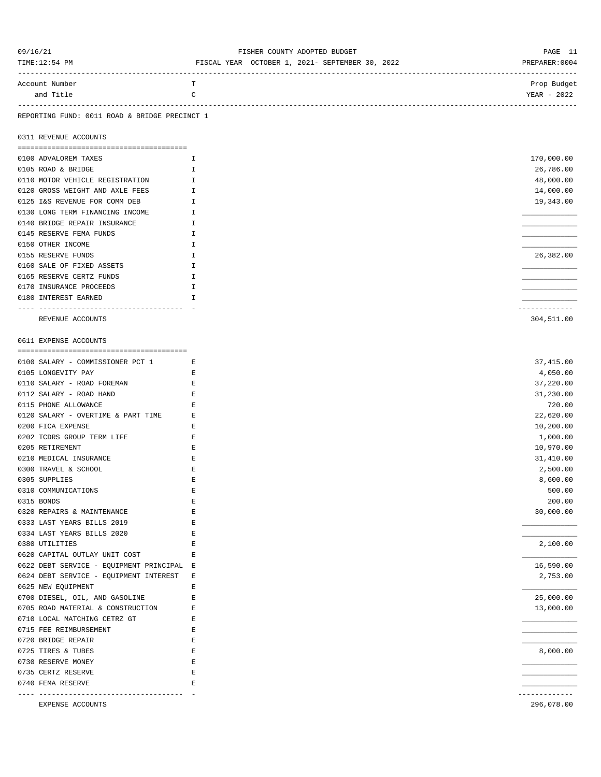| 09/16/21<br>TIME:12:54 PM                                         | FISHER COUNTY ADOPTED BUDGET<br>FISCAL YEAR OCTOBER 1, 2021- SEPTEMBER 30, 2022 | PAGE 11<br>PREPARER: 0004  |
|-------------------------------------------------------------------|---------------------------------------------------------------------------------|----------------------------|
| Account Number<br>and Title                                       | т<br>C                                                                          | Prop Budget<br>YEAR - 2022 |
| REPORTING FUND: 0011 ROAD & BRIDGE PRECINCT 1                     |                                                                                 |                            |
| 0311 REVENUE ACCOUNTS                                             |                                                                                 |                            |
| 0100 ADVALOREM TAXES                                              | I                                                                               | 170,000.00                 |
| 0105 ROAD & BRIDGE                                                | I                                                                               | 26,786.00                  |
| 0110 MOTOR VEHICLE REGISTRATION                                   | $\mathbbm{I}$                                                                   | 48,000.00                  |
| 0120 GROSS WEIGHT AND AXLE FEES                                   | Ι                                                                               | 14,000.00                  |
| 0125 I&S REVENUE FOR COMM DEB                                     | $\mathbf{I}$                                                                    | 19,343.00                  |
| 0130 LONG TERM FINANCING INCOME                                   | Ι                                                                               |                            |
| 0140 BRIDGE REPAIR INSURANCE                                      | $\mathbb{I}$                                                                    |                            |
| 0145 RESERVE FEMA FUNDS                                           | Ι                                                                               |                            |
| 0150 OTHER INCOME                                                 | $\mathbbm{I}$                                                                   |                            |
| 0155 RESERVE FUNDS                                                | H                                                                               | 26,382.00                  |
| 0160 SALE OF FIXED ASSETS                                         | I                                                                               |                            |
| 0165 RESERVE CERTZ FUNDS                                          | I                                                                               |                            |
| 0170 INSURANCE PROCEEDS                                           | I                                                                               |                            |
| 0180 INTEREST EARNED                                              | I                                                                               |                            |
| ----------------<br>REVENUE ACCOUNTS                              |                                                                                 | ----------<br>304,511.00   |
| 0611 EXPENSE ACCOUNTS                                             |                                                                                 |                            |
|                                                                   |                                                                                 |                            |
| 0100 SALARY - COMMISSIONER PCT 1<br>$\mathbf{E}$ and $\mathbf{E}$ |                                                                                 | 37,415.00                  |
| 0105 LONGEVITY PAY                                                | Е                                                                               | 4,050.00                   |
| 0110 SALARY - ROAD FOREMAN                                        | E                                                                               | 37,220.00                  |
| 0112 SALARY - ROAD HAND<br>0115 PHONE ALLOWANCE                   | Е<br>Е                                                                          | 31,230.00<br>720.00        |
| 0120 SALARY - OVERTIME & PART TIME                                | Е                                                                               | 22,620.00                  |
| 0200 FICA EXPENSE                                                 | Е                                                                               | 10,200.00                  |
| 0202 TCDRS GROUP TERM LIFE                                        | Е                                                                               | 1,000.00                   |
| 0205 RETIREMENT                                                   | Е                                                                               | 10,970.00                  |
| 0210 MEDICAL INSURANCE                                            | Е                                                                               | 31,410.00                  |
| 0300 TRAVEL & SCHOOL                                              | E                                                                               | 2,500.00                   |
| 0305 SUPPLIES                                                     | E                                                                               | 8,600.00                   |
| 0310 COMMUNICATIONS                                               | E                                                                               | 500.00                     |
| 0315 BONDS                                                        | E                                                                               | 200.00                     |
| 0320 REPAIRS & MAINTENANCE                                        | Ε                                                                               | 30,000.00                  |
| 0333 LAST YEARS BILLS 2019                                        | E                                                                               |                            |
| 0334 LAST YEARS BILLS 2020                                        | E                                                                               |                            |
| 0380 UTILITIES                                                    | Ε                                                                               | 2,100.00                   |
| 0620 CAPITAL OUTLAY UNIT COST                                     | Ε                                                                               |                            |
| 0622 DEBT SERVICE - EQUIPMENT PRINCIPAL                           | Е                                                                               | 16,590.00                  |
| 0624 DEBT SERVICE - EQUIPMENT INTEREST                            | Ε                                                                               | 2,753.00                   |
| 0625 NEW EQUIPMENT                                                | E                                                                               |                            |
| 0700 DIESEL, OIL, AND GASOLINE                                    | E                                                                               | 25,000.00                  |
| 0705 ROAD MATERIAL & CONSTRUCTION                                 | Ε                                                                               | 13,000.00                  |
| 0710 LOCAL MATCHING CETRZ GT                                      | Ε                                                                               |                            |
| 0715 FEE REIMBURSEMENT                                            | Ε                                                                               |                            |
| 0720 BRIDGE REPAIR                                                | E                                                                               |                            |
| 0725 TIRES & TUBES                                                | E                                                                               | 8,000.00                   |
| 0730 RESERVE MONEY                                                | E                                                                               |                            |
| 0735 CERTZ RESERVE                                                | Ε                                                                               |                            |
| 0740 FEMA RESERVE<br>-------------<br>--------------------        | Ε                                                                               | -----------                |
| EXPENSE ACCOUNTS                                                  |                                                                                 | 296,078.00                 |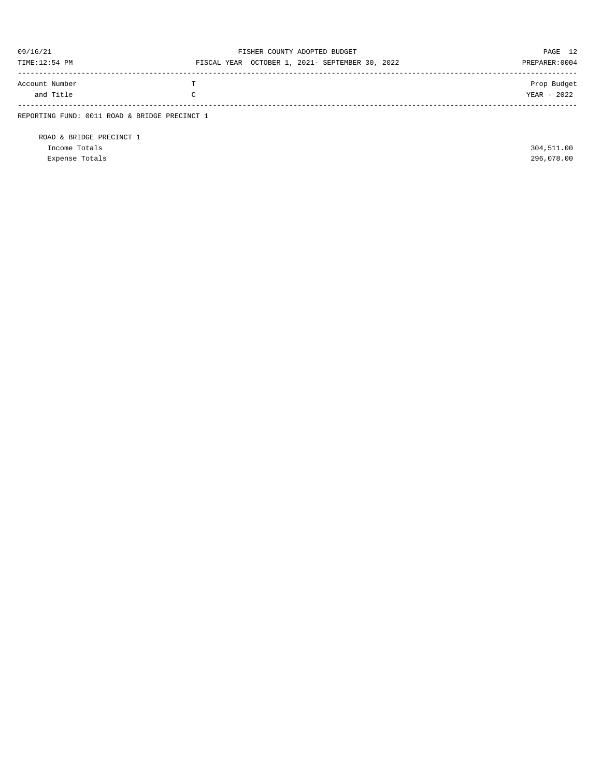| 09/16/21<br>TIME:12:54 PM                     |                    | FISHER COUNTY ADOPTED BUDGET<br>FISCAL YEAR OCTOBER 1, 2021- SEPTEMBER 30, 2022 | PAGE 12<br>PREPARER: 0004  |
|-----------------------------------------------|--------------------|---------------------------------------------------------------------------------|----------------------------|
| Account Number<br>and Title                   | T<br>$\mathcal{C}$ |                                                                                 | Prop Budget<br>YEAR - 2022 |
| REPORTING FUND: 0011 ROAD & BRIDGE PRECINCT 1 |                    |                                                                                 |                            |

ROAD & BRIDGE PRECINCT 1 Income Totals 304,511.00 Expense Totals 296,078.00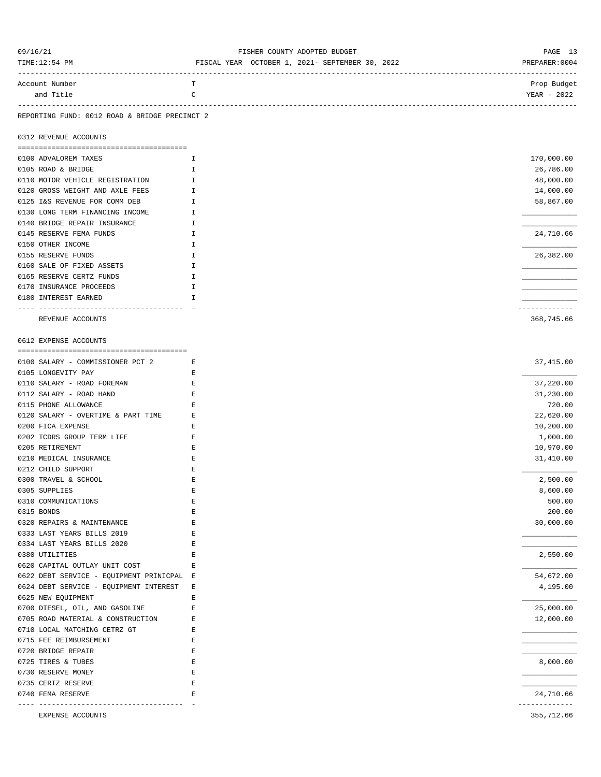| 09/16/21                                                         | FISHER COUNTY ADOPTED BUDGET                    | PAGE 13                    |
|------------------------------------------------------------------|-------------------------------------------------|----------------------------|
| TIME:12:54 PM                                                    | FISCAL YEAR OCTOBER 1, 2021- SEPTEMBER 30, 2022 | PREPARER: 0004             |
| Account Number                                                   | т                                               | Prop Budget                |
| and Title                                                        | C                                               | YEAR - 2022                |
|                                                                  |                                                 | ---------------------      |
| REPORTING FUND: 0012 ROAD & BRIDGE PRECINCT 2                    |                                                 |                            |
| 0312 REVENUE ACCOUNTS                                            |                                                 |                            |
|                                                                  |                                                 |                            |
| 0100 ADVALOREM TAXES                                             | I.                                              | 170,000.00                 |
| 0105 ROAD & BRIDGE                                               | I                                               | 26,786.00                  |
| 0110 MOTOR VEHICLE REGISTRATION                                  | I                                               | 48,000.00                  |
| 0120 GROSS WEIGHT AND AXLE FEES<br>0125 I&S REVENUE FOR COMM DEB | I<br>I.                                         | 14,000.00<br>58,867.00     |
| 0130 LONG TERM FINANCING INCOME                                  | I.                                              |                            |
| 0140 BRIDGE REPAIR INSURANCE                                     | Ι.                                              |                            |
| 0145 RESERVE FEMA FUNDS                                          | I                                               | 24,710.66                  |
| 0150 OTHER INCOME                                                | I                                               |                            |
| 0155 RESERVE FUNDS                                               | I                                               | 26,382.00                  |
| 0160 SALE OF FIXED ASSETS                                        | I                                               |                            |
| 0165 RESERVE CERTZ FUNDS                                         | $\mathbbm{I}$                                   |                            |
| 0170 INSURANCE PROCEEDS                                          | I                                               |                            |
| 0180 INTEREST EARNED                                             | I                                               |                            |
| ----------------------------------                               |                                                 | -----------                |
| REVENUE ACCOUNTS                                                 |                                                 | 368,745.66                 |
|                                                                  |                                                 |                            |
| 0612 EXPENSE ACCOUNTS                                            |                                                 |                            |
| 0100 SALARY - COMMISSIONER PCT 2                                 | Е                                               | 37,415.00                  |
| 0105 LONGEVITY PAY                                               | Е                                               |                            |
| 0110 SALARY - ROAD FOREMAN                                       | Ε                                               | 37,220.00                  |
| 0112 SALARY - ROAD HAND                                          | Е                                               | 31,230.00                  |
| 0115 PHONE ALLOWANCE                                             | Ε                                               | 720.00                     |
| 0120 SALARY - OVERTIME & PART TIME                               | Е                                               | 22,620.00                  |
| 0200 FICA EXPENSE                                                | Е                                               | 10,200.00                  |
| 0202 TCDRS GROUP TERM LIFE                                       | Ε                                               | 1,000.00                   |
| 0205 RETIREMENT                                                  | Ε                                               | 10,970.00                  |
| 0210 MEDICAL INSURANCE                                           | E                                               | 31,410.00                  |
| 0212 CHILD SUPPORT                                               | Ε                                               |                            |
| 0300 TRAVEL & SCHOOL                                             | $\mathbf E$                                     | 2,500.00                   |
| 0305 SUPPLIES                                                    | Ε                                               | 8,600.00                   |
| 0310 COMMUNICATIONS                                              | E                                               | 500.00                     |
| 0315 BONDS                                                       | $\mathbf E$                                     | 200.00                     |
| 0320 REPAIRS & MAINTENANCE                                       | $\mathbf E$                                     | 30,000.00                  |
| 0333 LAST YEARS BILLS 2019                                       | Ε                                               |                            |
| 0334 LAST YEARS BILLS 2020                                       | Ε                                               |                            |
| 0380 UTILITIES                                                   | E                                               | 2,550.00                   |
| 0620 CAPITAL OUTLAY UNIT COST                                    | Ε                                               |                            |
| 0622 DEBT SERVICE - EQUIPMENT PRINICPAL E                        |                                                 | 54,672.00                  |
| 0624 DEBT SERVICE - EQUIPMENT INTEREST                           | Ε                                               | 4,195.00                   |
| 0625 NEW EQUIPMENT                                               | Ε                                               |                            |
| 0700 DIESEL, OIL, AND GASOLINE                                   | Ε                                               | 25,000.00                  |
| 0705 ROAD MATERIAL & CONSTRUCTION                                | Е                                               | 12,000.00                  |
| 0710 LOCAL MATCHING CETRZ GT                                     | Ε                                               |                            |
| 0715 FEE REIMBURSEMENT                                           | E                                               |                            |
| 0720 BRIDGE REPAIR                                               | E                                               |                            |
| 0725 TIRES & TUBES                                               | Ε                                               | 8,000.00                   |
| 0730 RESERVE MONEY                                               | E                                               |                            |
| 0735 CERTZ RESERVE                                               | $\mathbf E$                                     |                            |
| 0740 FEMA RESERVE<br>--------------------                        | E                                               | 24,710.66<br>------------- |
| EXPENSE ACCOUNTS                                                 |                                                 | 355,712.66                 |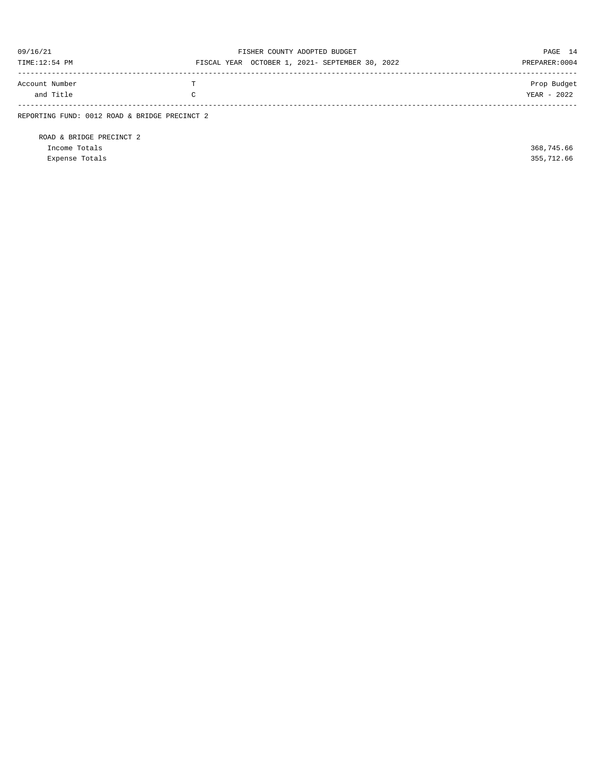| 09/16/21<br>TIME:12:54 PM                     |   | FISHER COUNTY ADOPTED BUDGET<br>FISCAL YEAR OCTOBER 1, 2021- SEPTEMBER 30, 2022 | PAGE 14<br>PREPARER: 0004  |
|-----------------------------------------------|---|---------------------------------------------------------------------------------|----------------------------|
| Account Number<br>and Title                   | C |                                                                                 | Prop Budget<br>YEAR - 2022 |
| REPORTING FUND: 0012 ROAD & BRIDGE PRECINCT 2 |   |                                                                                 |                            |

ROAD & BRIDGE PRECINCT 2 Income Totals 368,745.66 Expense Totals 355,712.66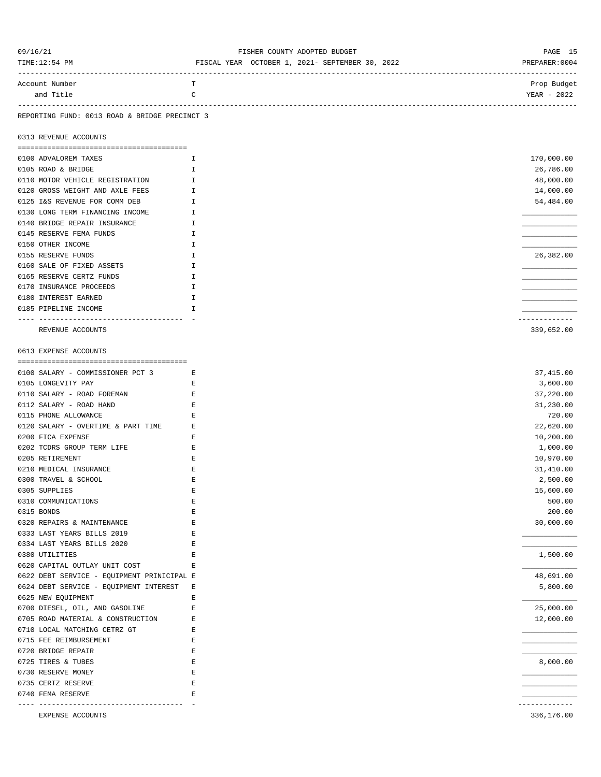| Account Number<br>т<br>YEAR - 2022<br>and Title<br>C<br>REPORTING FUND: 0013 ROAD & BRIDGE PRECINCT 3<br>0313 REVENUE ACCOUNTS<br>170,000.00<br>0100 ADVALOREM TAXES<br>I<br>0105 ROAD & BRIDGE<br>I<br>26,786.00<br>0110 MOTOR VEHICLE REGISTRATION<br>$\mathbbm{I}$<br>48,000.00<br>0120 GROSS WEIGHT AND AXLE FEES<br>Ι<br>14,000.00<br>0125 I&S REVENUE FOR COMM DEB<br>54,484.00<br>$\mathbf{I}$<br>0130 LONG TERM FINANCING INCOME<br>Ι<br>0140 BRIDGE REPAIR INSURANCE<br>$\mathbb{I}$<br>0145 RESERVE FEMA FUNDS<br>I<br>0150 OTHER INCOME<br>$\mathbbm{I}$<br>26,382.00<br>0155 RESERVE FUNDS<br>H<br>0160 SALE OF FIXED ASSETS<br>I<br>0165 RESERVE CERTZ FUNDS<br>I<br>0170 INSURANCE PROCEEDS<br>I<br>0180 INTEREST EARNED<br>I<br>0185 PIPELINE INCOME<br>I<br>-----------<br>339,652.00<br>REVENUE ACCOUNTS<br>0613 EXPENSE ACCOUNTS<br>37,415.00<br>0100 SALARY - COMMISSIONER PCT 3<br>Е<br>0105 LONGEVITY PAY<br>E<br>3,600.00<br>0110 SALARY - ROAD FOREMAN<br>37,220.00<br>Е<br>0112 SALARY - ROAD HAND<br>31,230.00<br>Е<br>$\mathbf E$<br>720.00<br>0115 PHONE ALLOWANCE<br>0120 SALARY - OVERTIME & PART TIME<br>Е<br>22,620.00<br>0200 FICA EXPENSE<br>10,200.00<br>Е<br>0202 TCDRS GROUP TERM LIFE<br>Е<br>1,000.00<br>0205 RETIREMENT<br>Ε<br>10,970.00<br>31,410.00<br>0210 MEDICAL INSURANCE<br>Ε<br>0300 TRAVEL & SCHOOL<br>E<br>2,500.00<br>E<br>15,600.00<br>0305 SUPPLIES<br>$\mathbf E$<br>0310 COMMUNICATIONS<br>500.00<br>0315 BONDS<br>E<br>200.00<br>E<br>30,000.00<br>0320 REPAIRS & MAINTENANCE<br>0333 LAST YEARS BILLS 2019<br>E<br>0334 LAST YEARS BILLS 2020<br>E<br>0380 UTILITIES<br>1,500.00<br>Ε<br>0620 CAPITAL OUTLAY UNIT COST<br>Ε<br>0622 DEBT SERVICE - EQUIPMENT PRINICIPAL E<br>48,691.00<br>0624 DEBT SERVICE - EQUIPMENT INTEREST<br>5,800.00<br>Ε<br>0625 NEW EQUIPMENT<br>E<br>0700 DIESEL, OIL, AND GASOLINE<br>E<br>25,000.00<br>0705 ROAD MATERIAL & CONSTRUCTION<br>12,000.00<br>Ε<br>0710 LOCAL MATCHING CETRZ GT<br>Ε<br>0715 FEE REIMBURSEMENT<br>Ε<br>E<br>0720 BRIDGE REPAIR<br>E<br>8,000.00<br>0725 TIRES & TUBES<br>0730 RESERVE MONEY<br>Ε<br>0735 CERTZ RESERVE<br>Ε<br>E<br>0740 FEMA RESERVE<br>-----------<br>---------------------<br>336,176.00<br>EXPENSE ACCOUNTS | 09/16/21<br>TIME:12:54 PM | FISHER COUNTY ADOPTED BUDGET<br>FISCAL YEAR OCTOBER 1, 2021- SEPTEMBER 30, 2022 | PAGE 15<br>PREPARER: 0004 |
|--------------------------------------------------------------------------------------------------------------------------------------------------------------------------------------------------------------------------------------------------------------------------------------------------------------------------------------------------------------------------------------------------------------------------------------------------------------------------------------------------------------------------------------------------------------------------------------------------------------------------------------------------------------------------------------------------------------------------------------------------------------------------------------------------------------------------------------------------------------------------------------------------------------------------------------------------------------------------------------------------------------------------------------------------------------------------------------------------------------------------------------------------------------------------------------------------------------------------------------------------------------------------------------------------------------------------------------------------------------------------------------------------------------------------------------------------------------------------------------------------------------------------------------------------------------------------------------------------------------------------------------------------------------------------------------------------------------------------------------------------------------------------------------------------------------------------------------------------------------------------------------------------------------------------------------------------------------------------------------------------------------------------------------------------------------------------------------------------------------------------------------------------------------------------------------------------------------------------------------------------|---------------------------|---------------------------------------------------------------------------------|---------------------------|
|                                                                                                                                                                                                                                                                                                                                                                                                                                                                                                                                                                                                                                                                                                                                                                                                                                                                                                                                                                                                                                                                                                                                                                                                                                                                                                                                                                                                                                                                                                                                                                                                                                                                                                                                                                                                                                                                                                                                                                                                                                                                                                                                                                                                                                                  |                           |                                                                                 | Prop Budget               |
|                                                                                                                                                                                                                                                                                                                                                                                                                                                                                                                                                                                                                                                                                                                                                                                                                                                                                                                                                                                                                                                                                                                                                                                                                                                                                                                                                                                                                                                                                                                                                                                                                                                                                                                                                                                                                                                                                                                                                                                                                                                                                                                                                                                                                                                  |                           |                                                                                 |                           |
|                                                                                                                                                                                                                                                                                                                                                                                                                                                                                                                                                                                                                                                                                                                                                                                                                                                                                                                                                                                                                                                                                                                                                                                                                                                                                                                                                                                                                                                                                                                                                                                                                                                                                                                                                                                                                                                                                                                                                                                                                                                                                                                                                                                                                                                  |                           |                                                                                 |                           |
|                                                                                                                                                                                                                                                                                                                                                                                                                                                                                                                                                                                                                                                                                                                                                                                                                                                                                                                                                                                                                                                                                                                                                                                                                                                                                                                                                                                                                                                                                                                                                                                                                                                                                                                                                                                                                                                                                                                                                                                                                                                                                                                                                                                                                                                  |                           |                                                                                 |                           |
|                                                                                                                                                                                                                                                                                                                                                                                                                                                                                                                                                                                                                                                                                                                                                                                                                                                                                                                                                                                                                                                                                                                                                                                                                                                                                                                                                                                                                                                                                                                                                                                                                                                                                                                                                                                                                                                                                                                                                                                                                                                                                                                                                                                                                                                  |                           |                                                                                 |                           |
|                                                                                                                                                                                                                                                                                                                                                                                                                                                                                                                                                                                                                                                                                                                                                                                                                                                                                                                                                                                                                                                                                                                                                                                                                                                                                                                                                                                                                                                                                                                                                                                                                                                                                                                                                                                                                                                                                                                                                                                                                                                                                                                                                                                                                                                  |                           |                                                                                 |                           |
|                                                                                                                                                                                                                                                                                                                                                                                                                                                                                                                                                                                                                                                                                                                                                                                                                                                                                                                                                                                                                                                                                                                                                                                                                                                                                                                                                                                                                                                                                                                                                                                                                                                                                                                                                                                                                                                                                                                                                                                                                                                                                                                                                                                                                                                  |                           |                                                                                 |                           |
|                                                                                                                                                                                                                                                                                                                                                                                                                                                                                                                                                                                                                                                                                                                                                                                                                                                                                                                                                                                                                                                                                                                                                                                                                                                                                                                                                                                                                                                                                                                                                                                                                                                                                                                                                                                                                                                                                                                                                                                                                                                                                                                                                                                                                                                  |                           |                                                                                 |                           |
|                                                                                                                                                                                                                                                                                                                                                                                                                                                                                                                                                                                                                                                                                                                                                                                                                                                                                                                                                                                                                                                                                                                                                                                                                                                                                                                                                                                                                                                                                                                                                                                                                                                                                                                                                                                                                                                                                                                                                                                                                                                                                                                                                                                                                                                  |                           |                                                                                 |                           |
|                                                                                                                                                                                                                                                                                                                                                                                                                                                                                                                                                                                                                                                                                                                                                                                                                                                                                                                                                                                                                                                                                                                                                                                                                                                                                                                                                                                                                                                                                                                                                                                                                                                                                                                                                                                                                                                                                                                                                                                                                                                                                                                                                                                                                                                  |                           |                                                                                 |                           |
|                                                                                                                                                                                                                                                                                                                                                                                                                                                                                                                                                                                                                                                                                                                                                                                                                                                                                                                                                                                                                                                                                                                                                                                                                                                                                                                                                                                                                                                                                                                                                                                                                                                                                                                                                                                                                                                                                                                                                                                                                                                                                                                                                                                                                                                  |                           |                                                                                 |                           |
|                                                                                                                                                                                                                                                                                                                                                                                                                                                                                                                                                                                                                                                                                                                                                                                                                                                                                                                                                                                                                                                                                                                                                                                                                                                                                                                                                                                                                                                                                                                                                                                                                                                                                                                                                                                                                                                                                                                                                                                                                                                                                                                                                                                                                                                  |                           |                                                                                 |                           |
|                                                                                                                                                                                                                                                                                                                                                                                                                                                                                                                                                                                                                                                                                                                                                                                                                                                                                                                                                                                                                                                                                                                                                                                                                                                                                                                                                                                                                                                                                                                                                                                                                                                                                                                                                                                                                                                                                                                                                                                                                                                                                                                                                                                                                                                  |                           |                                                                                 |                           |
|                                                                                                                                                                                                                                                                                                                                                                                                                                                                                                                                                                                                                                                                                                                                                                                                                                                                                                                                                                                                                                                                                                                                                                                                                                                                                                                                                                                                                                                                                                                                                                                                                                                                                                                                                                                                                                                                                                                                                                                                                                                                                                                                                                                                                                                  |                           |                                                                                 |                           |
|                                                                                                                                                                                                                                                                                                                                                                                                                                                                                                                                                                                                                                                                                                                                                                                                                                                                                                                                                                                                                                                                                                                                                                                                                                                                                                                                                                                                                                                                                                                                                                                                                                                                                                                                                                                                                                                                                                                                                                                                                                                                                                                                                                                                                                                  |                           |                                                                                 |                           |
|                                                                                                                                                                                                                                                                                                                                                                                                                                                                                                                                                                                                                                                                                                                                                                                                                                                                                                                                                                                                                                                                                                                                                                                                                                                                                                                                                                                                                                                                                                                                                                                                                                                                                                                                                                                                                                                                                                                                                                                                                                                                                                                                                                                                                                                  |                           |                                                                                 |                           |
|                                                                                                                                                                                                                                                                                                                                                                                                                                                                                                                                                                                                                                                                                                                                                                                                                                                                                                                                                                                                                                                                                                                                                                                                                                                                                                                                                                                                                                                                                                                                                                                                                                                                                                                                                                                                                                                                                                                                                                                                                                                                                                                                                                                                                                                  |                           |                                                                                 |                           |
|                                                                                                                                                                                                                                                                                                                                                                                                                                                                                                                                                                                                                                                                                                                                                                                                                                                                                                                                                                                                                                                                                                                                                                                                                                                                                                                                                                                                                                                                                                                                                                                                                                                                                                                                                                                                                                                                                                                                                                                                                                                                                                                                                                                                                                                  |                           |                                                                                 |                           |
|                                                                                                                                                                                                                                                                                                                                                                                                                                                                                                                                                                                                                                                                                                                                                                                                                                                                                                                                                                                                                                                                                                                                                                                                                                                                                                                                                                                                                                                                                                                                                                                                                                                                                                                                                                                                                                                                                                                                                                                                                                                                                                                                                                                                                                                  |                           |                                                                                 |                           |
|                                                                                                                                                                                                                                                                                                                                                                                                                                                                                                                                                                                                                                                                                                                                                                                                                                                                                                                                                                                                                                                                                                                                                                                                                                                                                                                                                                                                                                                                                                                                                                                                                                                                                                                                                                                                                                                                                                                                                                                                                                                                                                                                                                                                                                                  |                           |                                                                                 |                           |
|                                                                                                                                                                                                                                                                                                                                                                                                                                                                                                                                                                                                                                                                                                                                                                                                                                                                                                                                                                                                                                                                                                                                                                                                                                                                                                                                                                                                                                                                                                                                                                                                                                                                                                                                                                                                                                                                                                                                                                                                                                                                                                                                                                                                                                                  |                           |                                                                                 |                           |
|                                                                                                                                                                                                                                                                                                                                                                                                                                                                                                                                                                                                                                                                                                                                                                                                                                                                                                                                                                                                                                                                                                                                                                                                                                                                                                                                                                                                                                                                                                                                                                                                                                                                                                                                                                                                                                                                                                                                                                                                                                                                                                                                                                                                                                                  |                           |                                                                                 |                           |
|                                                                                                                                                                                                                                                                                                                                                                                                                                                                                                                                                                                                                                                                                                                                                                                                                                                                                                                                                                                                                                                                                                                                                                                                                                                                                                                                                                                                                                                                                                                                                                                                                                                                                                                                                                                                                                                                                                                                                                                                                                                                                                                                                                                                                                                  |                           |                                                                                 |                           |
|                                                                                                                                                                                                                                                                                                                                                                                                                                                                                                                                                                                                                                                                                                                                                                                                                                                                                                                                                                                                                                                                                                                                                                                                                                                                                                                                                                                                                                                                                                                                                                                                                                                                                                                                                                                                                                                                                                                                                                                                                                                                                                                                                                                                                                                  |                           |                                                                                 |                           |
|                                                                                                                                                                                                                                                                                                                                                                                                                                                                                                                                                                                                                                                                                                                                                                                                                                                                                                                                                                                                                                                                                                                                                                                                                                                                                                                                                                                                                                                                                                                                                                                                                                                                                                                                                                                                                                                                                                                                                                                                                                                                                                                                                                                                                                                  |                           |                                                                                 |                           |
|                                                                                                                                                                                                                                                                                                                                                                                                                                                                                                                                                                                                                                                                                                                                                                                                                                                                                                                                                                                                                                                                                                                                                                                                                                                                                                                                                                                                                                                                                                                                                                                                                                                                                                                                                                                                                                                                                                                                                                                                                                                                                                                                                                                                                                                  |                           |                                                                                 |                           |
|                                                                                                                                                                                                                                                                                                                                                                                                                                                                                                                                                                                                                                                                                                                                                                                                                                                                                                                                                                                                                                                                                                                                                                                                                                                                                                                                                                                                                                                                                                                                                                                                                                                                                                                                                                                                                                                                                                                                                                                                                                                                                                                                                                                                                                                  |                           |                                                                                 |                           |
|                                                                                                                                                                                                                                                                                                                                                                                                                                                                                                                                                                                                                                                                                                                                                                                                                                                                                                                                                                                                                                                                                                                                                                                                                                                                                                                                                                                                                                                                                                                                                                                                                                                                                                                                                                                                                                                                                                                                                                                                                                                                                                                                                                                                                                                  |                           |                                                                                 |                           |
|                                                                                                                                                                                                                                                                                                                                                                                                                                                                                                                                                                                                                                                                                                                                                                                                                                                                                                                                                                                                                                                                                                                                                                                                                                                                                                                                                                                                                                                                                                                                                                                                                                                                                                                                                                                                                                                                                                                                                                                                                                                                                                                                                                                                                                                  |                           |                                                                                 |                           |
|                                                                                                                                                                                                                                                                                                                                                                                                                                                                                                                                                                                                                                                                                                                                                                                                                                                                                                                                                                                                                                                                                                                                                                                                                                                                                                                                                                                                                                                                                                                                                                                                                                                                                                                                                                                                                                                                                                                                                                                                                                                                                                                                                                                                                                                  |                           |                                                                                 |                           |
|                                                                                                                                                                                                                                                                                                                                                                                                                                                                                                                                                                                                                                                                                                                                                                                                                                                                                                                                                                                                                                                                                                                                                                                                                                                                                                                                                                                                                                                                                                                                                                                                                                                                                                                                                                                                                                                                                                                                                                                                                                                                                                                                                                                                                                                  |                           |                                                                                 |                           |
|                                                                                                                                                                                                                                                                                                                                                                                                                                                                                                                                                                                                                                                                                                                                                                                                                                                                                                                                                                                                                                                                                                                                                                                                                                                                                                                                                                                                                                                                                                                                                                                                                                                                                                                                                                                                                                                                                                                                                                                                                                                                                                                                                                                                                                                  |                           |                                                                                 |                           |
|                                                                                                                                                                                                                                                                                                                                                                                                                                                                                                                                                                                                                                                                                                                                                                                                                                                                                                                                                                                                                                                                                                                                                                                                                                                                                                                                                                                                                                                                                                                                                                                                                                                                                                                                                                                                                                                                                                                                                                                                                                                                                                                                                                                                                                                  |                           |                                                                                 |                           |
|                                                                                                                                                                                                                                                                                                                                                                                                                                                                                                                                                                                                                                                                                                                                                                                                                                                                                                                                                                                                                                                                                                                                                                                                                                                                                                                                                                                                                                                                                                                                                                                                                                                                                                                                                                                                                                                                                                                                                                                                                                                                                                                                                                                                                                                  |                           |                                                                                 |                           |
|                                                                                                                                                                                                                                                                                                                                                                                                                                                                                                                                                                                                                                                                                                                                                                                                                                                                                                                                                                                                                                                                                                                                                                                                                                                                                                                                                                                                                                                                                                                                                                                                                                                                                                                                                                                                                                                                                                                                                                                                                                                                                                                                                                                                                                                  |                           |                                                                                 |                           |
|                                                                                                                                                                                                                                                                                                                                                                                                                                                                                                                                                                                                                                                                                                                                                                                                                                                                                                                                                                                                                                                                                                                                                                                                                                                                                                                                                                                                                                                                                                                                                                                                                                                                                                                                                                                                                                                                                                                                                                                                                                                                                                                                                                                                                                                  |                           |                                                                                 |                           |
|                                                                                                                                                                                                                                                                                                                                                                                                                                                                                                                                                                                                                                                                                                                                                                                                                                                                                                                                                                                                                                                                                                                                                                                                                                                                                                                                                                                                                                                                                                                                                                                                                                                                                                                                                                                                                                                                                                                                                                                                                                                                                                                                                                                                                                                  |                           |                                                                                 |                           |
|                                                                                                                                                                                                                                                                                                                                                                                                                                                                                                                                                                                                                                                                                                                                                                                                                                                                                                                                                                                                                                                                                                                                                                                                                                                                                                                                                                                                                                                                                                                                                                                                                                                                                                                                                                                                                                                                                                                                                                                                                                                                                                                                                                                                                                                  |                           |                                                                                 |                           |
|                                                                                                                                                                                                                                                                                                                                                                                                                                                                                                                                                                                                                                                                                                                                                                                                                                                                                                                                                                                                                                                                                                                                                                                                                                                                                                                                                                                                                                                                                                                                                                                                                                                                                                                                                                                                                                                                                                                                                                                                                                                                                                                                                                                                                                                  |                           |                                                                                 |                           |
|                                                                                                                                                                                                                                                                                                                                                                                                                                                                                                                                                                                                                                                                                                                                                                                                                                                                                                                                                                                                                                                                                                                                                                                                                                                                                                                                                                                                                                                                                                                                                                                                                                                                                                                                                                                                                                                                                                                                                                                                                                                                                                                                                                                                                                                  |                           |                                                                                 |                           |
|                                                                                                                                                                                                                                                                                                                                                                                                                                                                                                                                                                                                                                                                                                                                                                                                                                                                                                                                                                                                                                                                                                                                                                                                                                                                                                                                                                                                                                                                                                                                                                                                                                                                                                                                                                                                                                                                                                                                                                                                                                                                                                                                                                                                                                                  |                           |                                                                                 |                           |
|                                                                                                                                                                                                                                                                                                                                                                                                                                                                                                                                                                                                                                                                                                                                                                                                                                                                                                                                                                                                                                                                                                                                                                                                                                                                                                                                                                                                                                                                                                                                                                                                                                                                                                                                                                                                                                                                                                                                                                                                                                                                                                                                                                                                                                                  |                           |                                                                                 |                           |
|                                                                                                                                                                                                                                                                                                                                                                                                                                                                                                                                                                                                                                                                                                                                                                                                                                                                                                                                                                                                                                                                                                                                                                                                                                                                                                                                                                                                                                                                                                                                                                                                                                                                                                                                                                                                                                                                                                                                                                                                                                                                                                                                                                                                                                                  |                           |                                                                                 |                           |
|                                                                                                                                                                                                                                                                                                                                                                                                                                                                                                                                                                                                                                                                                                                                                                                                                                                                                                                                                                                                                                                                                                                                                                                                                                                                                                                                                                                                                                                                                                                                                                                                                                                                                                                                                                                                                                                                                                                                                                                                                                                                                                                                                                                                                                                  |                           |                                                                                 |                           |
|                                                                                                                                                                                                                                                                                                                                                                                                                                                                                                                                                                                                                                                                                                                                                                                                                                                                                                                                                                                                                                                                                                                                                                                                                                                                                                                                                                                                                                                                                                                                                                                                                                                                                                                                                                                                                                                                                                                                                                                                                                                                                                                                                                                                                                                  |                           |                                                                                 |                           |
|                                                                                                                                                                                                                                                                                                                                                                                                                                                                                                                                                                                                                                                                                                                                                                                                                                                                                                                                                                                                                                                                                                                                                                                                                                                                                                                                                                                                                                                                                                                                                                                                                                                                                                                                                                                                                                                                                                                                                                                                                                                                                                                                                                                                                                                  |                           |                                                                                 |                           |
|                                                                                                                                                                                                                                                                                                                                                                                                                                                                                                                                                                                                                                                                                                                                                                                                                                                                                                                                                                                                                                                                                                                                                                                                                                                                                                                                                                                                                                                                                                                                                                                                                                                                                                                                                                                                                                                                                                                                                                                                                                                                                                                                                                                                                                                  |                           |                                                                                 |                           |
|                                                                                                                                                                                                                                                                                                                                                                                                                                                                                                                                                                                                                                                                                                                                                                                                                                                                                                                                                                                                                                                                                                                                                                                                                                                                                                                                                                                                                                                                                                                                                                                                                                                                                                                                                                                                                                                                                                                                                                                                                                                                                                                                                                                                                                                  |                           |                                                                                 |                           |
|                                                                                                                                                                                                                                                                                                                                                                                                                                                                                                                                                                                                                                                                                                                                                                                                                                                                                                                                                                                                                                                                                                                                                                                                                                                                                                                                                                                                                                                                                                                                                                                                                                                                                                                                                                                                                                                                                                                                                                                                                                                                                                                                                                                                                                                  |                           |                                                                                 |                           |
|                                                                                                                                                                                                                                                                                                                                                                                                                                                                                                                                                                                                                                                                                                                                                                                                                                                                                                                                                                                                                                                                                                                                                                                                                                                                                                                                                                                                                                                                                                                                                                                                                                                                                                                                                                                                                                                                                                                                                                                                                                                                                                                                                                                                                                                  |                           |                                                                                 |                           |
|                                                                                                                                                                                                                                                                                                                                                                                                                                                                                                                                                                                                                                                                                                                                                                                                                                                                                                                                                                                                                                                                                                                                                                                                                                                                                                                                                                                                                                                                                                                                                                                                                                                                                                                                                                                                                                                                                                                                                                                                                                                                                                                                                                                                                                                  |                           |                                                                                 |                           |
|                                                                                                                                                                                                                                                                                                                                                                                                                                                                                                                                                                                                                                                                                                                                                                                                                                                                                                                                                                                                                                                                                                                                                                                                                                                                                                                                                                                                                                                                                                                                                                                                                                                                                                                                                                                                                                                                                                                                                                                                                                                                                                                                                                                                                                                  |                           |                                                                                 |                           |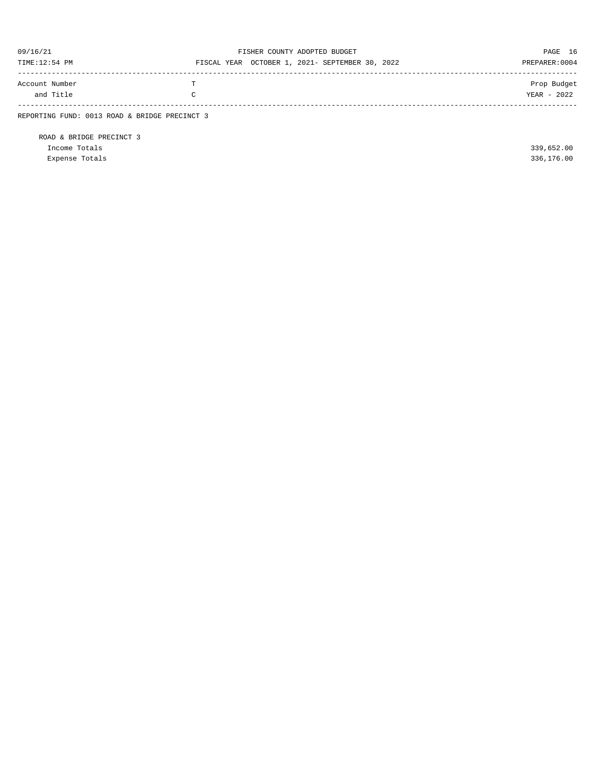| 09/16/21                                      |    | FISHER COUNTY ADOPTED BUDGET                    | PAGE 16        |
|-----------------------------------------------|----|-------------------------------------------------|----------------|
| TIME:12:54 PM                                 |    | FISCAL YEAR OCTOBER 1, 2021- SEPTEMBER 30, 2022 | PREPARER: 0004 |
| Account Number                                | T. |                                                 | Prop Budget    |
| and Title                                     | C  |                                                 | YEAR - 2022    |
| REPORTING FUND: 0013 ROAD & BRIDGE PRECINCT 3 |    |                                                 |                |

ROAD & BRIDGE PRECINCT 3 Income Totals 339,652.00 Expense Totals 336,176.00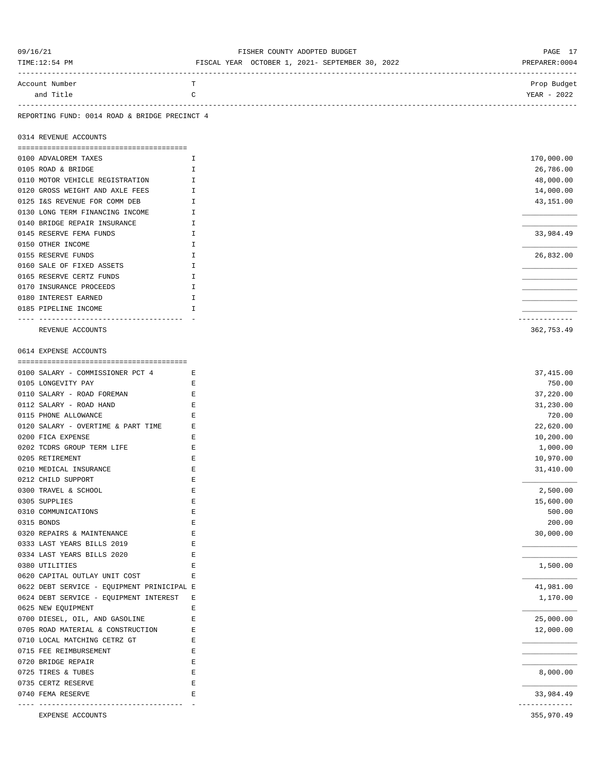| 09/16/21                                      | FISHER COUNTY ADOPTED BUDGET                    | PAGE 17        |
|-----------------------------------------------|-------------------------------------------------|----------------|
| TIME:12:54 PM                                 | FISCAL YEAR OCTOBER 1, 2021- SEPTEMBER 30, 2022 | PREPARER: 0004 |
| Account Number                                | т                                               | Prop Budget    |
| and Title                                     | C                                               | YEAR - 2022    |
|                                               |                                                 |                |
| REPORTING FUND: 0014 ROAD & BRIDGE PRECINCT 4 |                                                 |                |
| 0314 REVENUE ACCOUNTS                         |                                                 |                |
| 0100 ADVALOREM TAXES                          | Ι.                                              | 170,000.00     |
| 0105 ROAD & BRIDGE                            | I                                               | 26,786.00      |
| 0110 MOTOR VEHICLE REGISTRATION               | I.                                              | 48,000.00      |
| 0120 GROSS WEIGHT AND AXLE FEES               | $\mathbb{I}$                                    | 14,000.00      |
| 0125 I&S REVENUE FOR COMM DEB                 | $\mathbf{I}$                                    | 43,151.00      |
| 0130 LONG TERM FINANCING INCOME               | $\mathbf{I}$                                    |                |
| 0140 BRIDGE REPAIR INSURANCE                  | $\mathbf{I}$                                    |                |
| 0145 RESERVE FEMA FUNDS                       | H                                               | 33,984.49      |
| 0150 OTHER INCOME                             | I                                               |                |
| 0155 RESERVE FUNDS                            | $\mathbbm{I}$                                   | 26,832.00      |
| 0160 SALE OF FIXED ASSETS                     | $\mathbf{I}$                                    |                |
|                                               |                                                 |                |
| 0165 RESERVE CERTZ FUNDS                      | H                                               |                |
| 0170 INSURANCE PROCEEDS                       | I                                               |                |
| 0180 INTEREST EARNED                          | Ι.                                              |                |
| 0185 PIPELINE INCOME                          | I                                               |                |
|                                               |                                                 | ------------   |
| REVENUE ACCOUNTS                              |                                                 | 362,753.49     |
|                                               |                                                 |                |
| 0614 EXPENSE ACCOUNTS                         |                                                 |                |
|                                               |                                                 |                |
| 0100 SALARY - COMMISSIONER PCT 4              | E                                               | 37,415.00      |
| 0105 LONGEVITY PAY                            | Е                                               | 750.00         |
| 0110 SALARY - ROAD FOREMAN                    | Е                                               | 37,220.00      |
| 0112 SALARY - ROAD HAND                       | Е                                               | 31,230.00      |
| 0115 PHONE ALLOWANCE                          | Е                                               | 720.00         |
| 0120 SALARY - OVERTIME & PART TIME            | Е                                               | 22,620.00      |
| 0200 FICA EXPENSE                             | $\mathbf E$                                     | 10,200.00      |
| 0202 TCDRS GROUP TERM LIFE                    | Е                                               | 1,000.00       |
| 0205 RETIREMENT                               | Е                                               | 10,970.00      |
| 0210 MEDICAL INSURANCE                        | Е                                               | 31,410.00      |
| 0212 CHILD SUPPORT                            | Ε                                               |                |
| 0300 TRAVEL & SCHOOL                          | Ε                                               | 2,500.00       |
| 0305 SUPPLIES                                 | E                                               | 15,600.00      |
| 0310 COMMUNICATIONS                           | E                                               | 500.00         |
| 0315 BONDS                                    | Е                                               | 200.00         |
| 0320 REPAIRS & MAINTENANCE                    | Ε                                               | 30,000.00      |
| 0333 LAST YEARS BILLS 2019                    | E                                               |                |
| 0334 LAST YEARS BILLS 2020                    | E                                               |                |
| 0380 UTILITIES                                | Ε                                               | 1,500.00       |
| 0620 CAPITAL OUTLAY UNIT COST                 | Ε                                               |                |
| 0622 DEBT SERVICE - EQUIPMENT PRINICIPAL E    |                                                 | 41,981.00      |
| 0624 DEBT SERVICE - EQUIPMENT INTEREST        | Е                                               | 1,170.00       |
| 0625 NEW EQUIPMENT                            | E                                               |                |
| 0700 DIESEL, OIL, AND GASOLINE                | $\mathbf E$                                     | 25,000.00      |
| 0705 ROAD MATERIAL & CONSTRUCTION             | Е                                               | 12,000.00      |
| 0710 LOCAL MATCHING CETRZ GT                  | Е                                               |                |
| 0715 FEE REIMBURSEMENT                        | Е                                               |                |
| 0720 BRIDGE REPAIR                            | $\mathbf E$                                     |                |
| 0725 TIRES & TUBES                            | $\mathbf E$                                     | 8,000.00       |
| 0735 CERTZ RESERVE                            | E                                               |                |
| 0740 FEMA RESERVE                             | Ε                                               | 33,984.49      |
|                                               |                                                 | -----------    |
| EXPENSE ACCOUNTS                              |                                                 | 355,970.49     |
|                                               |                                                 |                |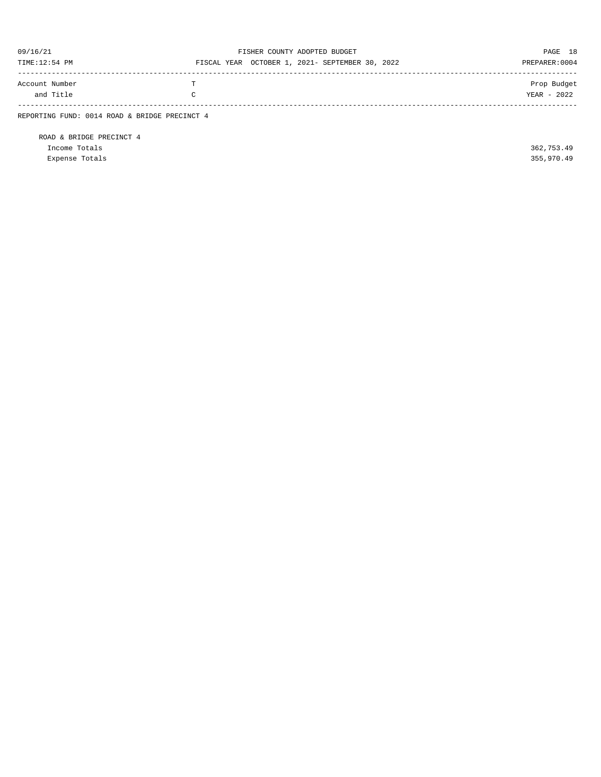| 09/16/21<br>TIME:12:54 PM                     |              | FISHER COUNTY ADOPTED BUDGET<br>FISCAL YEAR OCTOBER 1, 2021- SEPTEMBER 30, 2022 | PAGE 18<br>PREPARER: 0004  |
|-----------------------------------------------|--------------|---------------------------------------------------------------------------------|----------------------------|
| Account Number<br>and Title                   | m.<br>$\sim$ |                                                                                 | Prop Budget<br>YEAR - 2022 |
| REPORTING FUND: 0014 ROAD & BRIDGE PRECINCT 4 |              |                                                                                 |                            |

ROAD & BRIDGE PRECINCT 4 Income Totals 362,753.49 Expense Totals 355,970.49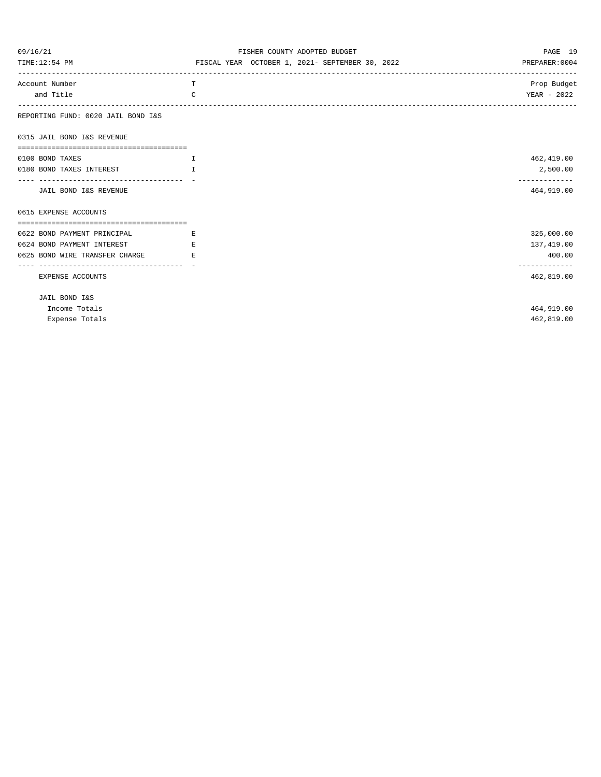| 09/16/21                           | FISHER COUNTY ADOPTED BUDGET                    | PAGE 19                     |
|------------------------------------|-------------------------------------------------|-----------------------------|
| TIME:12:54 PM                      | FISCAL YEAR OCTOBER 1, 2021- SEPTEMBER 30, 2022 | PREPARER: 0004              |
| Account Number                     | T.                                              | Prop Budget                 |
| and Title                          | $\Gamma$                                        | YEAR - 2022                 |
| REPORTING FUND: 0020 JAIL BOND I&S |                                                 |                             |
| 0315 JAIL BOND I&S REVENUE         |                                                 |                             |
| 0100 BOND TAXES                    | $\mathbf{I}$                                    | 462,419.00                  |
| 0180 BOND TAXES INTEREST           | T                                               | 2,500.00                    |
| JAIL BOND I&S REVENUE              |                                                 | -------------<br>464,919.00 |
| 0615 EXPENSE ACCOUNTS              |                                                 |                             |
| 0622 BOND PAYMENT PRINCIPAL        | $\mathbb{E}$ and $\mathbb{E}$                   | 325,000.00                  |
| 0624 BOND PAYMENT INTEREST         | E.                                              | 137,419.00                  |
| 0625 BOND WIRE TRANSFER CHARGE     | E.                                              | 400.00                      |
|                                    |                                                 | -------------               |
| EXPENSE ACCOUNTS                   |                                                 | 462,819.00                  |
| JAIL BOND I&S                      |                                                 |                             |
| Income Totals                      |                                                 | 464,919.00                  |
| Expense Totals                     |                                                 | 462,819.00                  |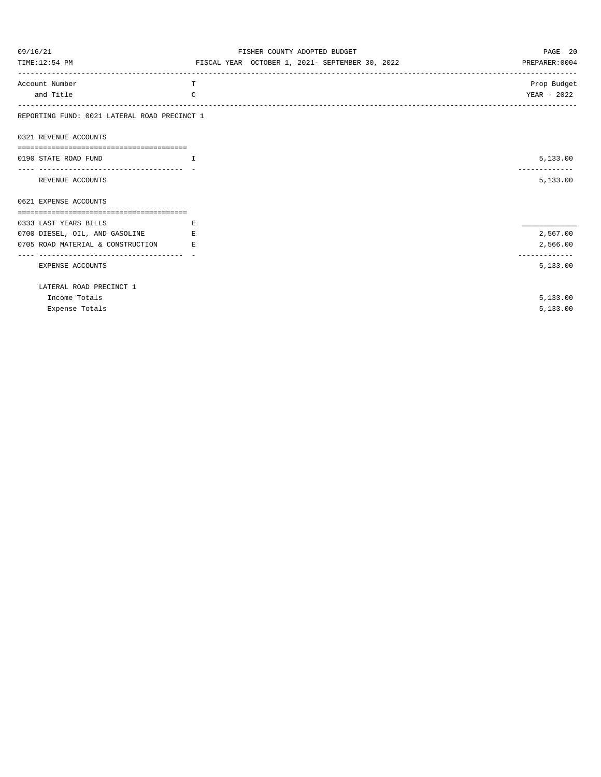| 09/16/21                                                | FISHER COUNTY ADOPTED BUDGET                    | PAGE 20                   |
|---------------------------------------------------------|-------------------------------------------------|---------------------------|
| TIME:12:54 PM                                           | FISCAL YEAR OCTOBER 1, 2021- SEPTEMBER 30, 2022 | PREPARER: 0004            |
| Account Number                                          | T.                                              | Prop Budget               |
| and Title                                               | $\Gamma$                                        | YEAR - 2022               |
| REPORTING FUND: 0021 LATERAL ROAD PRECINCT 1            |                                                 |                           |
| 0321 REVENUE ACCOUNTS                                   |                                                 |                           |
|                                                         |                                                 |                           |
| 0190 STATE ROAD FUND<br>and the contract of the Table   |                                                 | 5,133.00<br>------------- |
| REVENUE ACCOUNTS                                        |                                                 | 5,133.00                  |
| 0621 EXPENSE ACCOUNTS                                   |                                                 |                           |
| 0333 LAST YEARS BILLS                                   | E.                                              |                           |
| 0700 DIESEL, OIL, AND GASOLINE                          | E.                                              | 2,567.00                  |
| 0705 ROAD MATERIAL & CONSTRUCTION                       | <b>Example 2</b>                                | 2,566.00                  |
| -----------------------------------<br>EXPENSE ACCOUNTS |                                                 | -------------<br>5,133.00 |
| LATERAL ROAD PRECINCT 1                                 |                                                 |                           |
| Income Totals                                           |                                                 | 5,133.00                  |
| Expense Totals                                          |                                                 | 5,133.00                  |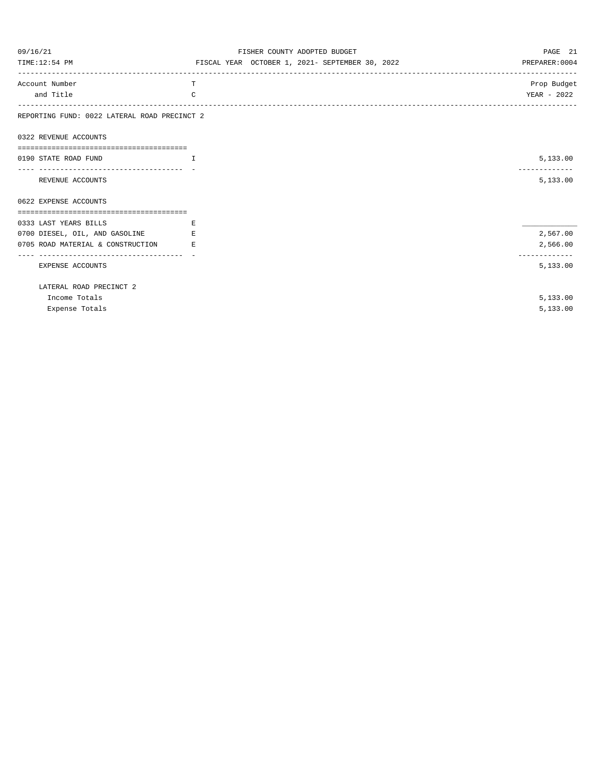| 09/16/21                                                                 | FISHER COUNTY ADOPTED BUDGET                    | PAGE 21                   |
|--------------------------------------------------------------------------|-------------------------------------------------|---------------------------|
| TIME:12:54 PM                                                            | FISCAL YEAR OCTOBER 1, 2021- SEPTEMBER 30, 2022 | PREPARER: 0004            |
| Account Number                                                           | T                                               | Prop Budget               |
| and Title                                                                | $\Gamma$                                        | YEAR - 2022               |
| REPORTING FUND: 0022 LATERAL ROAD PRECINCT 2                             |                                                 |                           |
| 0322 REVENUE ACCOUNTS                                                    |                                                 |                           |
|                                                                          |                                                 |                           |
| 0190 STATE ROAD FUND                                                     | $\mathbf{I}$                                    | 5,133.00<br>------------- |
| REVENUE ACCOUNTS                                                         |                                                 | 5,133.00                  |
| 0622 EXPENSE ACCOUNTS                                                    |                                                 |                           |
|                                                                          |                                                 |                           |
| 0333 LAST YEARS BILLS                                                    | E.                                              |                           |
| 0700 DIESEL, OIL, AND GASOLINE                                           | E.                                              | 2,567.00                  |
| 0705 ROAD MATERIAL & CONSTRUCTION<br>----------------------------------- | E.                                              | 2,566.00<br>------------- |
| EXPENSE ACCOUNTS                                                         |                                                 | 5,133.00                  |
| LATERAL ROAD PRECINCT 2                                                  |                                                 |                           |
| Income Totals                                                            |                                                 | 5,133.00                  |
| Expense Totals                                                           |                                                 | 5,133.00                  |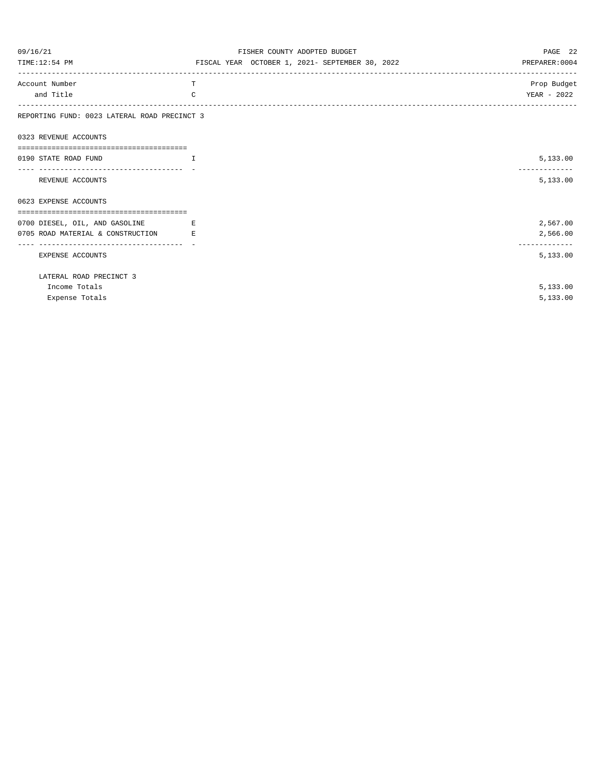| 09/16/21                                               | FISHER COUNTY ADOPTED BUDGET                    | PAGE 22        |
|--------------------------------------------------------|-------------------------------------------------|----------------|
| TIME:12:54 PM                                          | FISCAL YEAR OCTOBER 1, 2021- SEPTEMBER 30, 2022 | PREPARER: 0004 |
| Account Number                                         | T                                               | Prop Budget    |
| and Title                                              | $\mathcal{C}$                                   | YEAR - 2022    |
| REPORTING FUND: 0023 LATERAL ROAD PRECINCT 3           |                                                 |                |
| 0323 REVENUE ACCOUNTS                                  |                                                 |                |
| ==============================<br>0190 STATE ROAD FUND | $\top$                                          |                |
|                                                        |                                                 | 5,133.00       |
| REVENUE ACCOUNTS                                       |                                                 | 5,133.00       |
| 0623 EXPENSE ACCOUNTS                                  |                                                 |                |
| 0700 DIESEL, OIL, AND GASOLINE                         | E                                               | 2,567.00       |
| 0705 ROAD MATERIAL & CONSTRUCTION                      | E.                                              | 2,566.00       |
|                                                        |                                                 | -------------  |
| EXPENSE ACCOUNTS                                       |                                                 | 5,133.00       |
| LATERAL ROAD PRECINCT 3                                |                                                 |                |
| Income Totals                                          |                                                 | 5,133.00       |
| Expense Totals                                         |                                                 | 5,133.00       |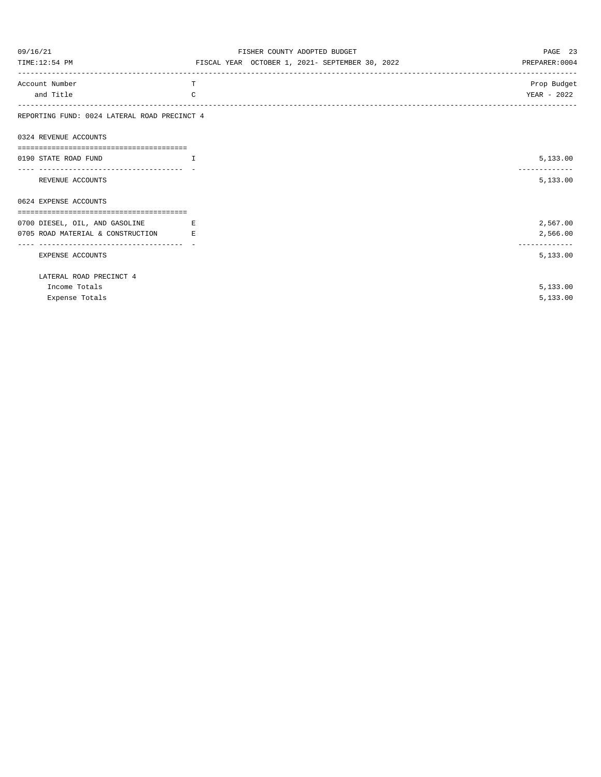| 09/16/21                                     | FISHER COUNTY ADOPTED BUDGET                    | PAGE 23                   |
|----------------------------------------------|-------------------------------------------------|---------------------------|
| TIME:12:54 PM                                | FISCAL YEAR OCTOBER 1, 2021- SEPTEMBER 30, 2022 | PREPARER: 0004            |
| Account Number                               | T                                               | Prop Budget               |
| and Title                                    | C                                               | YEAR - 2022               |
| REPORTING FUND: 0024 LATERAL ROAD PRECINCT 4 |                                                 |                           |
| 0324 REVENUE ACCOUNTS                        |                                                 |                           |
| 0190 STATE ROAD FUND                         | $\top$                                          | 5,133.00                  |
| REVENUE ACCOUNTS                             |                                                 | 5,133.00                  |
| 0624 EXPENSE ACCOUNTS                        |                                                 |                           |
|                                              |                                                 | 2,567.00                  |
| 0700 DIESEL, OIL, AND GASOLINE               | E.                                              |                           |
| 0705 ROAD MATERIAL & CONSTRUCTION            | E.                                              | 2,566.00<br>------------- |
| EXPENSE ACCOUNTS                             |                                                 | 5,133.00                  |
| LATERAL ROAD PRECINCT 4                      |                                                 |                           |
| Income Totals                                |                                                 | 5,133.00                  |
| Expense Totals                               |                                                 | 5,133.00                  |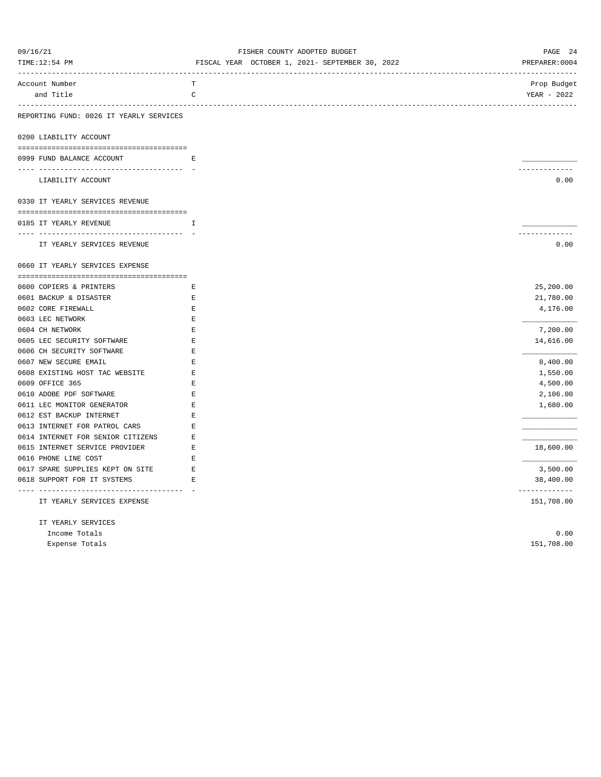| 09/16/21<br>TIME:12:54 PM                                         | FISHER COUNTY ADOPTED BUDGET<br>FISCAL YEAR OCTOBER 1, 2021- SEPTEMBER 30, 2022 | PAGE 24<br>PREPARER: 0004  |
|-------------------------------------------------------------------|---------------------------------------------------------------------------------|----------------------------|
| Account Number                                                    | $\mathbf T$                                                                     | Prop Budget                |
| and Title                                                         | C                                                                               | YEAR - 2022                |
| REPORTING FUND: 0026 IT YEARLY SERVICES                           |                                                                                 |                            |
| 0200 LIABILITY ACCOUNT                                            |                                                                                 |                            |
|                                                                   |                                                                                 |                            |
| 0999 FUND BALANCE ACCOUNT<br>------------------------------------ | E.                                                                              | .                          |
| LIABILITY ACCOUNT                                                 |                                                                                 | 0.00                       |
| 0330 IT YEARLY SERVICES REVENUE                                   |                                                                                 |                            |
| 0185 IT YEARLY REVENUE                                            | T.                                                                              |                            |
|                                                                   |                                                                                 | .                          |
| IT YEARLY SERVICES REVENUE                                        |                                                                                 | 0.00                       |
| 0660 IT YEARLY SERVICES EXPENSE                                   |                                                                                 |                            |
|                                                                   |                                                                                 |                            |
| 0600 COPIERS & PRINTERS                                           | Е                                                                               | 25,200.00                  |
| 0601 BACKUP & DISASTER                                            | E                                                                               | 21,780.00                  |
| 0602 CORE FIREWALL                                                | Е                                                                               | 4,176.00                   |
| 0603 LEC NETWORK                                                  | E<br>$\mathbf{E}% _{0}$                                                         |                            |
| 0604 CH NETWORK<br>0605 LEC SECURITY SOFTWARE                     | $\mathbf E$                                                                     | 7,200.00<br>14,616.00      |
| 0606 CH SECURITY SOFTWARE                                         | E                                                                               |                            |
| 0607 NEW SECURE EMAIL                                             | Е                                                                               | 8,400.00                   |
| 0608 EXISTING HOST TAC WEBSITE                                    | $\mathbf E$                                                                     | 1,550.00                   |
| 0609 OFFICE 365                                                   | E                                                                               | 4,500.00                   |
| 0610 ADOBE PDF SOFTWARE                                           | E                                                                               | 2,106.00                   |
| 0611 LEC MONITOR GENERATOR                                        | $\mathbf E$                                                                     | 1,680.00                   |
| 0612 EST BACKUP INTERNET                                          | E                                                                               |                            |
| 0613 INTERNET FOR PATROL CARS                                     | Е                                                                               |                            |
| 0614 INTERNET FOR SENIOR CITIZENS                                 | Е                                                                               |                            |
| 0615 INTERNET SERVICE PROVIDER                                    | E                                                                               | 18,600.00                  |
| 0616 PHONE LINE COST                                              | E.                                                                              |                            |
| 0617 SPARE SUPPLIES KEPT ON SITE                                  | E                                                                               | 3,500.00                   |
| 0618 SUPPORT FOR IT SYSTEMS                                       | E                                                                               | 38,400.00<br>------------- |
| IT YEARLY SERVICES EXPENSE                                        |                                                                                 | 151,708.00                 |
| IT YEARLY SERVICES                                                |                                                                                 |                            |
| Income Totals                                                     |                                                                                 | 0.00                       |
| Expense Totals                                                    |                                                                                 | 151,708.00                 |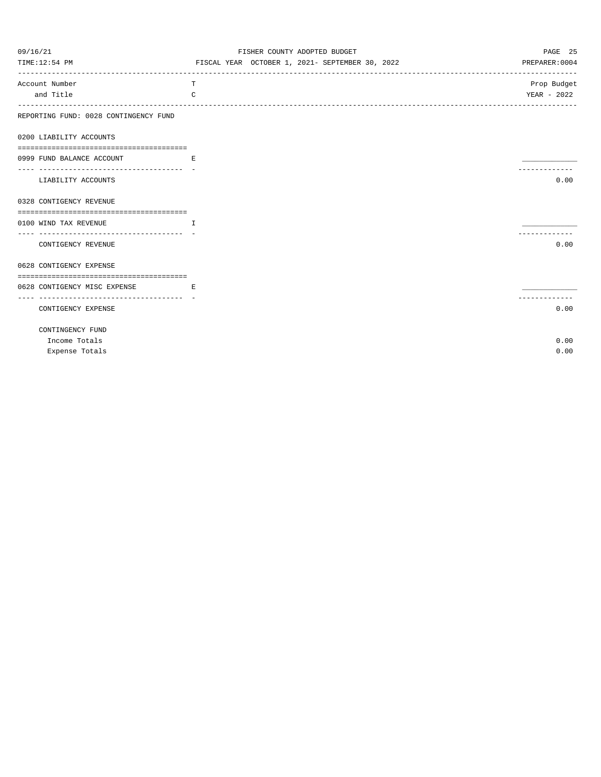| 09/16/21                                                     | FISHER COUNTY ADOPTED BUDGET                    | PAGE 25                            |
|--------------------------------------------------------------|-------------------------------------------------|------------------------------------|
| TIME:12:54 PM                                                | FISCAL YEAR OCTOBER 1, 2021- SEPTEMBER 30, 2022 | PREPARER: 0004                     |
| ---------------------------------<br>Account Number          | т                                               | -------------------<br>Prop Budget |
| and Title                                                    | C                                               | YEAR - 2022                        |
| REPORTING FUND: 0028 CONTINGENCY FUND                        |                                                 | --------------                     |
| 0200 LIABILITY ACCOUNTS                                      |                                                 |                                    |
|                                                              |                                                 |                                    |
| 0999 FUND BALANCE ACCOUNT                                    | E.                                              |                                    |
| -----------------------------------                          |                                                 |                                    |
| LIABILITY ACCOUNTS                                           |                                                 | 0.00                               |
| 0328 CONTIGENCY REVENUE                                      |                                                 |                                    |
|                                                              |                                                 |                                    |
| 0100 WIND TAX REVENUE<br><b>The Community of The Table 1</b> |                                                 |                                    |
| -------------------------------<br>CONTIGENCY REVENUE        |                                                 | 0.00                               |
|                                                              |                                                 |                                    |
| 0628 CONTIGENCY EXPENSE                                      |                                                 |                                    |
| 0628 CONTIGENCY MISC EXPENSE                                 | and the state of the Barbara                    |                                    |
| ----------------------------------                           |                                                 |                                    |
| CONTIGENCY EXPENSE                                           |                                                 | 0.00                               |
| CONTINGENCY FUND                                             |                                                 |                                    |
| Income Totals                                                |                                                 | 0.00                               |
| Expense Totals                                               |                                                 | 0.00                               |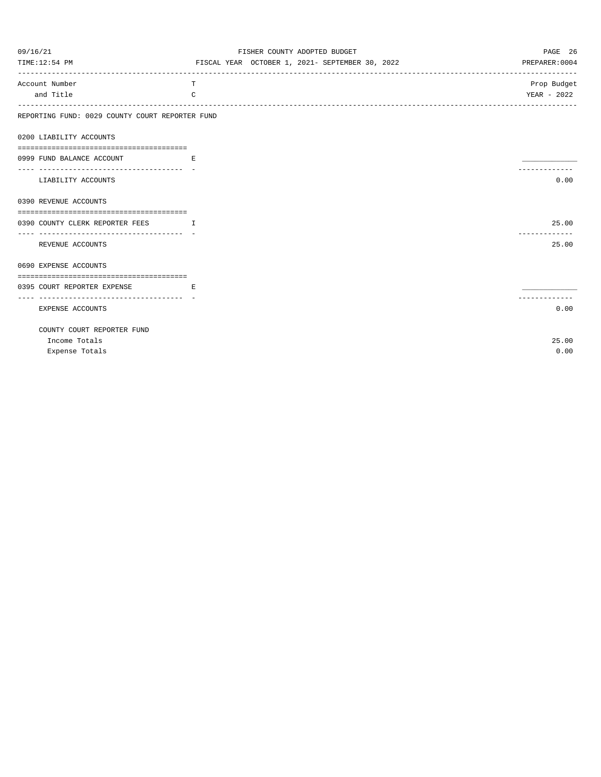| 09/16/21                                                             | FISHER COUNTY ADOPTED BUDGET                    | PAGE 26                           |
|----------------------------------------------------------------------|-------------------------------------------------|-----------------------------------|
| TIME:12:54 PM                                                        | FISCAL YEAR OCTOBER 1, 2021- SEPTEMBER 30, 2022 | PREPARER: 0004                    |
| Account Number                                                       | T                                               | Prop Budget                       |
| and Title                                                            | C                                               | YEAR - 2022<br>------------------ |
| REPORTING FUND: 0029 COUNTY COURT REPORTER FUND                      |                                                 |                                   |
| 0200 LIABILITY ACCOUNTS                                              |                                                 |                                   |
| 0999 FUND BALANCE ACCOUNT<br>and the state of the state of the Ri    |                                                 |                                   |
| LIABILITY ACCOUNTS                                                   |                                                 | .<br>0.00                         |
| 0390 REVENUE ACCOUNTS                                                |                                                 |                                   |
| 0390 COUNTY CLERK REPORTER FEES I                                    |                                                 | 25.00                             |
| REVENUE ACCOUNTS                                                     |                                                 | -------------<br>25.00            |
| 0690 EXPENSE ACCOUNTS                                                |                                                 |                                   |
| 0395 COURT REPORTER EXPENSE<br>_____________________________________ | and the state of the Barbara Ro                 |                                   |
| EXPENSE ACCOUNTS                                                     |                                                 | 0.00                              |
| COUNTY COURT REPORTER FUND                                           |                                                 |                                   |
| Income Totals                                                        |                                                 | 25.00                             |
| Expense Totals                                                       |                                                 | 0.00                              |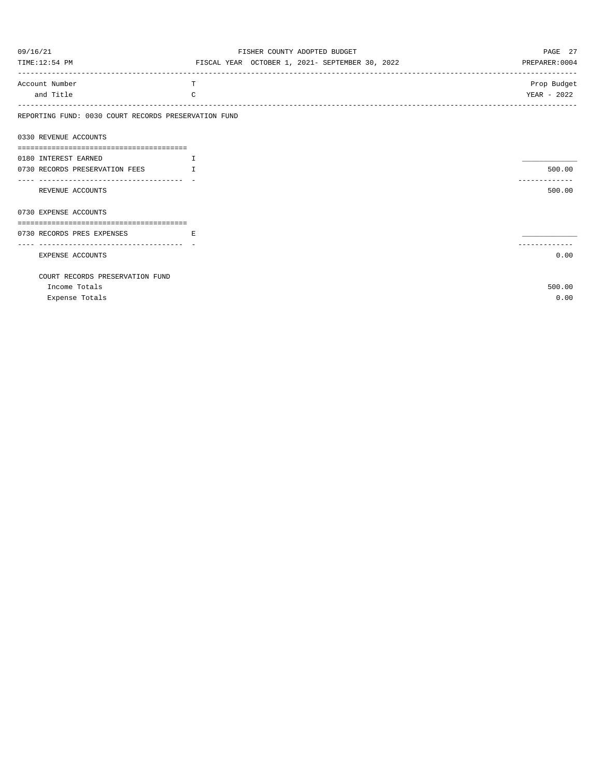| 09/16/21                                             | FISHER COUNTY ADOPTED BUDGET                    | PAGE 27        |
|------------------------------------------------------|-------------------------------------------------|----------------|
| TIME:12:54 PM                                        | FISCAL YEAR OCTOBER 1, 2021- SEPTEMBER 30, 2022 | PREPARER: 0004 |
| Account Number                                       | T                                               | Prop Budget    |
| and Title                                            | C                                               | YEAR - 2022    |
| REPORTING FUND: 0030 COURT RECORDS PRESERVATION FUND |                                                 |                |
| 0330 REVENUE ACCOUNTS                                |                                                 |                |
|                                                      |                                                 |                |
| 0180 INTEREST EARNED                                 | I                                               |                |
| 0730 RECORDS PRESERVATION FEES                       | $\mathbf{I}$                                    | 500.00         |
| REVENUE ACCOUNTS                                     |                                                 | 500.00         |
| 0730 EXPENSE ACCOUNTS                                |                                                 |                |
|                                                      |                                                 |                |
| 0730 RECORDS PRES EXPENSES                           | E.                                              |                |
|                                                      |                                                 |                |
| EXPENSE ACCOUNTS                                     |                                                 | 0.00           |
| COURT RECORDS PRESERVATION FUND                      |                                                 |                |
| Income Totals                                        |                                                 | 500.00         |
| Expense Totals                                       |                                                 | 0.00           |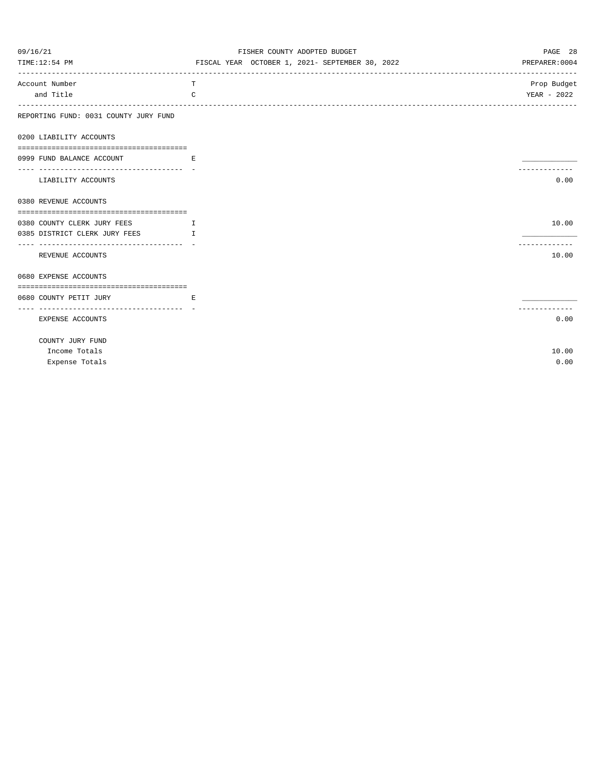| 09/16/21                                                             | FISHER COUNTY ADOPTED BUDGET                    | PAGE 28        |
|----------------------------------------------------------------------|-------------------------------------------------|----------------|
| TIME:12:54 PM                                                        | FISCAL YEAR OCTOBER 1, 2021- SEPTEMBER 30, 2022 | PREPARER: 0004 |
| Account Number                                                       | т                                               | Prop Budget    |
| and Title<br>$-- - - - - - - -$                                      | C                                               | YEAR - 2022    |
| REPORTING FUND: 0031 COUNTY JURY FUND                                |                                                 |                |
| 0200 LIABILITY ACCOUNTS                                              |                                                 |                |
| 0999 FUND BALANCE ACCOUNT                                            | E                                               |                |
| ----------------------------------<br>LIABILITY ACCOUNTS             |                                                 | 0.00           |
| 0380 REVENUE ACCOUNTS                                                |                                                 |                |
|                                                                      |                                                 |                |
| 0380 COUNTY CLERK JURY FEES<br>$\mathbf{I}$ . The state $\mathbf{I}$ |                                                 | 10.00          |
| 0385 DISTRICT CLERK JURY FEES<br>$\mathbf{T}$                        |                                                 | .              |
| REVENUE ACCOUNTS                                                     |                                                 | 10.00          |
| 0680 EXPENSE ACCOUNTS                                                |                                                 |                |
| 0680 COUNTY PETIT JURY                                               | Е                                               |                |
| EXPENSE ACCOUNTS                                                     |                                                 | 0.00           |
| COUNTY JURY FUND                                                     |                                                 |                |
| Income Totals                                                        |                                                 | 10.00          |
| Expense Totals                                                       |                                                 | 0.00           |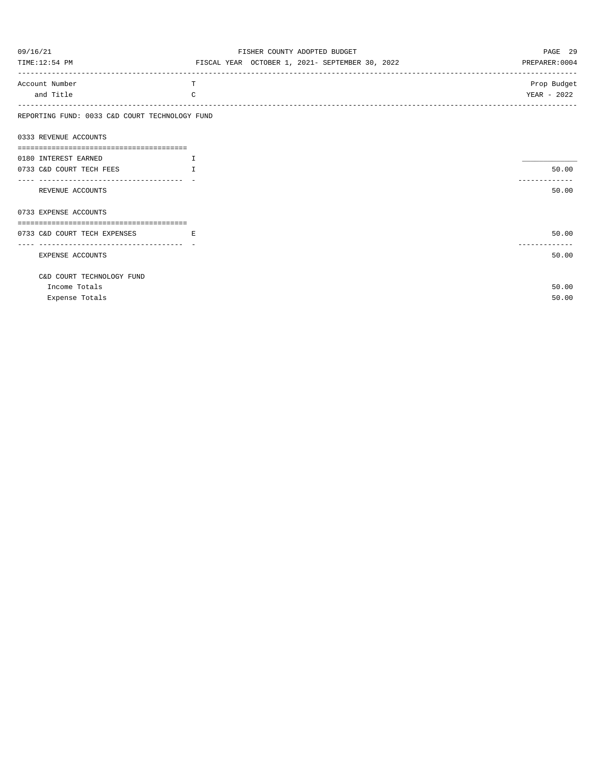| 09/16/21                                       | FISHER COUNTY ADOPTED BUDGET                    | PAGE 29        |
|------------------------------------------------|-------------------------------------------------|----------------|
| TIME:12:54 PM                                  | FISCAL YEAR OCTOBER 1, 2021- SEPTEMBER 30, 2022 | PREPARER: 0004 |
| Account Number                                 | T                                               | Prop Budget    |
| and Title                                      | $\Gamma$                                        | YEAR - 2022    |
| REPORTING FUND: 0033 C&D COURT TECHNOLOGY FUND |                                                 |                |
| 0333 REVENUE ACCOUNTS                          |                                                 |                |
|                                                |                                                 |                |
| 0180 INTEREST EARNED                           | $\top$                                          |                |
| 0733 C&D COURT TECH FEES                       | T                                               | 50.00          |
| REVENUE ACCOUNTS                               |                                                 | .<br>50.00     |
|                                                |                                                 |                |
| 0733 EXPENSE ACCOUNTS                          |                                                 |                |
|                                                |                                                 |                |
| 0733 C&D COURT TECH EXPENSES                   | E.                                              | 50.00          |
|                                                |                                                 | ------------   |
| EXPENSE ACCOUNTS                               |                                                 | 50.00          |
| C&D COURT TECHNOLOGY FUND                      |                                                 |                |
| Income Totals                                  |                                                 | 50.00          |
| Expense Totals                                 |                                                 | 50.00          |
|                                                |                                                 |                |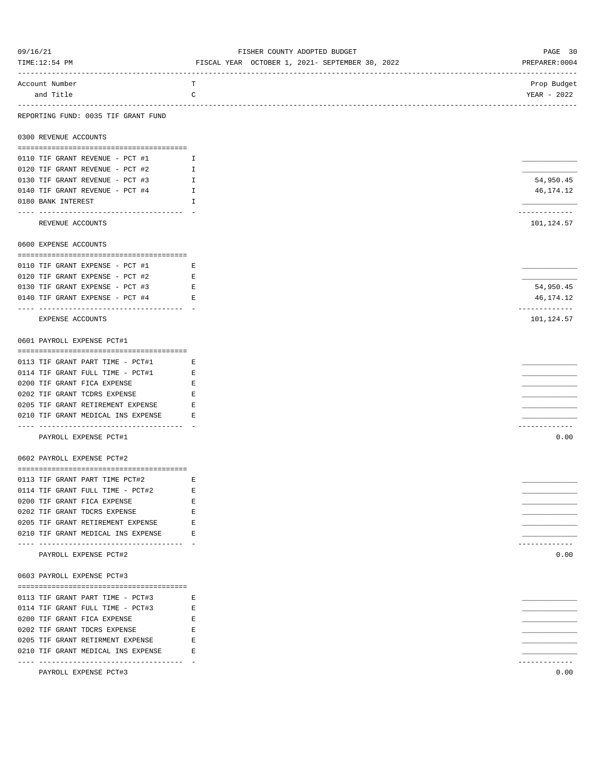| 09/16/21                                                               | FISHER COUNTY ADOPTED BUDGET                    | PAGE 30                                                       |
|------------------------------------------------------------------------|-------------------------------------------------|---------------------------------------------------------------|
| TIME:12:54 PM                                                          | FISCAL YEAR OCTOBER 1, 2021- SEPTEMBER 30, 2022 | PREPARER: 0004                                                |
| Account Number                                                         | ----------------------<br>т                     | ------------------------------<br>------------<br>Prop Budget |
| and Title                                                              | C                                               | YEAR - 2022                                                   |
|                                                                        |                                                 |                                                               |
| REPORTING FUND: 0035 TIF GRANT FUND                                    |                                                 |                                                               |
| 0300 REVENUE ACCOUNTS                                                  |                                                 |                                                               |
| 0110 TIF GRANT REVENUE - PCT #1                                        | I                                               |                                                               |
| 0120 TIF GRANT REVENUE - PCT #2                                        | $\mathbf{I}$                                    |                                                               |
| 0130 TIF GRANT REVENUE - PCT #3                                        | I.                                              | 54,950.45                                                     |
| 0140 TIF GRANT REVENUE - PCT #4                                        | $\mathbb{I}$                                    | 46, 174. 12                                                   |
| 0180 BANK INTEREST                                                     | H                                               |                                                               |
|                                                                        |                                                 | ------------                                                  |
| REVENUE ACCOUNTS                                                       |                                                 | 101,124.57                                                    |
| 0600 EXPENSE ACCOUNTS                                                  |                                                 |                                                               |
| 0110 TIF GRANT EXPENSE - PCT #1                                        | $\mathbf{E}$ and $\mathbf{E}$                   |                                                               |
| 0120 TIF GRANT EXPENSE - PCT #2                                        | $-E$                                            |                                                               |
| 0130 TIF GRANT EXPENSE - PCT #3                                        | E                                               | 54,950.45                                                     |
| 0140 TIF GRANT EXPENSE - PCT #4                                        | Е                                               | 46,174.12                                                     |
|                                                                        |                                                 | -------------                                                 |
| EXPENSE ACCOUNTS                                                       |                                                 | 101,124.57                                                    |
| 0601 PAYROLL EXPENSE PCT#1                                             |                                                 |                                                               |
| 0113 TIF GRANT PART TIME - PCT#1                                       | E                                               |                                                               |
| 0114 TIF GRANT FULL TIME - PCT#1                                       | $-E$                                            |                                                               |
| 0200 TIF GRANT FICA EXPENSE                                            | $-E$                                            |                                                               |
| 0202 TIF GRANT TCDRS EXPENSE                                           | Е                                               |                                                               |
| 0205 TIF GRANT RETIREMENT EXPENSE                                      | Е                                               |                                                               |
| 0210 TIF GRANT MEDICAL INS EXPENSE                                     | Е                                               |                                                               |
| --------------------------------------                                 |                                                 | -----------                                                   |
| PAYROLL EXPENSE PCT#1                                                  |                                                 | 0.00                                                          |
| 0602 PAYROLL EXPENSE PCT#2                                             |                                                 |                                                               |
|                                                                        |                                                 |                                                               |
| 0113 TIF GRANT PART TIME PCT#2<br><b>Expanding Expanding Expanding</b> |                                                 |                                                               |
| 0114 TIF GRANT FULL TIME - PCT#2                                       | Е                                               |                                                               |
| 0200 TIF GRANT FICA EXPENSE                                            | Е                                               |                                                               |
| 0202 TIF GRANT TDCRS EXPENSE                                           | Е                                               |                                                               |
| 0205 TIF GRANT RETIREMENT EXPENSE                                      | E                                               |                                                               |
| 0210 TIF GRANT MEDICAL INS EXPENSE                                     | Е                                               | ------------                                                  |
| PAYROLL EXPENSE PCT#2                                                  |                                                 | 0.00                                                          |
| 0603 PAYROLL EXPENSE PCT#3                                             |                                                 |                                                               |
|                                                                        |                                                 |                                                               |
| 0113 TIF GRANT PART TIME - PCT#3                                       | Е                                               |                                                               |
| 0114 TIF GRANT FULL TIME - PCT#3                                       | Е                                               |                                                               |
| 0200 TIF GRANT FICA EXPENSE                                            | Е                                               |                                                               |
| 0202 TIF GRANT TDCRS EXPENSE                                           | Е                                               |                                                               |
| 0205 TIF GRANT RETIRMENT EXPENSE                                       | E                                               |                                                               |
| 0210 TIF GRANT MEDICAL INS EXPENSE                                     | E                                               |                                                               |
|                                                                        |                                                 | -----------                                                   |
| PAYROLL EXPENSE PCT#3                                                  |                                                 | 0.00                                                          |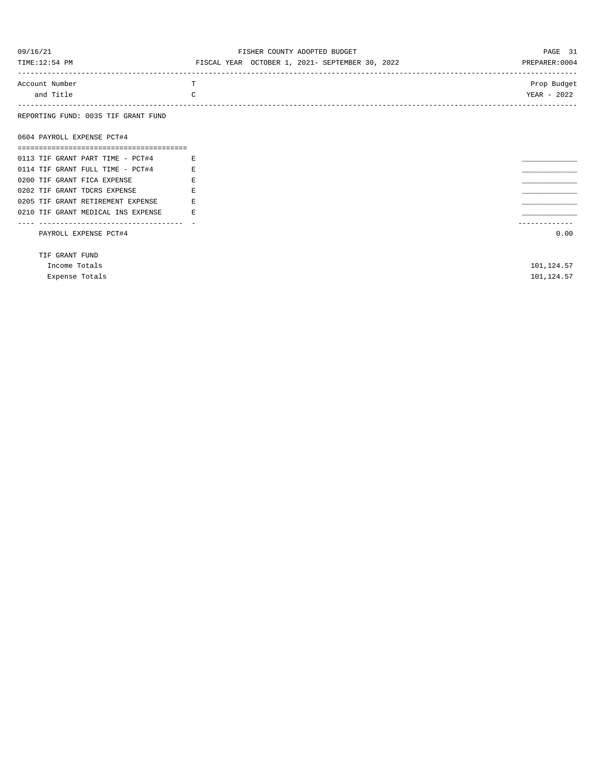| 09/16/21                            | FISHER COUNTY ADOPTED BUDGET                    | PAGE 31        |
|-------------------------------------|-------------------------------------------------|----------------|
| TIME:12:54 PM                       | FISCAL YEAR OCTOBER 1, 2021- SEPTEMBER 30, 2022 | PREPARER: 0004 |
|                                     |                                                 |                |
| Account Number                      | T                                               | Prop Budget    |
| and Title                           | C                                               | YEAR - 2022    |
|                                     |                                                 |                |
| REPORTING FUND: 0035 TIF GRANT FUND |                                                 |                |
|                                     |                                                 |                |
| 0604 PAYROLL EXPENSE PCT#4          |                                                 |                |
|                                     |                                                 |                |
| 0113 TIF GRANT PART TIME - PCT#4    | E                                               |                |
| 0114 TIF GRANT FULL TIME - PCT#4    | E                                               |                |
| 0200 TIF GRANT FICA EXPENSE         | E                                               |                |
| 0202 TIF GRANT TDCRS EXPENSE        | F.                                              |                |

0205 TIF GRANT RETIREMENT EXPENSE E \_\_\_\_\_\_\_\_\_\_\_\_\_ 0210 TIF GRANT MEDICAL INS EXPENSE E \_\_\_\_\_\_\_\_\_\_\_\_\_ ---- ---------------------------------- - -------------

PAYROLL EXPENSE PCT#4 0.00

TIF GRANT FUND

Income Totals 101,124.57 Expense Totals 101,124.57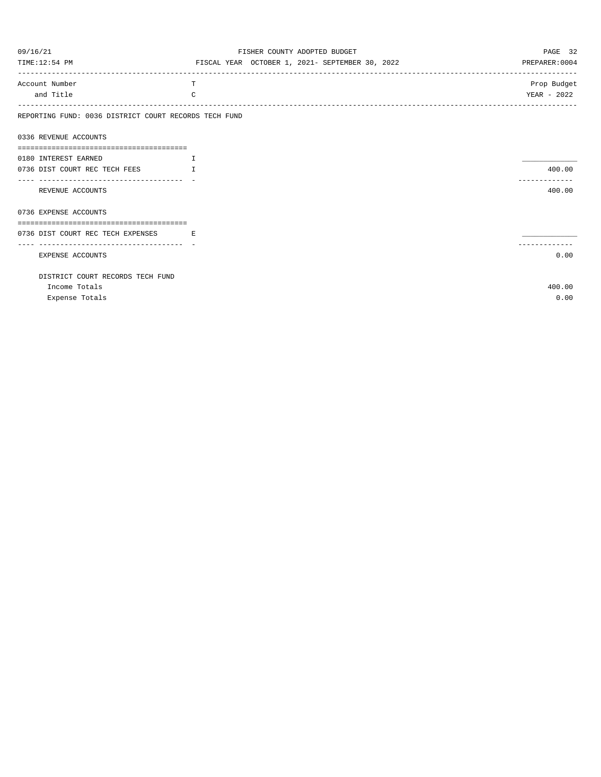| 09/16/21                                               |              | FISHER COUNTY ADOPTED BUDGET                    | PAGE 32        |
|--------------------------------------------------------|--------------|-------------------------------------------------|----------------|
| TIME:12:54 PM                                          |              | FISCAL YEAR OCTOBER 1, 2021- SEPTEMBER 30, 2022 | PREPARER: 0004 |
| Account Number                                         | T            |                                                 | Prop Budget    |
| and Title                                              | C            |                                                 | YEAR - 2022    |
| REPORTING FUND: 0036 DISTRICT COURT RECORDS TECH FUND  |              |                                                 |                |
| 0336 REVENUE ACCOUNTS                                  |              |                                                 |                |
|                                                        |              |                                                 |                |
| 0180 INTEREST EARNED                                   | Ι.           |                                                 |                |
| 0736 DIST COURT REC TECH FEES                          | $\mathbb{L}$ |                                                 | 400.00         |
|                                                        |              |                                                 |                |
| REVENUE ACCOUNTS                                       |              |                                                 | 400.00         |
| 0736 EXPENSE ACCOUNTS                                  |              |                                                 |                |
|                                                        |              |                                                 |                |
| 0736 DIST COURT REC TECH EXPENSES<br><b>Example 19</b> |              |                                                 |                |
| ---------------------------------                      |              |                                                 |                |
| <b>EXPENSE ACCOUNTS</b>                                |              |                                                 | 0.00           |
| DISTRICT COURT RECORDS TECH FUND                       |              |                                                 |                |
| Income Totals                                          |              |                                                 | 400.00         |
| Expense Totals                                         |              |                                                 | 0.00           |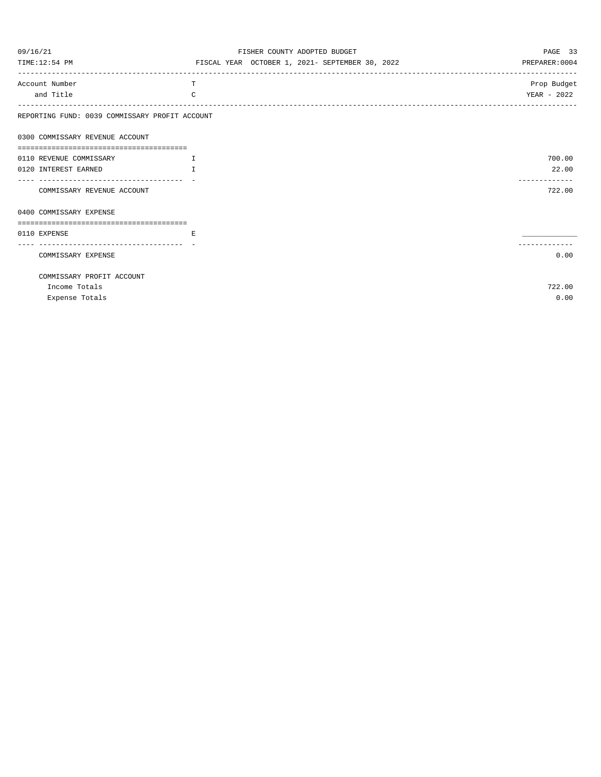| 09/16/21                                       | FISHER COUNTY ADOPTED BUDGET                    | PAGE 33        |
|------------------------------------------------|-------------------------------------------------|----------------|
| TIME:12:54 PM                                  | FISCAL YEAR OCTOBER 1, 2021- SEPTEMBER 30, 2022 | PREPARER: 0004 |
| Account Number                                 | T                                               | Prop Budget    |
| and Title                                      | C                                               | YEAR - 2022    |
| REPORTING FUND: 0039 COMMISSARY PROFIT ACCOUNT |                                                 |                |
| 0300 COMMISSARY REVENUE ACCOUNT                |                                                 |                |
|                                                |                                                 |                |
| 0110 REVENUE COMMISSARY                        | Т.                                              | 700.00         |
| 0120 INTEREST EARNED                           | $\mathsf{T}$                                    | 22.00          |
|                                                |                                                 | ------------   |
| COMMISSARY REVENUE ACCOUNT                     |                                                 | 722.00         |
| 0400 COMMISSARY EXPENSE                        |                                                 |                |
| 0110 EXPENSE                                   | E.                                              |                |
| -------------------------------                |                                                 |                |
| COMMISSARY EXPENSE                             |                                                 | 0.00           |
| COMMISSARY PROFIT ACCOUNT                      |                                                 |                |
| Income Totals                                  |                                                 | 722.00         |
| Expense Totals                                 |                                                 | 0.00           |
|                                                |                                                 |                |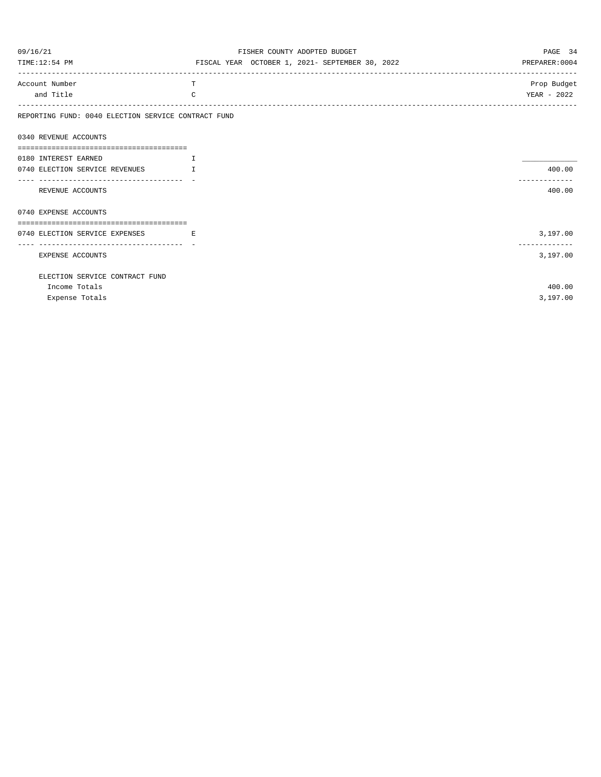| 09/16/21                                                             | FISHER COUNTY ADOPTED BUDGET                    | PAGE 34        |
|----------------------------------------------------------------------|-------------------------------------------------|----------------|
| TIME:12:54 PM                                                        | FISCAL YEAR OCTOBER 1, 2021- SEPTEMBER 30, 2022 | PREPARER: 0004 |
| Account Number                                                       | т                                               | Prop Budget    |
| and Title                                                            | C                                               | YEAR - 2022    |
| REPORTING FUND: 0040 ELECTION SERVICE CONTRACT FUND                  |                                                 |                |
| 0340 REVENUE ACCOUNTS                                                |                                                 |                |
|                                                                      |                                                 |                |
| 0180 INTEREST EARNED                                                 | $\mathbf{I}$                                    |                |
| 0740 ELECTION SERVICE REVENUES<br>---------------------------------- | $\mathbf{I}$                                    | 400.00         |
| REVENUE ACCOUNTS                                                     |                                                 | 400.00         |
| 0740 EXPENSE ACCOUNTS                                                |                                                 |                |
|                                                                      |                                                 |                |
| 0740 ELECTION SERVICE EXPENSES                                       | <b>Example 19</b>                               | 3,197.00       |
| EXPENSE ACCOUNTS                                                     |                                                 | 3,197.00       |
| ELECTION SERVICE CONTRACT FUND                                       |                                                 |                |
| Income Totals                                                        |                                                 | 400.00         |
| Expense Totals                                                       |                                                 | 3,197.00       |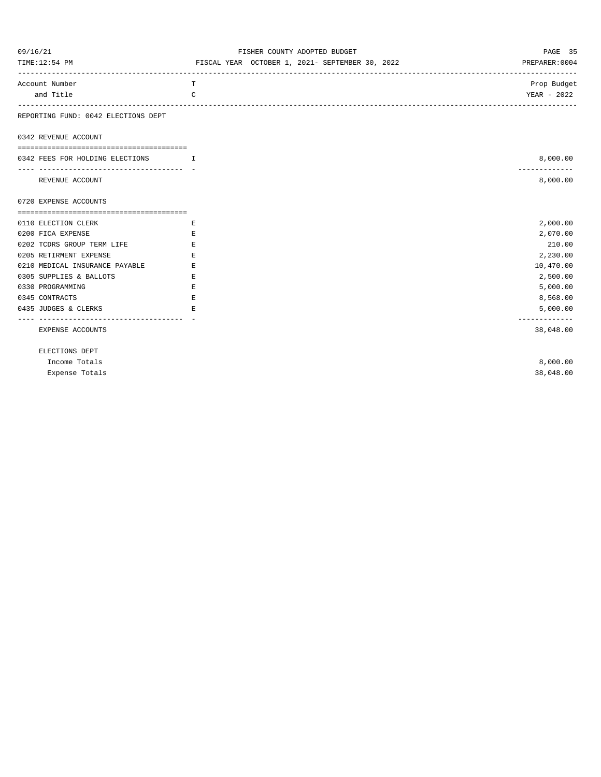| 09/16/21<br>TIME:12:54 PM                               | FISHER COUNTY ADOPTED BUDGET<br>FISCAL YEAR OCTOBER 1, 2021- SEPTEMBER 30, 2022 | PAGE 35<br>PREPARER: 0004  |
|---------------------------------------------------------|---------------------------------------------------------------------------------|----------------------------|
| Account Number                                          | T                                                                               | Prop Budget                |
| and Title                                               | C                                                                               | YEAR - 2022                |
| -----------<br>REPORTING FUND: 0042 ELECTIONS DEPT      |                                                                                 |                            |
| 0342 REVENUE ACCOUNT                                    |                                                                                 |                            |
| 0342 FEES FOR HOLDING ELECTIONS<br>$\mathbf{T}$         |                                                                                 | 8,000.00                   |
| ------------------------------------<br>REVENUE ACCOUNT |                                                                                 | -------------<br>8,000.00  |
| 0720 EXPENSE ACCOUNTS                                   |                                                                                 |                            |
|                                                         |                                                                                 |                            |
| 0110 ELECTION CLERK                                     | Е                                                                               | 2,000.00                   |
| 0200 FICA EXPENSE                                       | Е                                                                               | 2,070.00                   |
| 0202 TCDRS GROUP TERM LIFE                              | Е                                                                               | 210.00                     |
| 0205 RETIRMENT EXPENSE                                  | E.                                                                              | 2,230.00                   |
| 0210 MEDICAL INSURANCE PAYABLE                          | E.                                                                              | 10,470.00                  |
| 0305 SUPPLIES & BALLOTS                                 | E                                                                               | 2,500.00                   |
| 0330 PROGRAMMING                                        | E                                                                               | 5,000.00                   |
| 0345 CONTRACTS                                          | E                                                                               | 8,568.00                   |
| 0435 JUDGES & CLERKS                                    | E.                                                                              | 5,000.00                   |
| . <u>.</u> .<br>EXPENSE ACCOUNTS                        |                                                                                 | -------------<br>38,048.00 |
| ELECTIONS DEPT                                          |                                                                                 |                            |
| Income Totals                                           |                                                                                 | 8,000.00                   |
| Expense Totals                                          |                                                                                 | 38,048.00                  |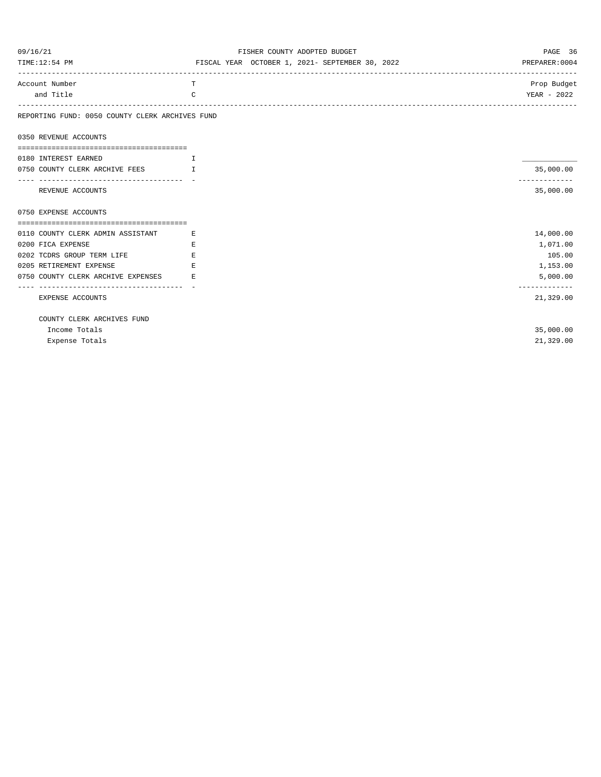| 09/16/21                                        | FISHER COUNTY ADOPTED BUDGET                    | PAGE 36                    |
|-------------------------------------------------|-------------------------------------------------|----------------------------|
| TIME:12:54 PM                                   | FISCAL YEAR OCTOBER 1, 2021- SEPTEMBER 30, 2022 | PREPARER: 0004             |
| Account Number                                  | T                                               | Prop Budget                |
| and Title                                       | $\mathcal{C}$                                   | YEAR - 2022                |
| REPORTING FUND: 0050 COUNTY CLERK ARCHIVES FUND |                                                 |                            |
| 0350 REVENUE ACCOUNTS                           |                                                 |                            |
|                                                 |                                                 |                            |
| 0180 INTEREST EARNED                            | I                                               |                            |
| 0750 COUNTY CLERK ARCHIVE FEES                  | $\mathbf{T}$                                    | 35,000.00<br>------------- |
| REVENUE ACCOUNTS                                |                                                 | 35,000.00                  |
| 0750 EXPENSE ACCOUNTS                           |                                                 |                            |
|                                                 |                                                 |                            |
| 0110 COUNTY CLERK ADMIN ASSISTANT               | E.                                              | 14,000.00                  |
| 0200 FICA EXPENSE                               | E.                                              | 1,071.00                   |
| 0202 TCDRS GROUP TERM LIFE                      | E.                                              | 105.00                     |
| 0205 RETIREMENT EXPENSE                         | E                                               | 1,153.00                   |
| 0750 COUNTY CLERK ARCHIVE EXPENSES              | E.                                              | 5,000.00                   |
| --------------------------------------          |                                                 | -------------              |
| EXPENSE ACCOUNTS                                |                                                 | 21,329.00                  |
| COUNTY CLERK ARCHIVES FUND                      |                                                 |                            |
| Income Totals                                   |                                                 | 35,000.00                  |
| Expense Totals                                  |                                                 | 21,329.00                  |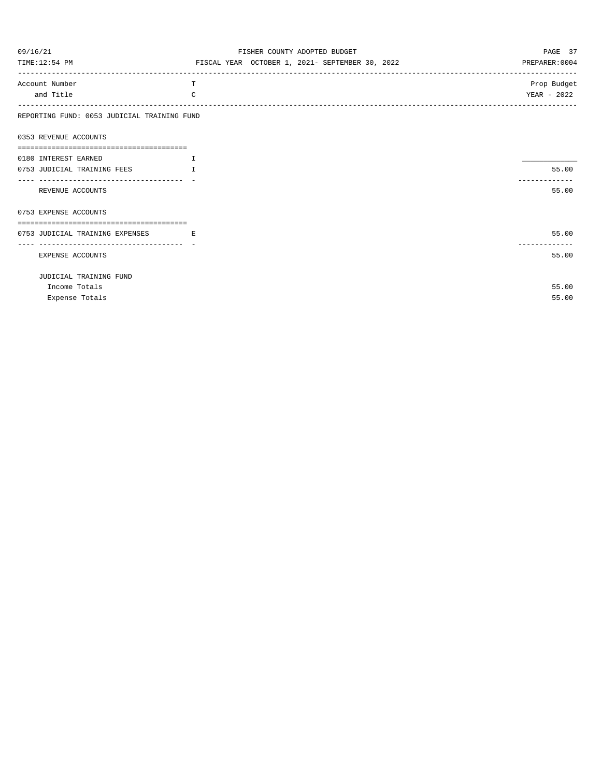| 09/16/21                                                | FISHER COUNTY ADOPTED BUDGET                    | PAGE 37                |
|---------------------------------------------------------|-------------------------------------------------|------------------------|
| TIME:12:54 PM                                           | FISCAL YEAR OCTOBER 1, 2021- SEPTEMBER 30, 2022 | PREPARER: 0004         |
| Account Number                                          | T                                               | Prop Budget            |
| and Title                                               | $\Gamma$                                        | YEAR - 2022            |
| REPORTING FUND: 0053 JUDICIAL TRAINING FUND             |                                                 |                        |
| 0353 REVENUE ACCOUNTS                                   |                                                 |                        |
| 0180 INTEREST EARNED                                    | $\top$                                          |                        |
| 0753 JUDICIAL TRAINING FEES                             | T                                               | 55.00                  |
| -----------------------------------<br>REVENUE ACCOUNTS |                                                 | 55.00                  |
| 0753 EXPENSE ACCOUNTS                                   |                                                 |                        |
| 0753 JUDICIAL TRAINING EXPENSES                         | <b>Experience</b>                               | 55.00                  |
| EXPENSE ACCOUNTS                                        |                                                 | -------------<br>55.00 |
| JUDICIAL TRAINING FUND                                  |                                                 |                        |
| Income Totals                                           |                                                 | 55.00                  |
| Expense Totals                                          |                                                 | 55.00                  |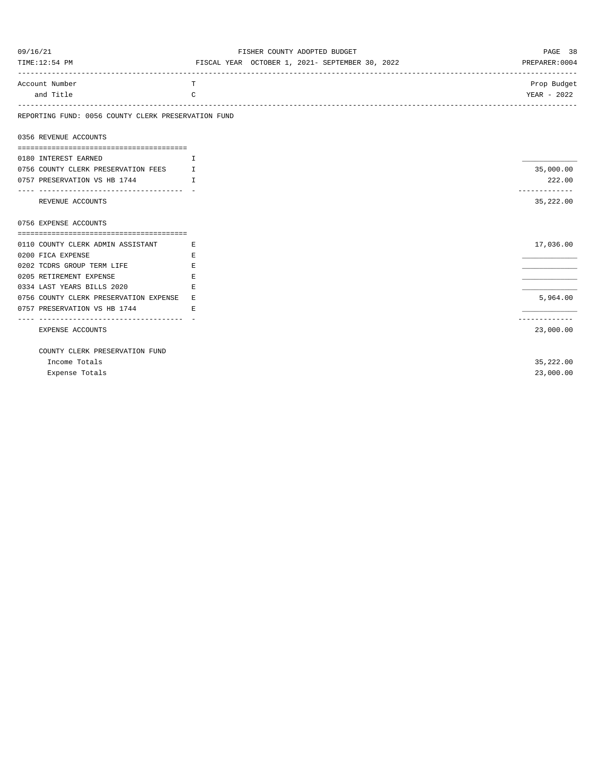| 09/16/21                                              | FISHER COUNTY ADOPTED BUDGET                    | PAGE 38                    |
|-------------------------------------------------------|-------------------------------------------------|----------------------------|
| TIME:12:54 PM                                         | FISCAL YEAR OCTOBER 1, 2021- SEPTEMBER 30, 2022 | PREPARER: 0004             |
| Account Number                                        | T                                               | Prop Budget                |
| and Title                                             | $\mathcal{C}$                                   | YEAR - 2022                |
| REPORTING FUND: 0056 COUNTY CLERK PRESERVATION FUND   |                                                 |                            |
| 0356 REVENUE ACCOUNTS                                 |                                                 |                            |
| 0180 INTEREST EARNED                                  | $\top$                                          |                            |
| 0756 COUNTY CLERK PRESERVATION FEES                   | I                                               | 35,000.00                  |
| 0757 PRESERVATION VS HB 1744                          | $\top$                                          | 222.00                     |
| REVENUE ACCOUNTS                                      |                                                 | -------------<br>35,222.00 |
| 0756 EXPENSE ACCOUNTS                                 |                                                 |                            |
|                                                       |                                                 |                            |
| 0110 COUNTY CLERK ADMIN ASSISTANT<br><b>Example 1</b> |                                                 | 17,036.00                  |
| 0200 FICA EXPENSE                                     | E.                                              |                            |
| 0202 TCDRS GROUP TERM LIFE                            | Е                                               |                            |
| 0205 RETIREMENT EXPENSE                               | E.                                              |                            |
| 0334 LAST YEARS BILLS 2020                            | E.                                              |                            |
| 0756 COUNTY CLERK PRESERVATION EXPENSE E              |                                                 | 5,964.00                   |
| 0757 PRESERVATION VS HB 1744                          | E.                                              |                            |
| EXPENSE ACCOUNTS                                      |                                                 | ------------<br>23,000.00  |
| COUNTY CLERK PRESERVATION FUND                        |                                                 |                            |
| Income Totals                                         |                                                 | 35,222.00                  |
| Expense Totals                                        |                                                 | 23,000.00                  |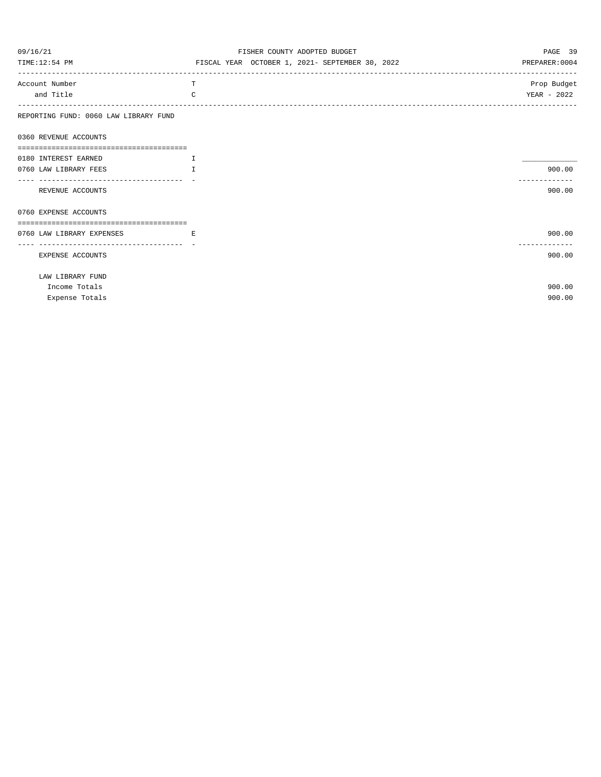| 09/16/21                                              | FISHER COUNTY ADOPTED BUDGET                    | PAGE 39        |
|-------------------------------------------------------|-------------------------------------------------|----------------|
| TIME:12:54 PM                                         | FISCAL YEAR OCTOBER 1, 2021- SEPTEMBER 30, 2022 | PREPARER: 0004 |
| Account Number                                        | T                                               | Prop Budget    |
| and Title                                             | $\mathcal{C}$                                   | YEAR - 2022    |
| REPORTING FUND: 0060 LAW LIBRARY FUND                 |                                                 |                |
| 0360 REVENUE ACCOUNTS                                 |                                                 |                |
|                                                       |                                                 |                |
| 0180 INTEREST EARNED                                  | $\mathbf{I}$                                    |                |
| 0760 LAW LIBRARY FEES                                 | T                                               | 900.00         |
| ---------------------------------<br>REVENUE ACCOUNTS |                                                 | 900.00         |
| 0760 EXPENSE ACCOUNTS                                 |                                                 |                |
|                                                       |                                                 |                |
| 0760 LAW LIBRARY EXPENSES                             | Е                                               | 900.00         |
| EXPENSE ACCOUNTS                                      |                                                 | 900.00         |
| LAW LIBRARY FUND                                      |                                                 |                |
| Income Totals                                         |                                                 | 900.00         |
| Expense Totals                                        |                                                 | 900.00         |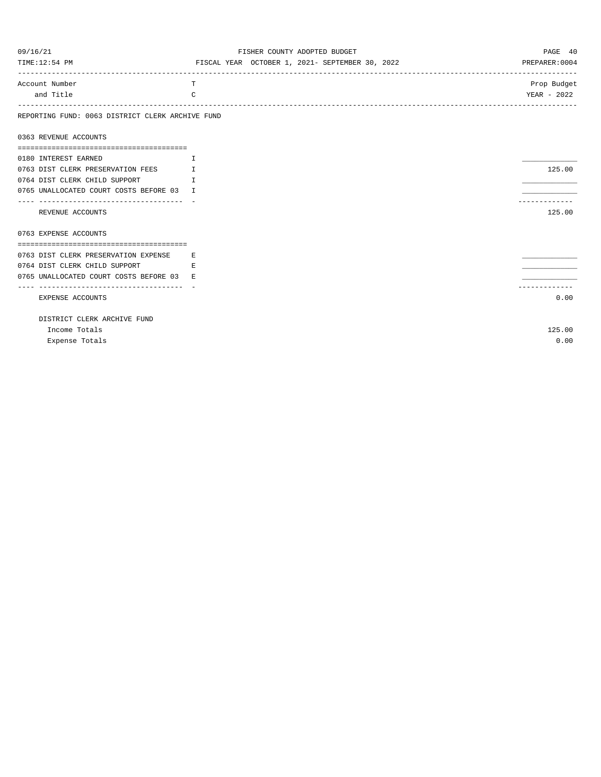| 09/16/21                                         | FISHER COUNTY ADOPTED BUDGET                    | PAGE 40        |
|--------------------------------------------------|-------------------------------------------------|----------------|
| TIME:12:54 PM                                    | FISCAL YEAR OCTOBER 1, 2021- SEPTEMBER 30, 2022 | PREPARER: 0004 |
| Account Number                                   | T                                               | Prop Budget    |
| and Title                                        | C                                               | YEAR - 2022    |
| REPORTING FUND: 0063 DISTRICT CLERK ARCHIVE FUND |                                                 |                |
| 0363 REVENUE ACCOUNTS                            |                                                 |                |
| 0180 INTEREST EARNED                             | T                                               |                |
| 0763 DIST CLERK PRESERVATION FEES                | I                                               | 125.00         |
| 0764 DIST CLERK CHILD SUPPORT                    | $\top$                                          |                |
| 0765 UNALLOCATED COURT COSTS BEFORE 03 I         |                                                 |                |
| ----------------------------------               |                                                 |                |
| REVENUE ACCOUNTS                                 |                                                 | 125.00         |
| 0763 EXPENSE ACCOUNTS                            |                                                 |                |
|                                                  |                                                 |                |
| 0763 DIST CLERK PRESERVATION EXPENSE             | F.                                              |                |
| 0764 DIST CLERK CHILD SUPPORT                    | E.                                              |                |
| 0765 UNALLOCATED COURT COSTS BEFORE 03           | E.                                              |                |
|                                                  |                                                 |                |
| EXPENSE ACCOUNTS                                 |                                                 | 0.00           |
| DISTRICT CLERK ARCHIVE FUND                      |                                                 |                |
| Income Totals                                    |                                                 | 125.00         |
| Expense Totals                                   |                                                 | 0.00           |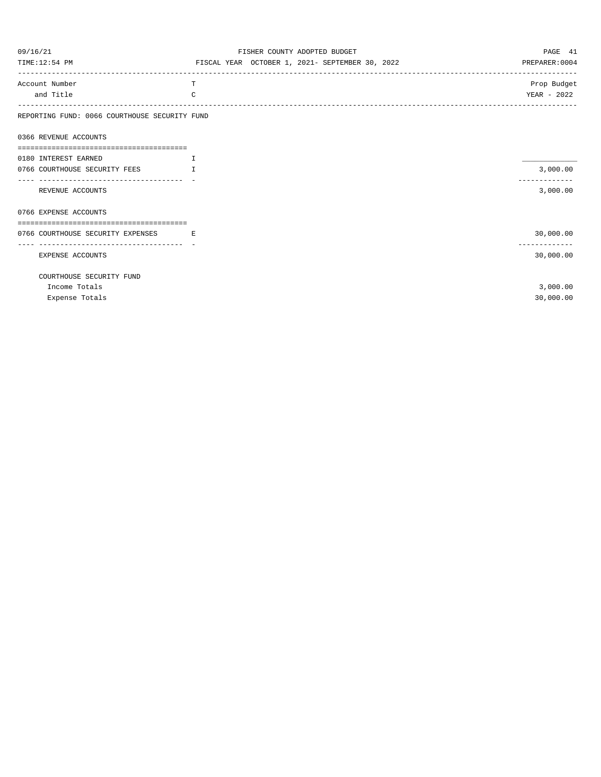| 09/16/21                                                               | FISHER COUNTY ADOPTED BUDGET                    | PAGE 41                   |
|------------------------------------------------------------------------|-------------------------------------------------|---------------------------|
| TIME:12:54 PM                                                          | FISCAL YEAR OCTOBER 1, 2021- SEPTEMBER 30, 2022 | PREPARER: 0004            |
| Account Number                                                         | т                                               | Prop Budget               |
| and Title                                                              | C                                               | YEAR - 2022               |
| REPORTING FUND: 0066 COURTHOUSE SECURITY FUND                          |                                                 |                           |
| 0366 REVENUE ACCOUNTS                                                  |                                                 |                           |
|                                                                        |                                                 |                           |
| 0180 INTEREST EARNED                                                   | $\mathbf{T}$                                    |                           |
| 0766 COURTHOUSE SECURITY FEES<br>-----------------------------------   | $\mathbb{L}$                                    | 3,000.00<br>------------- |
| REVENUE ACCOUNTS                                                       |                                                 | 3,000.00                  |
| 0766 EXPENSE ACCOUNTS                                                  |                                                 |                           |
| ===================================                                    |                                                 |                           |
| 0766 COURTHOUSE SECURITY EXPENSES<br>--------------------------------- | <b>Example</b>                                  | 30,000.00                 |
| <b>EXPENSE ACCOUNTS</b>                                                |                                                 | 30,000.00                 |
| COURTHOUSE SECURITY FUND                                               |                                                 |                           |
| Income Totals                                                          |                                                 | 3,000.00                  |
| Expense Totals                                                         |                                                 | 30,000.00                 |
|                                                                        |                                                 |                           |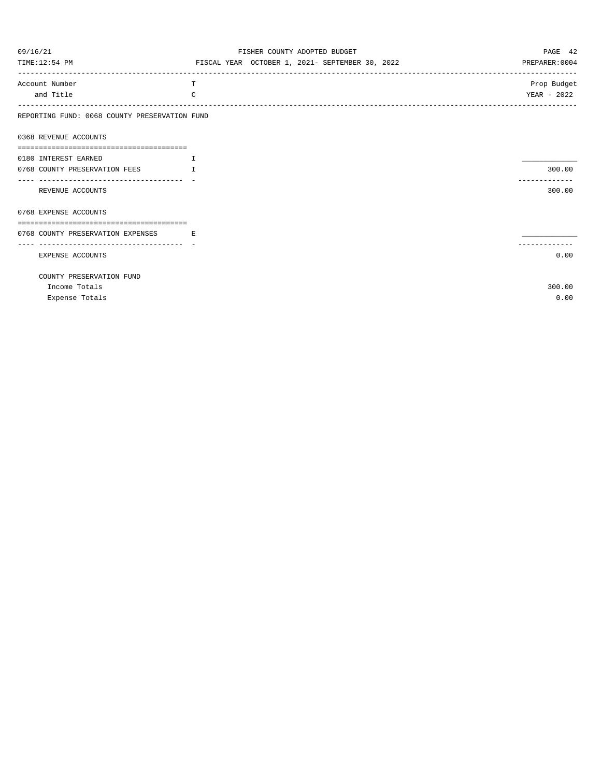| 09/16/21                                                | FISHER COUNTY ADOPTED BUDGET                    | PAGE 42        |
|---------------------------------------------------------|-------------------------------------------------|----------------|
| TIME:12:54 PM                                           | FISCAL YEAR OCTOBER 1, 2021- SEPTEMBER 30, 2022 | PREPARER: 0004 |
| Account Number                                          | т                                               | Prop Budget    |
| and Title                                               | C                                               | YEAR - 2022    |
| REPORTING FUND: 0068 COUNTY PRESERVATION FUND           |                                                 |                |
| 0368 REVENUE ACCOUNTS                                   |                                                 |                |
| 0180 INTEREST EARNED                                    | $\mathbf{I}$                                    |                |
| 0768 COUNTY PRESERVATION FEES                           | $\mathsf{T}$                                    | 300.00         |
| -----------------------------------<br>REVENUE ACCOUNTS |                                                 | 300.00         |
| 0768 EXPENSE ACCOUNTS                                   |                                                 |                |
|                                                         |                                                 |                |
| 0768 COUNTY PRESERVATION EXPENSES                       | $\mathbf{E}$ and $\mathbf{E}$                   |                |
| EXPENSE ACCOUNTS                                        |                                                 | 0.00           |
| COUNTY PRESERVATION FUND                                |                                                 |                |
| Income Totals                                           |                                                 | 300.00         |
| Expense Totals                                          |                                                 | 0.00           |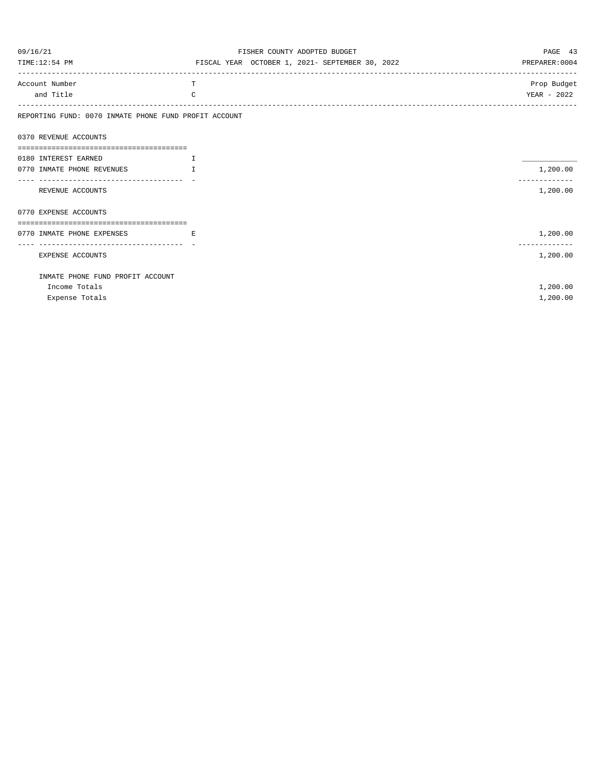| 09/16/21                                                | FISHER COUNTY ADOPTED BUDGET                    | PAGE 43        |
|---------------------------------------------------------|-------------------------------------------------|----------------|
| TIME:12:54 PM                                           | FISCAL YEAR OCTOBER 1, 2021- SEPTEMBER 30, 2022 | PREPARER: 0004 |
| Account Number                                          | T                                               | Prop Budget    |
| and Title                                               | $\Gamma$                                        | YEAR - 2022    |
| REPORTING FUND: 0070 INMATE PHONE FUND PROFIT ACCOUNT   |                                                 |                |
| 0370 REVENUE ACCOUNTS                                   |                                                 |                |
| 0180 INTEREST EARNED                                    | $\mathbf{T}$                                    |                |
| 0770 INMATE PHONE REVENUES                              | T                                               | 1,200.00       |
| -----------------------------------<br>REVENUE ACCOUNTS |                                                 | .<br>1,200.00  |
| 0770 EXPENSE ACCOUNTS                                   |                                                 |                |
|                                                         |                                                 |                |
| 0770 INMATE PHONE EXPENSES                              | Е                                               | 1,200.00       |
| EXPENSE ACCOUNTS                                        |                                                 | 1,200.00       |
| INMATE PHONE FUND PROFIT ACCOUNT                        |                                                 |                |
| Income Totals                                           |                                                 | 1,200.00       |
| Expense Totals                                          |                                                 | 1,200.00       |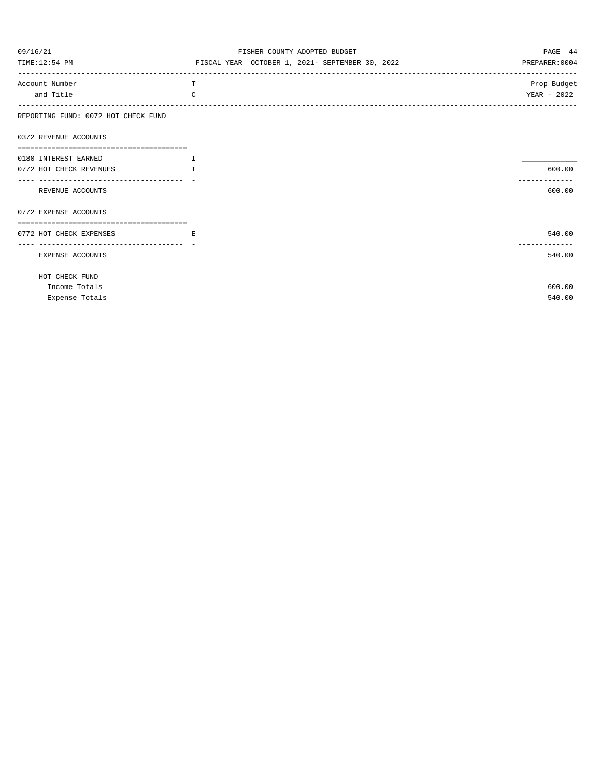| 09/16/21                            | FISHER COUNTY ADOPTED BUDGET                    | PAGE 44        |
|-------------------------------------|-------------------------------------------------|----------------|
| TIME:12:54 PM                       | FISCAL YEAR OCTOBER 1, 2021- SEPTEMBER 30, 2022 | PREPARER: 0004 |
| Account Number                      | T                                               | Prop Budget    |
| and Title                           | $\Gamma$                                        | YEAR - 2022    |
| REPORTING FUND: 0072 HOT CHECK FUND |                                                 |                |
| 0372 REVENUE ACCOUNTS               |                                                 |                |
|                                     |                                                 |                |
| 0180 INTEREST EARNED                | $\mathbf{T}$                                    |                |
| 0772 HOT CHECK REVENUES             | T                                               | 600.00         |
| REVENUE ACCOUNTS                    |                                                 | 600.00         |
| 0772 EXPENSE ACCOUNTS               |                                                 |                |
|                                     |                                                 |                |
| 0772 HOT CHECK EXPENSES             | E.                                              | 540.00         |
| ----------------------------------- |                                                 | -------------  |
| EXPENSE ACCOUNTS                    |                                                 | 540.00         |
| HOT CHECK FUND                      |                                                 |                |
| Income Totals                       |                                                 | 600.00         |
| Expense Totals                      |                                                 | 540.00         |
|                                     |                                                 |                |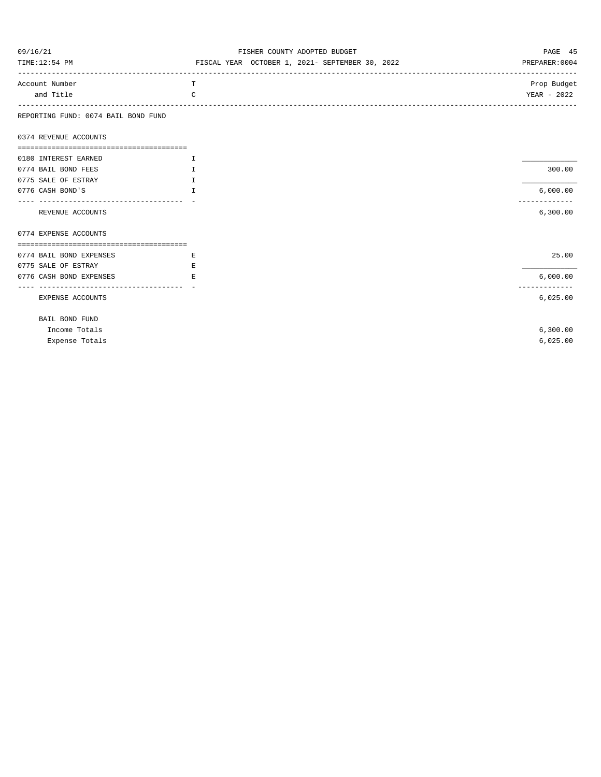| 09/16/21                            | FISHER COUNTY ADOPTED BUDGET                    | PAGE 45        |
|-------------------------------------|-------------------------------------------------|----------------|
| TIME:12:54 PM                       | FISCAL YEAR OCTOBER 1, 2021- SEPTEMBER 30, 2022 | PREPARER: 0004 |
| Account Number                      | T                                               | Prop Budget    |
| and Title                           | $\Gamma$                                        | YEAR - 2022    |
| REPORTING FUND: 0074 BAIL BOND FUND |                                                 |                |
| 0374 REVENUE ACCOUNTS               |                                                 |                |
|                                     |                                                 |                |
| 0180 INTEREST EARNED                |                                                 |                |
| 0774 BAIL BOND FEES                 |                                                 | 300.00         |
| 0775 SALE OF ESTRAY                 |                                                 |                |
| 0776 CASH BOND'S                    |                                                 | 6,000.00       |
| REVENUE ACCOUNTS                    |                                                 | 6,300.00       |
| 0774 EXPENSE ACCOUNTS               |                                                 |                |
|                                     |                                                 |                |

| 0774 BAIL BOND EXPENSES | E | 25.00    |
|-------------------------|---|----------|
| 0775 SALE OF ESTRAY     | E |          |
| 0776 CASH BOND EXPENSES | E | 6,000.00 |
|                         |   |          |
| EXPENSE ACCOUNTS        |   | 6,025.00 |
| BAIL BOND FUND          |   |          |

| Income Totals       | 6,300,00 |
|---------------------|----------|
| Expense Totals<br>. | 6,025.00 |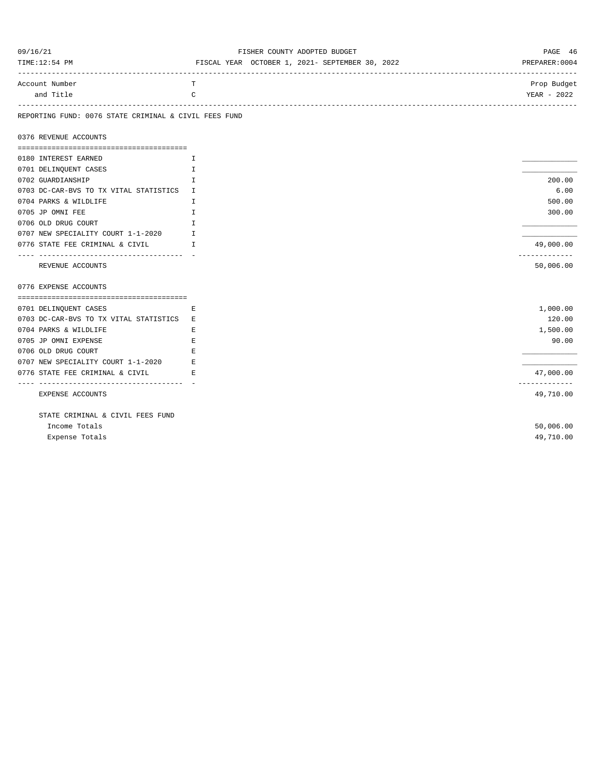| 09/16/21 |
|----------|
|----------|

#### FISHER COUNTY ADOPTED BUDGET **EXECUTES PAGE 46**

| TIME:12:54 PM | YEAR<br>FISCAL | OCTOBER 1, 2021- SEPTEMBER 30, 2022 | PREPARER: 0004 |
|---------------|----------------|-------------------------------------|----------------|
|               |                |                                     |                |
|               |                |                                     |                |

| Account Number |      | Prop | Budge:       |
|----------------|------|------|--------------|
| and Titl       | エレエー | YEAF | 202c<br>2022 |
|                |      |      |              |

#### REPORTING FUND: 0076 STATE CRIMINAL & CIVIL FEES FUND

0376 REVENUE ACCOUNTS

| 0180 INTEREST EARNED                   | T. |               |
|----------------------------------------|----|---------------|
| 0701 DELINQUENT CASES                  | I  |               |
| 0702 GUARDIANSHIP                      | I  | 200.00        |
| 0703 DC-CAR-BVS TO TX VITAL STATISTICS | T  | 6.00          |
| 0704 PARKS & WILDLIFE                  | I. | 500.00        |
| 0705 JP OMNI FEE                       | T. | 300.00        |
| 0706 OLD DRUG COURT                    | T. |               |
| 0707 NEW SPECIALITY COURT 1-1-2020     | T. |               |
| 0776 STATE FEE CRIMINAL & CIVIL        | T. | 49,000.00     |
| -----------------------------------    |    | ------------- |
| REVENUE ACCOUNTS                       |    | 50,006.00     |
|                                        |    |               |
| 0776 EXPENSE ACCOUNTS                  |    |               |
|                                        |    |               |
| 0701 DELINQUENT CASES                  | Ε  | 1,000.00      |
| 0703 DC-CAR-BVS TO TX VITAL STATISTICS | E. | 120.00        |
| 0704 PARKS & WILDLIFE                  | Е  | 1,500.00      |
| 0705 JP OMNI EXPENSE                   | Ε  | 90.00         |
| 0706 OLD DRUG COURT                    | E  |               |
| 0707 NEW SPECIALITY COURT 1-1-2020     | F. |               |
| 0776 STATE FEE CRIMINAL & CIVIL        | E. | 47,000.00     |
| -----------------------------------    |    |               |
| EXPENSE ACCOUNTS                       |    |               |
|                                        |    | 49,710.00     |
|                                        |    |               |
| STATE CRIMINAL & CIVIL FEES FUND       |    |               |
| Income Totals                          |    | 50,006.00     |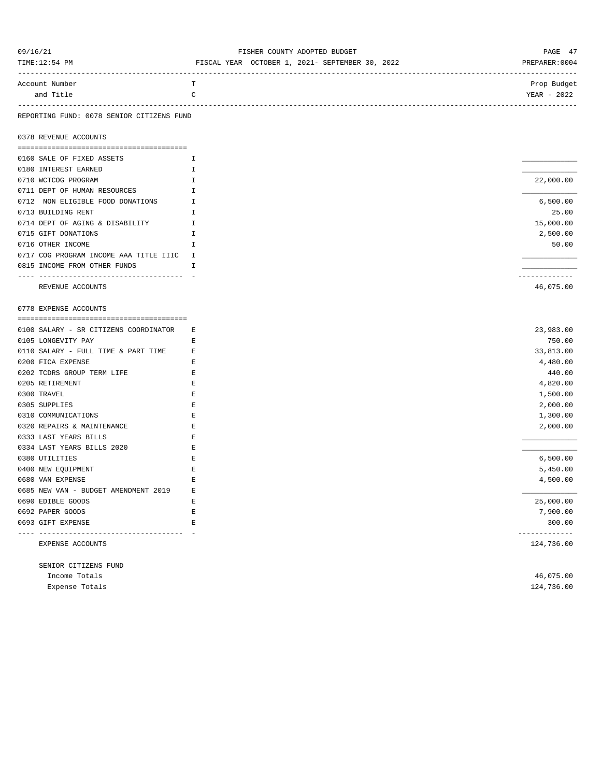| 09/16/21       | FISHER COUNTY ADOPTED BUDGET                    | PAGE 47       |
|----------------|-------------------------------------------------|---------------|
| TIME:12:54 PM  | FISCAL YEAR OCTOBER 1, 2021- SEPTEMBER 30, 2022 | PREPARER:0004 |
|                |                                                 |               |
| Account Number | $\mathbf{r}$                                    | Prop Budget   |
| and Title      |                                                 | YEAR - 2022   |
|                |                                                 |               |

### REPORTING FUND: 0078 SENIOR CITIZENS FUND

0378 REVENUE ACCOUNTS

| 0160 SALE OF FIXED ASSETS              |           |
|----------------------------------------|-----------|
| 0180 INTEREST EARNED                   |           |
| 0710 WCTCOG PROGRAM                    | 22,000.00 |
| 0711 DEPT OF HUMAN RESOURCES           |           |
| 0712 NON ELIGIBLE FOOD DONATIONS       | 6,500.00  |
| 0713 BUILDING RENT                     | 25.00     |
| 0714 DEPT OF AGING & DISABILITY        | 15,000.00 |
| 0715 GIFT DONATIONS                    | 2,500.00  |
| 0716 OTHER INCOME                      | 50.00     |
| 0717 COG PROGRAM INCOME AAA TITLE IIIC |           |
| 0815 INCOME FROM OTHER FUNDS           |           |
|                                        |           |
| REVENUE ACCOUNTS                       | 46,075.00 |

0778 EXPENSE ACCOUNTS

| 0100 SALARY - SR CITIZENS COORDINATOR | Ε | 23,983.00  |
|---------------------------------------|---|------------|
| 0105 LONGEVITY PAY                    | Е | 750.00     |
| 0110 SALARY - FULL TIME & PART TIME   | E | 33,813.00  |
| 0200 FICA EXPENSE                     | Е | 4,480.00   |
| 0202 TCDRS GROUP TERM LIFE            | E | 440.00     |
| 0205 RETIREMENT                       | E | 4,820.00   |
| 0300 TRAVEL                           | E | 1,500.00   |
| 0305 SUPPLIES                         |   | 2,000.00   |
| 0310 COMMUNICATIONS                   | E | 1,300.00   |
| 0320 REPAIRS & MAINTENANCE            | E | 2,000.00   |
| 0333 LAST YEARS BILLS                 | E |            |
| 0334 LAST YEARS BILLS 2020            |   |            |
| 0380 UTILITIES                        |   | 6,500.00   |
| 0400 NEW EQUIPMENT                    | E | 5,450.00   |
| 0680 VAN EXPENSE                      | E | 4,500.00   |
| 0685 NEW VAN - BUDGET AMENDMENT 2019  | E |            |
| 0690 EDIBLE GOODS                     | E | 25,000.00  |
| 0692 PAPER GOODS                      | Ε | 7,900.00   |
| 0693 GIFT EXPENSE                     | E | 300.00     |
|                                       |   |            |
| EXPENSE ACCOUNTS                      |   | 124,736.00 |

| SENIOR CITIZENS FUND |            |
|----------------------|------------|
| Income Totals        | 46,075.00  |
| Expense Totals       | 124,736.00 |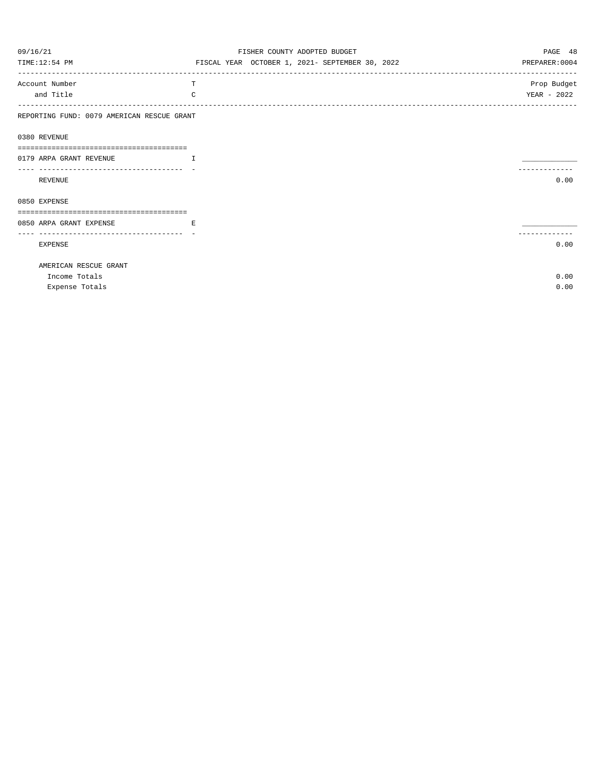| 09/16/21                                             | FISHER COUNTY ADOPTED BUDGET                    | PAGE 48        |
|------------------------------------------------------|-------------------------------------------------|----------------|
| TIME:12:54 PM                                        | FISCAL YEAR OCTOBER 1, 2021- SEPTEMBER 30, 2022 | PREPARER: 0004 |
| Account Number                                       | Т                                               | Prop Budget    |
| and Title                                            | $\mathcal{C}$                                   | YEAR - 2022    |
| REPORTING FUND: 0079 AMERICAN RESCUE GRANT           |                                                 |                |
| 0380 REVENUE                                         |                                                 |                |
| ======================================               |                                                 |                |
| 0179 ARPA GRANT REVENUE                              | T                                               |                |
|                                                      |                                                 |                |
| REVENUE                                              |                                                 | 0.00           |
| 0850 EXPENSE                                         |                                                 |                |
|                                                      |                                                 |                |
| 0850 ARPA GRANT EXPENSE                              | E                                               |                |
| ----------------------------------<br><b>EXPENSE</b> |                                                 | 0.00           |
| AMERICAN RESCUE GRANT                                |                                                 |                |
| Income Totals                                        |                                                 | 0.00           |
| Expense Totals                                       |                                                 | 0.00           |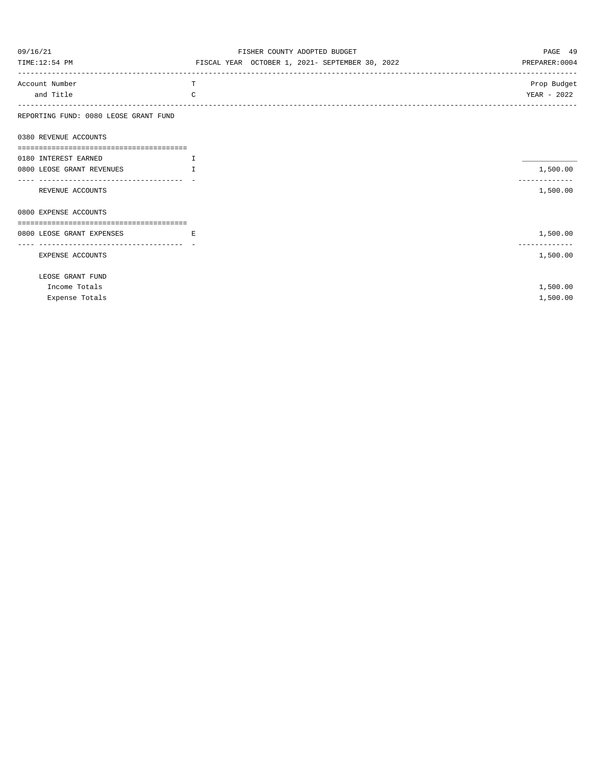| TIME:12:54 PM<br>FISCAL YEAR OCTOBER 1, 2021- SEPTEMBER 30, 2022<br>PREPARER: 0004<br>Account Number<br>Prop Budget<br>т<br>and Title<br>YEAR - 2022<br>C<br>REPORTING FUND: 0080 LEOSE GRANT FUND<br>0380 REVENUE ACCOUNTS<br>0180 INTEREST EARNED<br>I<br>1,500.00<br>0800 LEOSE GRANT REVENUES<br>T<br>-----------------------------------<br>------------- | PAGE 49 |
|----------------------------------------------------------------------------------------------------------------------------------------------------------------------------------------------------------------------------------------------------------------------------------------------------------------------------------------------------------------|---------|
|                                                                                                                                                                                                                                                                                                                                                                |         |
|                                                                                                                                                                                                                                                                                                                                                                |         |
|                                                                                                                                                                                                                                                                                                                                                                |         |
|                                                                                                                                                                                                                                                                                                                                                                |         |
|                                                                                                                                                                                                                                                                                                                                                                |         |
|                                                                                                                                                                                                                                                                                                                                                                |         |
|                                                                                                                                                                                                                                                                                                                                                                |         |
|                                                                                                                                                                                                                                                                                                                                                                |         |
| 1,500.00<br>REVENUE ACCOUNTS                                                                                                                                                                                                                                                                                                                                   |         |
| 0800 EXPENSE ACCOUNTS                                                                                                                                                                                                                                                                                                                                          |         |
|                                                                                                                                                                                                                                                                                                                                                                |         |
| 0800 LEOSE GRANT EXPENSES<br>1,500.00<br>E.                                                                                                                                                                                                                                                                                                                    |         |
| -------------                                                                                                                                                                                                                                                                                                                                                  |         |
| 1,500.00<br>EXPENSE ACCOUNTS                                                                                                                                                                                                                                                                                                                                   |         |
| LEOSE GRANT FUND                                                                                                                                                                                                                                                                                                                                               |         |
| Income Totals<br>1,500.00                                                                                                                                                                                                                                                                                                                                      |         |
| Expense Totals<br>1,500.00                                                                                                                                                                                                                                                                                                                                     |         |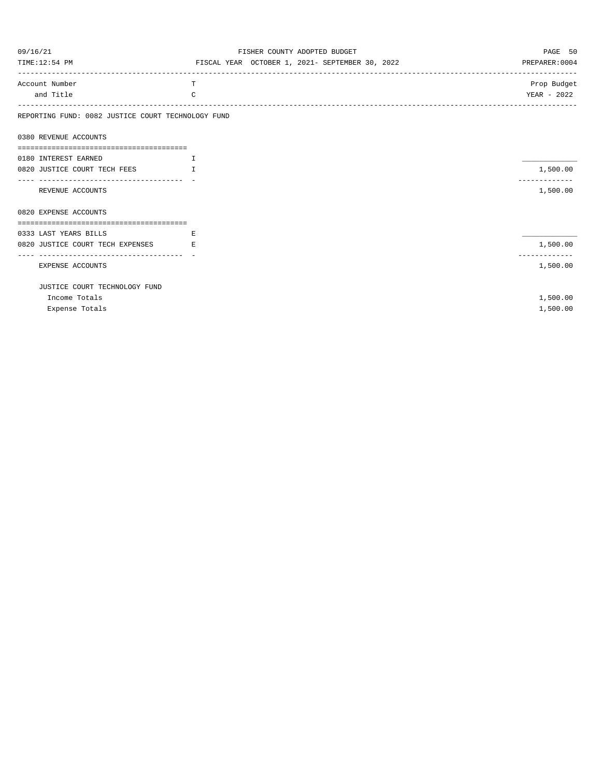| 09/16/21                                               | FISHER COUNTY ADOPTED BUDGET                    | PAGE 50        |
|--------------------------------------------------------|-------------------------------------------------|----------------|
| TIME:12:54 PM                                          | FISCAL YEAR OCTOBER 1, 2021- SEPTEMBER 30, 2022 | PREPARER: 0004 |
| Account Number                                         | т                                               | Prop Budget    |
| and Title                                              | $\mathcal{C}$                                   | YEAR - 2022    |
| REPORTING FUND: 0082 JUSTICE COURT TECHNOLOGY FUND     |                                                 |                |
| 0380 REVENUE ACCOUNTS                                  |                                                 |                |
|                                                        |                                                 |                |
| 0180 INTEREST EARNED                                   | $\mathbf{I}$                                    |                |
| 0820 JUSTICE COURT TECH FEES                           | $\mathsf{T}$                                    | 1,500.00       |
| REVENUE ACCOUNTS                                       |                                                 | 1,500.00       |
| 0820 EXPENSE ACCOUNTS                                  |                                                 |                |
|                                                        |                                                 |                |
| 0333 LAST YEARS BILLS                                  | E                                               |                |
| 0820 JUSTICE COURT TECH EXPENSES                       | E                                               | 1,500.00       |
| ----------------------------------<br>EXPENSE ACCOUNTS |                                                 | 1,500.00       |
|                                                        |                                                 |                |
| JUSTICE COURT TECHNOLOGY FUND                          |                                                 |                |
| Income Totals                                          |                                                 | 1,500.00       |
| Expense Totals                                         |                                                 | 1,500.00       |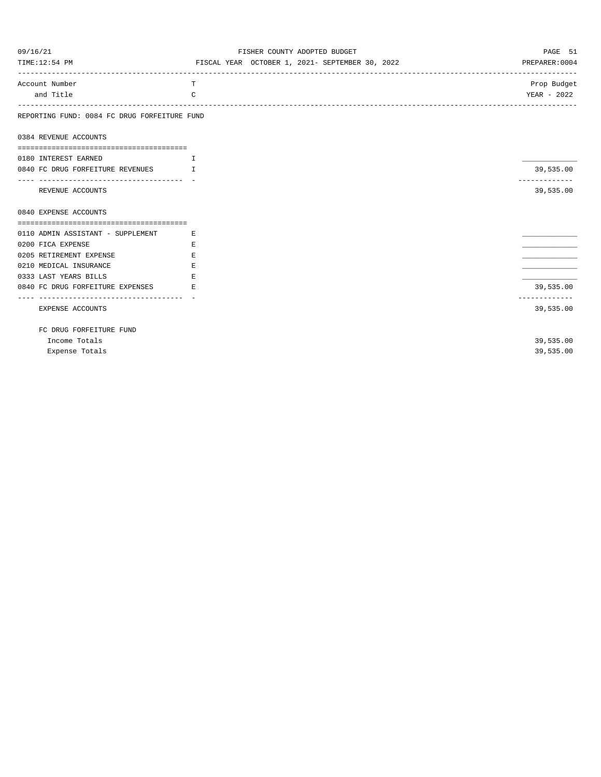| 09/16/21                                                            | FISHER COUNTY ADOPTED BUDGET                    | PAGE 51                   |
|---------------------------------------------------------------------|-------------------------------------------------|---------------------------|
| TIME:12:54 PM                                                       | FISCAL YEAR OCTOBER 1, 2021- SEPTEMBER 30, 2022 | PREPARER: 0004            |
| Account Number                                                      | T.                                              | Prop Budget               |
| and Title                                                           | $\mathcal{C}$                                   | YEAR - 2022               |
| REPORTING FUND: 0084 FC DRUG FORFEITURE FUND                        |                                                 |                           |
| 0384 REVENUE ACCOUNTS                                               |                                                 |                           |
| 0180 INTEREST EARNED<br>and the contract of the Contract of Taxable |                                                 |                           |
| 0840 FC DRUG FORFEITURE REVENUES I                                  |                                                 | 39,535.00                 |
| ---------------------------------<br>REVENUE ACCOUNTS               |                                                 | 39,535.00                 |
| 0840 EXPENSE ACCOUNTS                                               |                                                 |                           |
| 0110 ADMIN ASSISTANT - SUPPLEMENT                                   | <b>Example 2</b>                                |                           |
| 0200 FICA EXPENSE                                                   | E.                                              |                           |
| 0205 RETIREMENT EXPENSE                                             | E.                                              |                           |
| 0210 MEDICAL INSURANCE                                              | E.                                              |                           |
| 0333 LAST YEARS BILLS                                               | E.                                              |                           |
| 0840 FC DRUG FORFEITURE EXPENSES                                    | <b>Example 19</b>                               | 39,535.00<br>------------ |
| -----------------------------------<br>EXPENSE ACCOUNTS             |                                                 | 39,535.00                 |
| FC DRUG FORFEITURE FUND                                             |                                                 |                           |
| Income Totals                                                       |                                                 | 39,535.00                 |
| Expense Totals                                                      |                                                 | 39,535.00                 |
|                                                                     |                                                 |                           |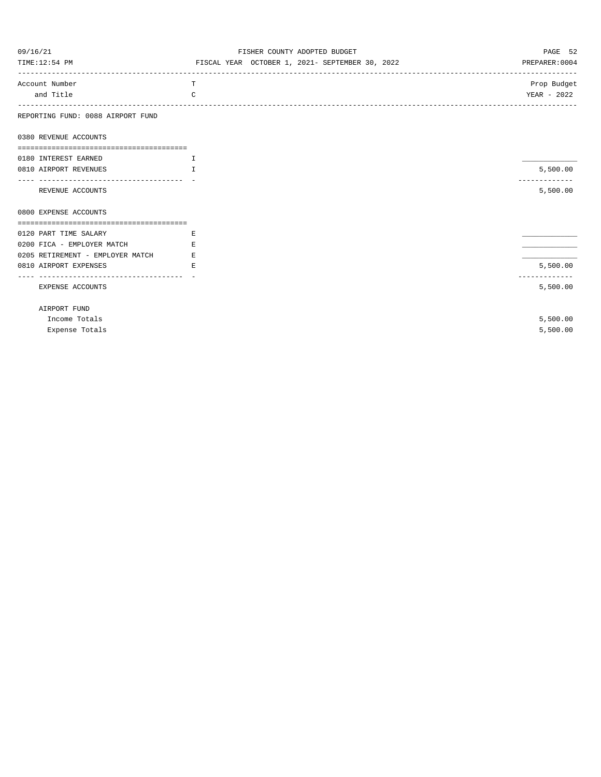| 09/16/21                          | FISHER COUNTY ADOPTED BUDGET                    | PAGE 52        |
|-----------------------------------|-------------------------------------------------|----------------|
| TIME:12:54 PM                     | FISCAL YEAR OCTOBER 1, 2021- SEPTEMBER 30, 2022 | PREPARER: 0004 |
| Account Number                    | т                                               | Prop Budget    |
| and Title                         | $\mathcal{C}$                                   | YEAR - 2022    |
| REPORTING FUND: 0088 AIRPORT FUND |                                                 |                |
| 0380 REVENUE ACCOUNTS             |                                                 |                |
|                                   |                                                 |                |
| 0180 INTEREST EARNED              | I                                               |                |
| 0810 AIRPORT REVENUES             | T.                                              | 5,500.00       |
|                                   |                                                 | ------------   |
| REVENUE ACCOUNTS                  |                                                 | 5,500.00       |
| 0800 EXPENSE ACCOUNTS             |                                                 |                |
|                                   |                                                 |                |
| 0120 PART TIME SALARY             | Ε                                               |                |
| 0200 FICA - EMPLOYER MATCH        | E.                                              |                |
| 0205 RETIREMENT - EMPLOYER MATCH  | E.                                              |                |
| 0810 AIRPORT EXPENSES             | F.                                              | 5,500.00       |
| EXPENSE ACCOUNTS                  |                                                 | 5,500.00       |
| AIRPORT FUND                      |                                                 |                |
| Income Totals                     |                                                 | 5,500.00       |
| Expense Totals                    |                                                 | 5,500.00       |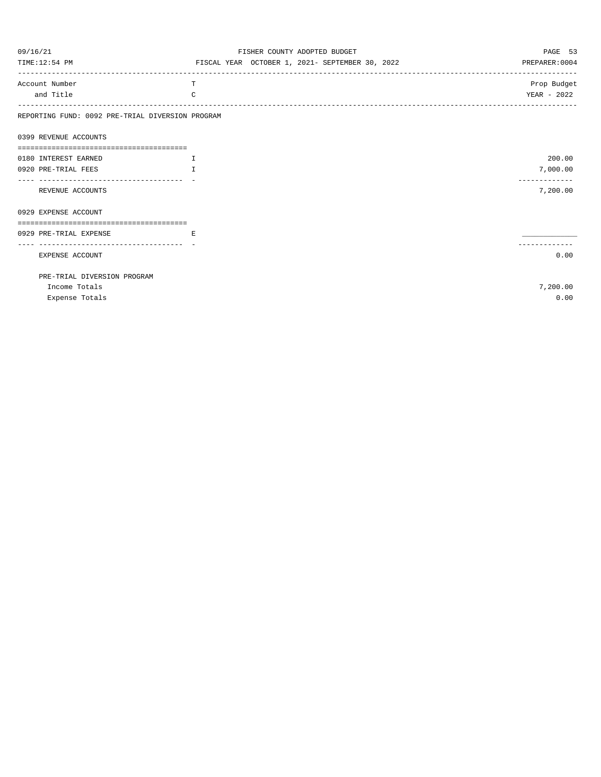| 09/16/21                                         | FISHER COUNTY ADOPTED BUDGET                    | PAGE 53        |
|--------------------------------------------------|-------------------------------------------------|----------------|
| TIME:12:54 PM                                    | FISCAL YEAR OCTOBER 1, 2021- SEPTEMBER 30, 2022 | PREPARER: 0004 |
| Account Number                                   | T                                               | Prop Budget    |
| and Title                                        | C                                               | YEAR - 2022    |
| REPORTING FUND: 0092 PRE-TRIAL DIVERSION PROGRAM |                                                 |                |
| 0399 REVENUE ACCOUNTS                            |                                                 |                |
|                                                  |                                                 |                |
| 0180 INTEREST EARNED                             | $\mathbf{T}$                                    | 200.00         |
| 0920 PRE-TRIAL FEES                              | $\mathbb{T}$                                    | 7,000.00       |
|                                                  |                                                 | ------------   |
| REVENUE ACCOUNTS                                 |                                                 | 7,200.00       |
| 0929 EXPENSE ACCOUNT                             |                                                 |                |
| 0929 PRE-TRIAL EXPENSE                           | E.                                              |                |
| -----------------------------------              |                                                 |                |
| EXPENSE ACCOUNT                                  |                                                 | 0.00           |
| PRE-TRIAL DIVERSION PROGRAM                      |                                                 |                |
| Income Totals                                    |                                                 | 7,200.00       |
| Expense Totals                                   |                                                 | 0.00           |
|                                                  |                                                 |                |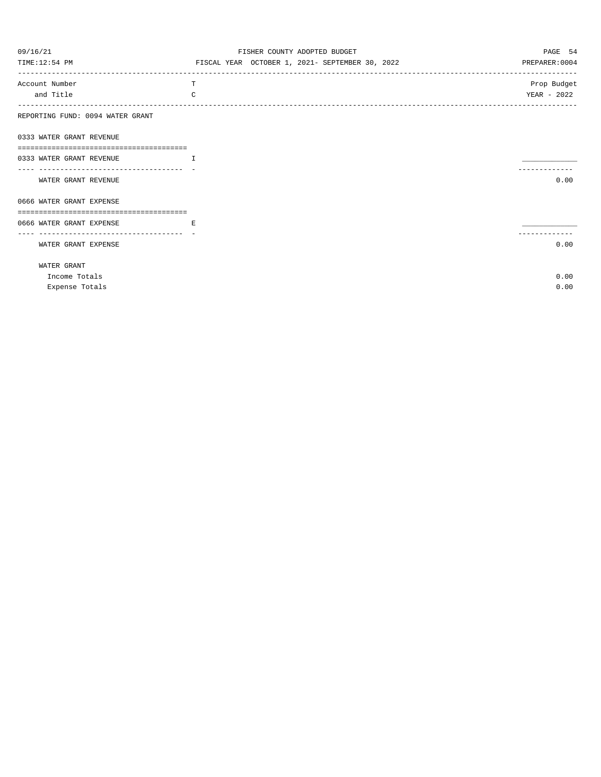| 09/16/21                         | FISHER COUNTY ADOPTED BUDGET                    | PAGE 54        |
|----------------------------------|-------------------------------------------------|----------------|
| TIME:12:54 PM                    | FISCAL YEAR OCTOBER 1, 2021- SEPTEMBER 30, 2022 | PREPARER: 0004 |
| Account Number                   | T                                               | Prop Budget    |
| and Title                        | $\mathcal{C}$                                   | YEAR - 2022    |
| REPORTING FUND: 0094 WATER GRANT |                                                 |                |
| 0333 WATER GRANT REVENUE         |                                                 |                |
| 0333 WATER GRANT REVENUE         | $\mathbf{T}$                                    |                |
|                                  |                                                 |                |
| WATER GRANT REVENUE              |                                                 | 0.00           |
| 0666 WATER GRANT EXPENSE         |                                                 |                |
|                                  |                                                 |                |
| 0666 WATER GRANT EXPENSE         | E.                                              |                |
| WATER GRANT EXPENSE              |                                                 | 0.00           |
| WATER GRANT                      |                                                 |                |
| Income Totals                    |                                                 | 0.00           |
| Expense Totals                   |                                                 | 0.00           |